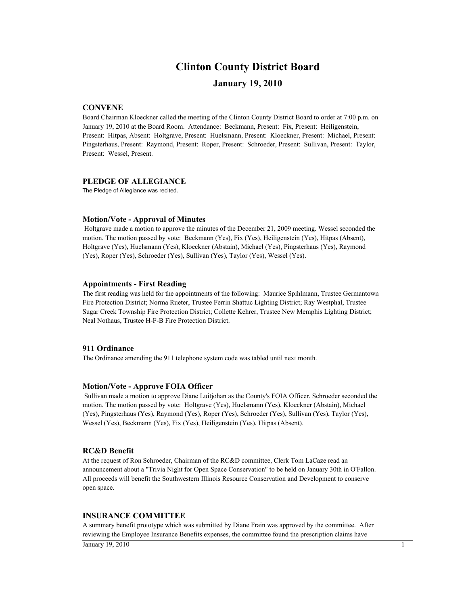## **January 19, 2010 Clinton County District Board**

#### **CONVENE**

Board Chairman Kloeckner called the meeting of the Clinton County District Board to order at 7:00 p.m. on January 19, 2010 at the Board Room. Attendance: Beckmann, Present: Fix, Present: Heiligenstein, Present: Hitpas, Absent: Holtgrave, Present: Huelsmann, Present: Kloeckner, Present: Michael, Present: Pingsterhaus, Present: Raymond, Present: Roper, Present: Schroeder, Present: Sullivan, Present: Taylor, Present: Wessel, Present.

#### **PLEDGE OF ALLEGIANCE**

The Pledge of Allegiance was recited.

#### **Motion/Vote - Approval of Minutes**

 Holtgrave made a motion to approve the minutes of the December 21, 2009 meeting. Wessel seconded the motion. The motion passed by vote: Beckmann (Yes), Fix (Yes), Heiligenstein (Yes), Hitpas (Absent), Holtgrave (Yes), Huelsmann (Yes), Kloeckner (Abstain), Michael (Yes), Pingsterhaus (Yes), Raymond (Yes), Roper (Yes), Schroeder (Yes), Sullivan (Yes), Taylor (Yes), Wessel (Yes).

#### **Appointments - First Reading**

The first reading was held for the appointments of the following: Maurice Spihlmann, Trustee Germantown Fire Protection District; Norma Rueter, Trustee Ferrin Shattuc Lighting District; Ray Westphal, Trustee Sugar Creek Township Fire Protection District; Collette Kehrer, Trustee New Memphis Lighting District; Neal Nothaus, Trustee H-F-B Fire Protection District.

#### **911 Ordinance**

The Ordinance amending the 911 telephone system code was tabled until next month.

#### **Motion/Vote - Approve FOIA Officer**

 Sullivan made a motion to approve Diane Luitjohan as the County's FOIA Officer. Schroeder seconded the motion. The motion passed by vote: Holtgrave (Yes), Huelsmann (Yes), Kloeckner (Abstain), Michael (Yes), Pingsterhaus (Yes), Raymond (Yes), Roper (Yes), Schroeder (Yes), Sullivan (Yes), Taylor (Yes), Wessel (Yes), Beckmann (Yes), Fix (Yes), Heiligenstein (Yes), Hitpas (Absent).

#### **RC&D Benefit**

At the request of Ron Schroeder, Chairman of the RC&D committee, Clerk Tom LaCaze read an announcement about a "Trivia Night for Open Space Conservation" to be held on January 30th in O'Fallon. All proceeds will benefit the Southwestern Illinois Resource Conservation and Development to conserve open space.

#### **INSURANCE COMMITTEE**

A summary benefit prototype which was submitted by Diane Frain was approved by the committee. After reviewing the Employee Insurance Benefits expenses, the committee found the prescription claims have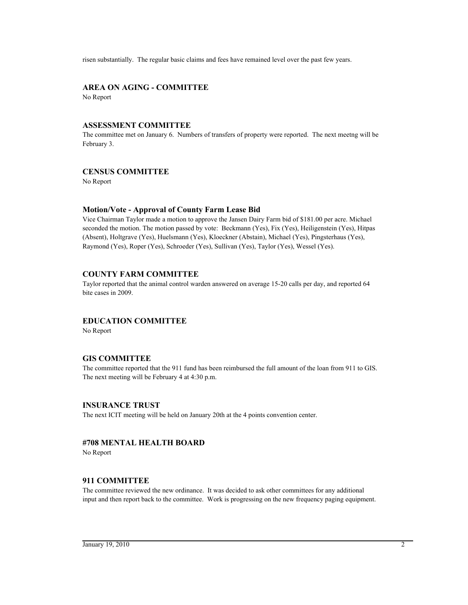risen substantially. The regular basic claims and fees have remained level over the past few years.

## **AREA ON AGING - COMMITTEE**

No Report

#### **ASSESSMENT COMMITTEE**

The committee met on January 6. Numbers of transfers of property were reported. The next meetng will be February 3.

#### **CENSUS COMMITTEE**

No Report

#### **Motion/Vote - Approval of County Farm Lease Bid**

Vice Chairman Taylor made a motion to approve the Jansen Dairy Farm bid of \$181.00 per acre. Michael seconded the motion. The motion passed by vote: Beckmann (Yes), Fix (Yes), Heiligenstein (Yes), Hitpas (Absent), Holtgrave (Yes), Huelsmann (Yes), Kloeckner (Abstain), Michael (Yes), Pingsterhaus (Yes), Raymond (Yes), Roper (Yes), Schroeder (Yes), Sullivan (Yes), Taylor (Yes), Wessel (Yes).

#### **COUNTY FARM COMMITTEE**

Taylor reported that the animal control warden answered on average 15-20 calls per day, and reported 64 bite cases in 2009.

#### **EDUCATION COMMITTEE**

No Report

#### **GIS COMMITTEE**

The committee reported that the 911 fund has been reimbursed the full amount of the loan from 911 to GIS. The next meeting will be February 4 at 4:30 p.m.

#### **INSURANCE TRUST**

The next ICIT meeting will be held on January 20th at the 4 points convention center.

## **#708 MENTAL HEALTH BOARD**

No Report

#### **911 COMMITTEE**

The committee reviewed the new ordinance. It was decided to ask other committees for any additional input and then report back to the committee. Work is progressing on the new frequency paging equipment.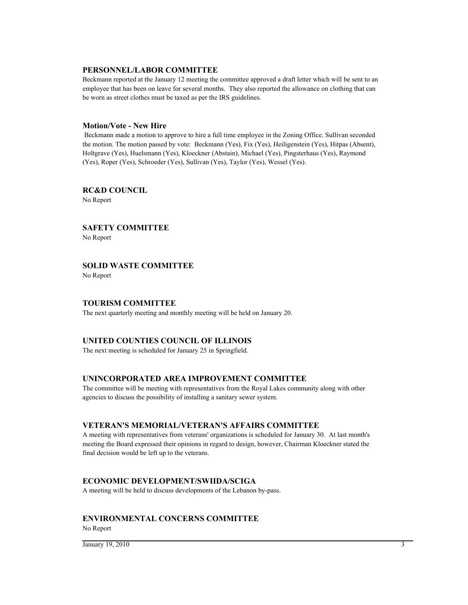#### **PERSONNEL/LABOR COMMITTEE**

Beckmann reported at the January 12 meeting the committee approved a draft letter which will be sent to an employee that has been on leave for several months. They also reported the allowance on clothing that can be worn as street clothes must be taxed as per the IRS guidelines.

#### **Motion/Vote - New Hire**

 Beckmann made a motion to approve to hire a full time employee in the Zoning Office. Sullivan seconded the motion. The motion passed by vote: Beckmann (Yes), Fix (Yes), Heiligenstein (Yes), Hitpas (Absent), Holtgrave (Yes), Huelsmann (Yes), Kloeckner (Abstain), Michael (Yes), Pingsterhaus (Yes), Raymond (Yes), Roper (Yes), Schroeder (Yes), Sullivan (Yes), Taylor (Yes), Wessel (Yes).

**RC&D COUNCIL** No Report

**SAFETY COMMITTEE** No Report

**SOLID WASTE COMMITTEE**

No Report

#### **TOURISM COMMITTEE**

The next quarterly meeting and monthly meeting will be held on January 20.

#### **UNITED COUNTIES COUNCIL OF ILLINOIS**

The next meeting is scheduled for January 25 in Springfield.

#### **UNINCORPORATED AREA IMPROVEMENT COMMITTEE**

The committee will be meeting with representatives from the Royal Lakes community along with other agencies to discuss the possibility of installing a sanitary sewer system.

#### **VETERAN'S MEMORIAL/VETERAN'S AFFAIRS COMMITTEE**

A meeting with representatives from veterans' organizations is scheduled for January 30. At last month's meeting the Board expressed their opinions in regard to design, however, Chairman Kloeckner stated the final decision would be left up to the veterans.

#### **ECONOMIC DEVELOPMENT/SWIIDA/SCIGA**

A meeting will be held to discuss developments of the Lebanon by-pass.

## **ENVIRONMENTAL CONCERNS COMMITTEE**

No Report

 $\frac{1}{3}$  January 19, 2010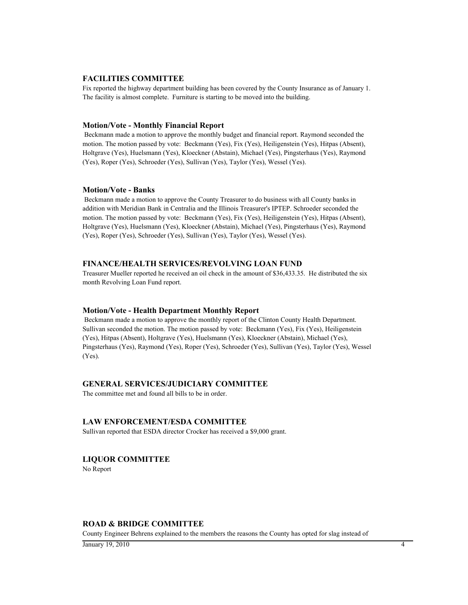#### **FACILITIES COMMITTEE**

Fix reported the highway department building has been covered by the County Insurance as of January 1. The facility is almost complete. Furniture is starting to be moved into the building.

#### **Motion/Vote - Monthly Financial Report**

 Beckmann made a motion to approve the monthly budget and financial report. Raymond seconded the motion. The motion passed by vote: Beckmann (Yes), Fix (Yes), Heiligenstein (Yes), Hitpas (Absent), Holtgrave (Yes), Huelsmann (Yes), Kloeckner (Abstain), Michael (Yes), Pingsterhaus (Yes), Raymond (Yes), Roper (Yes), Schroeder (Yes), Sullivan (Yes), Taylor (Yes), Wessel (Yes).

#### **Motion/Vote - Banks**

 Beckmann made a motion to approve the County Treasurer to do business with all County banks in addition with Meridian Bank in Centralia and the Illinois Treasurer's IPTEP. Schroeder seconded the motion. The motion passed by vote: Beckmann (Yes), Fix (Yes), Heiligenstein (Yes), Hitpas (Absent), Holtgrave (Yes), Huelsmann (Yes), Kloeckner (Abstain), Michael (Yes), Pingsterhaus (Yes), Raymond (Yes), Roper (Yes), Schroeder (Yes), Sullivan (Yes), Taylor (Yes), Wessel (Yes).

#### **FINANCE/HEALTH SERVICES/REVOLVING LOAN FUND**

Treasurer Mueller reported he received an oil check in the amount of \$36,433.35. He distributed the six month Revolving Loan Fund report.

#### **Motion/Vote - Health Department Monthly Report**

 Beckmann made a motion to approve the monthly report of the Clinton County Health Department. Sullivan seconded the motion. The motion passed by vote: Beckmann (Yes), Fix (Yes), Heiligenstein (Yes), Hitpas (Absent), Holtgrave (Yes), Huelsmann (Yes), Kloeckner (Abstain), Michael (Yes), Pingsterhaus (Yes), Raymond (Yes), Roper (Yes), Schroeder (Yes), Sullivan (Yes), Taylor (Yes), Wessel (Yes).

#### **GENERAL SERVICES/JUDICIARY COMMITTEE**

The committee met and found all bills to be in order.

#### **LAW ENFORCEMENT/ESDA COMMITTEE**

Sullivan reported that ESDA director Crocker has received a \$9,000 grant.

#### **LIQUOR COMMITTEE**

No Report

#### **ROAD & BRIDGE COMMITTEE**

County Engineer Behrens explained to the members the reasons the County has opted for slag instead of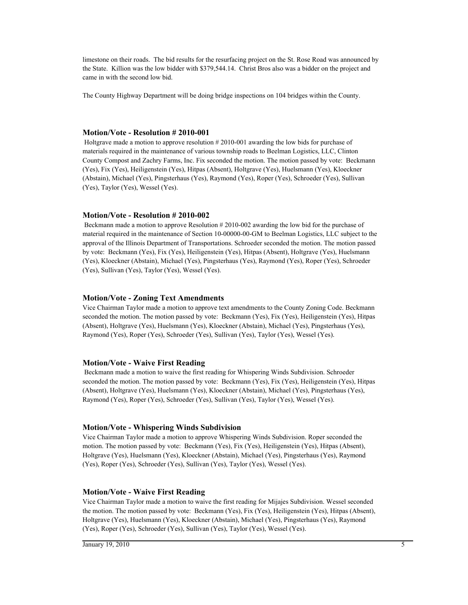limestone on their roads. The bid results for the resurfacing project on the St. Rose Road was announced by the State. Killion was the low bidder with \$379,544.14. Christ Bros also was a bidder on the project and came in with the second low bid.

The County Highway Department will be doing bridge inspections on 104 bridges within the County.

#### **Motion/Vote - Resolution # 2010-001**

 Holtgrave made a motion to approve resolution # 2010-001 awarding the low bids for purchase of materials required in the maintenance of various township roads to Beelman Logistics, LLC, Clinton County Compost and Zachry Farms, Inc. Fix seconded the motion. The motion passed by vote: Beckmann (Yes), Fix (Yes), Heiligenstein (Yes), Hitpas (Absent), Holtgrave (Yes), Huelsmann (Yes), Kloeckner (Abstain), Michael (Yes), Pingsterhaus (Yes), Raymond (Yes), Roper (Yes), Schroeder (Yes), Sullivan (Yes), Taylor (Yes), Wessel (Yes).

#### **Motion/Vote - Resolution # 2010-002**

 Beckmann made a motion to approve Resolution # 2010-002 awarding the low bid for the purchase of material required in the maintenance of Section 10-00000-00-GM to Beelman Logistics, LLC subject to the approval of the Illinois Department of Transportations. Schroeder seconded the motion. The motion passed by vote: Beckmann (Yes), Fix (Yes), Heiligenstein (Yes), Hitpas (Absent), Holtgrave (Yes), Huelsmann (Yes), Kloeckner (Abstain), Michael (Yes), Pingsterhaus (Yes), Raymond (Yes), Roper (Yes), Schroeder (Yes), Sullivan (Yes), Taylor (Yes), Wessel (Yes).

#### **Motion/Vote - Zoning Text Amendments**

Vice Chairman Taylor made a motion to approve text amendments to the County Zoning Code. Beckmann seconded the motion. The motion passed by vote: Beckmann (Yes), Fix (Yes), Heiligenstein (Yes), Hitpas (Absent), Holtgrave (Yes), Huelsmann (Yes), Kloeckner (Abstain), Michael (Yes), Pingsterhaus (Yes), Raymond (Yes), Roper (Yes), Schroeder (Yes), Sullivan (Yes), Taylor (Yes), Wessel (Yes).

#### **Motion/Vote - Waive First Reading**

 Beckmann made a motion to waive the first reading for Whispering Winds Subdivision. Schroeder seconded the motion. The motion passed by vote: Beckmann (Yes), Fix (Yes), Heiligenstein (Yes), Hitpas (Absent), Holtgrave (Yes), Huelsmann (Yes), Kloeckner (Abstain), Michael (Yes), Pingsterhaus (Yes), Raymond (Yes), Roper (Yes), Schroeder (Yes), Sullivan (Yes), Taylor (Yes), Wessel (Yes).

#### **Motion/Vote - Whispering Winds Subdivision**

Vice Chairman Taylor made a motion to approve Whispering Winds Subdivision. Roper seconded the motion. The motion passed by vote: Beckmann (Yes), Fix (Yes), Heiligenstein (Yes), Hitpas (Absent), Holtgrave (Yes), Huelsmann (Yes), Kloeckner (Abstain), Michael (Yes), Pingsterhaus (Yes), Raymond (Yes), Roper (Yes), Schroeder (Yes), Sullivan (Yes), Taylor (Yes), Wessel (Yes).

#### **Motion/Vote - Waive First Reading**

Vice Chairman Taylor made a motion to waive the first reading for Mijajes Subdivision. Wessel seconded the motion. The motion passed by vote: Beckmann (Yes), Fix (Yes), Heiligenstein (Yes), Hitpas (Absent), Holtgrave (Yes), Huelsmann (Yes), Kloeckner (Abstain), Michael (Yes), Pingsterhaus (Yes), Raymond (Yes), Roper (Yes), Schroeder (Yes), Sullivan (Yes), Taylor (Yes), Wessel (Yes).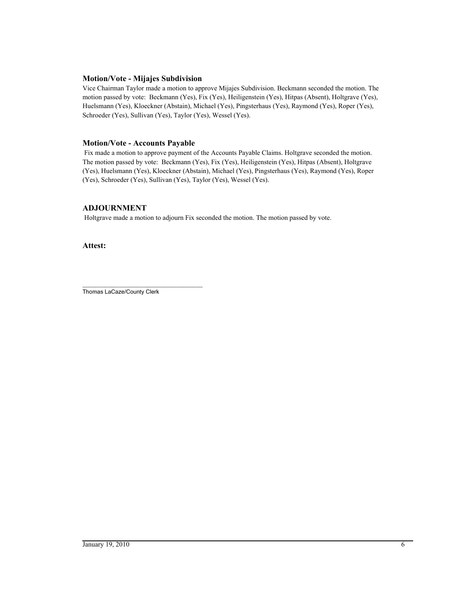#### **Motion/Vote - Mijajes Subdivision**

Vice Chairman Taylor made a motion to approve Mijajes Subdivision. Beckmann seconded the motion. The motion passed by vote: Beckmann (Yes), Fix (Yes), Heiligenstein (Yes), Hitpas (Absent), Holtgrave (Yes), Huelsmann (Yes), Kloeckner (Abstain), Michael (Yes), Pingsterhaus (Yes), Raymond (Yes), Roper (Yes), Schroeder (Yes), Sullivan (Yes), Taylor (Yes), Wessel (Yes).

#### **Motion/Vote - Accounts Payable**

 Fix made a motion to approve payment of the Accounts Payable Claims. Holtgrave seconded the motion. The motion passed by vote: Beckmann (Yes), Fix (Yes), Heiligenstein (Yes), Hitpas (Absent), Holtgrave (Yes), Huelsmann (Yes), Kloeckner (Abstain), Michael (Yes), Pingsterhaus (Yes), Raymond (Yes), Roper (Yes), Schroeder (Yes), Sullivan (Yes), Taylor (Yes), Wessel (Yes).

## **ADJOURNMENT**

Holtgrave made a motion to adjourn Fix seconded the motion. The motion passed by vote.

**Attest:**

\_\_\_\_\_\_\_\_\_\_\_\_\_\_\_\_\_\_\_\_\_\_\_\_\_\_\_\_\_\_\_\_\_\_\_\_\_\_ Thomas LaCaze/County Clerk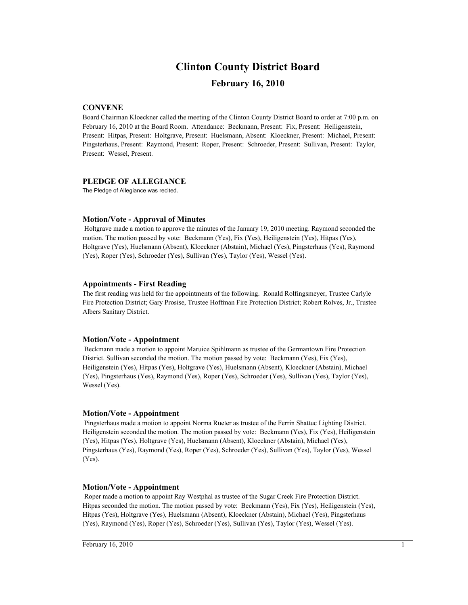# **Clinton County District Board**

## **February 16, 2010**

#### **CONVENE**

Board Chairman Kloeckner called the meeting of the Clinton County District Board to order at 7:00 p.m. on February 16, 2010 at the Board Room. Attendance: Beckmann, Present: Fix, Present: Heiligenstein, Present: Hitpas, Present: Holtgrave, Present: Huelsmann, Absent: Kloeckner, Present: Michael, Present: Pingsterhaus, Present: Raymond, Present: Roper, Present: Schroeder, Present: Sullivan, Present: Taylor, Present: Wessel, Present.

#### **PLEDGE OF ALLEGIANCE**

The Pledge of Allegiance was recited.

#### **Motion/Vote - Approval of Minutes**

 Holtgrave made a motion to approve the minutes of the January 19, 2010 meeting. Raymond seconded the motion. The motion passed by vote: Beckmann (Yes), Fix (Yes), Heiligenstein (Yes), Hitpas (Yes), Holtgrave (Yes), Huelsmann (Absent), Kloeckner (Abstain), Michael (Yes), Pingsterhaus (Yes), Raymond (Yes), Roper (Yes), Schroeder (Yes), Sullivan (Yes), Taylor (Yes), Wessel (Yes).

#### **Appointments - First Reading**

The first reading was held for the appointments of the following. Ronald Rolfingsmeyer, Trustee Carlyle Fire Protection District; Gary Prosise, Trustee Hoffman Fire Protection District; Robert Rolves, Jr., Trustee Albers Sanitary District.

#### **Motion/Vote - Appointment**

 Beckmann made a motion to appoint Maruice Spihlmann as trustee of the Germantown Fire Protection District. Sullivan seconded the motion. The motion passed by vote: Beckmann (Yes), Fix (Yes), Heiligenstein (Yes), Hitpas (Yes), Holtgrave (Yes), Huelsmann (Absent), Kloeckner (Abstain), Michael (Yes), Pingsterhaus (Yes), Raymond (Yes), Roper (Yes), Schroeder (Yes), Sullivan (Yes), Taylor (Yes), Wessel (Yes).

#### **Motion/Vote - Appointment**

 Pingsterhaus made a motion to appoint Norma Rueter as trustee of the Ferrin Shattuc Lighting District. Heiligenstein seconded the motion. The motion passed by vote: Beckmann (Yes), Fix (Yes), Heiligenstein (Yes), Hitpas (Yes), Holtgrave (Yes), Huelsmann (Absent), Kloeckner (Abstain), Michael (Yes), Pingsterhaus (Yes), Raymond (Yes), Roper (Yes), Schroeder (Yes), Sullivan (Yes), Taylor (Yes), Wessel (Yes).

#### **Motion/Vote - Appointment**

 Roper made a motion to appoint Ray Westphal as trustee of the Sugar Creek Fire Protection District. Hitpas seconded the motion. The motion passed by vote: Beckmann (Yes), Fix (Yes), Heiligenstein (Yes), Hitpas (Yes), Holtgrave (Yes), Huelsmann (Absent), Kloeckner (Abstain), Michael (Yes), Pingsterhaus (Yes), Raymond (Yes), Roper (Yes), Schroeder (Yes), Sullivan (Yes), Taylor (Yes), Wessel (Yes).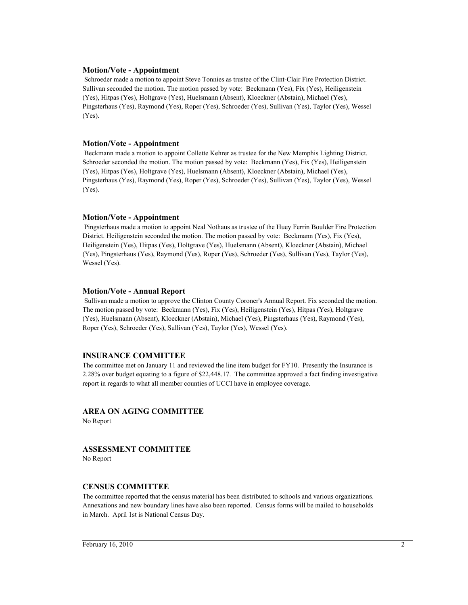#### **Motion/Vote - Appointment**

 Schroeder made a motion to appoint Steve Tonnies as trustee of the Clint-Clair Fire Protection District. Sullivan seconded the motion. The motion passed by vote: Beckmann (Yes), Fix (Yes), Heiligenstein (Yes), Hitpas (Yes), Holtgrave (Yes), Huelsmann (Absent), Kloeckner (Abstain), Michael (Yes), Pingsterhaus (Yes), Raymond (Yes), Roper (Yes), Schroeder (Yes), Sullivan (Yes), Taylor (Yes), Wessel (Yes).

#### **Motion/Vote - Appointment**

 Beckmann made a motion to appoint Collette Kehrer as trustee for the New Memphis Lighting District. Schroeder seconded the motion. The motion passed by vote: Beckmann (Yes), Fix (Yes), Heiligenstein (Yes), Hitpas (Yes), Holtgrave (Yes), Huelsmann (Absent), Kloeckner (Abstain), Michael (Yes), Pingsterhaus (Yes), Raymond (Yes), Roper (Yes), Schroeder (Yes), Sullivan (Yes), Taylor (Yes), Wessel (Yes).

#### **Motion/Vote - Appointment**

 Pingsterhaus made a motion to appoint Neal Nothaus as trustee of the Huey Ferrin Boulder Fire Protection District. Heiligenstein seconded the motion. The motion passed by vote: Beckmann (Yes), Fix (Yes), Heiligenstein (Yes), Hitpas (Yes), Holtgrave (Yes), Huelsmann (Absent), Kloeckner (Abstain), Michael (Yes), Pingsterhaus (Yes), Raymond (Yes), Roper (Yes), Schroeder (Yes), Sullivan (Yes), Taylor (Yes), Wessel (Yes).

#### **Motion/Vote - Annual Report**

 Sullivan made a motion to approve the Clinton County Coroner's Annual Report. Fix seconded the motion. The motion passed by vote: Beckmann (Yes), Fix (Yes), Heiligenstein (Yes), Hitpas (Yes), Holtgrave (Yes), Huelsmann (Absent), Kloeckner (Abstain), Michael (Yes), Pingsterhaus (Yes), Raymond (Yes), Roper (Yes), Schroeder (Yes), Sullivan (Yes), Taylor (Yes), Wessel (Yes).

#### **INSURANCE COMMITTEE**

The committee met on January 11 and reviewed the line item budget for FY10. Presently the Insurance is 2.28% over budget equating to a figure of \$22,448.17. The committee approved a fact finding investigative report in regards to what all member counties of UCCI have in employee coverage.

#### **AREA ON AGING COMMITTEE**

No Report

#### **ASSESSMENT COMMITTEE**

No Report

#### **CENSUS COMMITTEE**

The committee reported that the census material has been distributed to schools and various organizations. Annexations and new boundary lines have also been reported. Census forms will be mailed to households in March. April 1st is National Census Day.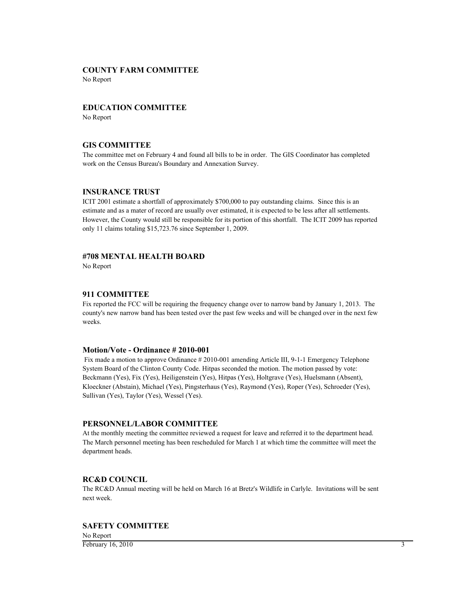#### **COUNTY FARM COMMITTEE**

No Report

#### **EDUCATION COMMITTEE**

No Report

## **GIS COMMITTEE**

The committee met on February 4 and found all bills to be in order. The GIS Coordinator has completed work on the Census Bureau's Boundary and Annexation Survey.

#### **INSURANCE TRUST**

ICIT 2001 estimate a shortfall of approximately \$700,000 to pay outstanding claims. Since this is an estimate and as a mater of record are usually over estimated, it is expected to be less after all settlements. However, the County would still be responsible for its portion of this shortfall. The ICIT 2009 has reported only 11 claims totaling \$15,723.76 since September 1, 2009.

#### **#708 MENTAL HEALTH BOARD**

No Report

#### **911 COMMITTEE**

Fix reported the FCC will be requiring the frequency change over to narrow band by January 1, 2013. The county's new narrow band has been tested over the past few weeks and will be changed over in the next few weeks.

#### **Motion/Vote - Ordinance # 2010-001**

 Fix made a motion to approve Ordinance # 2010-001 amending Article III, 9-1-1 Emergency Telephone System Board of the Clinton County Code. Hitpas seconded the motion. The motion passed by vote: Beckmann (Yes), Fix (Yes), Heiligenstein (Yes), Hitpas (Yes), Holtgrave (Yes), Huelsmann (Absent), Kloeckner (Abstain), Michael (Yes), Pingsterhaus (Yes), Raymond (Yes), Roper (Yes), Schroeder (Yes), Sullivan (Yes), Taylor (Yes), Wessel (Yes).

#### **PERSONNEL/LABOR COMMITTEE**

At the monthly meeting the committee reviewed a request for leave and referred it to the department head. The March personnel meeting has been rescheduled for March 1 at which time the committee will meet the department heads.

#### **RC&D COUNCIL**

The RC&D Annual meeting will be held on March 16 at Bretz's Wildlife in Carlyle. Invitations will be sent next week.

#### **SAFETY COMMITTEE**

No Report  $\frac{1}{2}$ February 16, 2010 3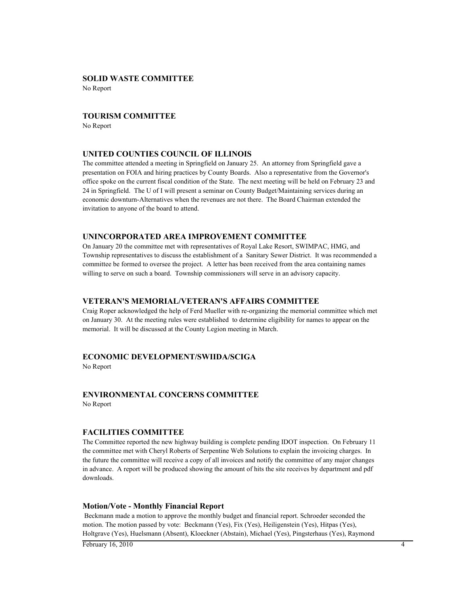## **SOLID WASTE COMMITTEE**

No Report

#### **TOURISM COMMITTEE**

No Report

#### **UNITED COUNTIES COUNCIL OF ILLINOIS**

The committee attended a meeting in Springfield on January 25. An attorney from Springfield gave a presentation on FOIA and hiring practices by County Boards. Also a representative from the Governor's office spoke on the current fiscal condition of the State. The next meeting will be held on February 23 and 24 in Springfield. The U of I will present a seminar on County Budget/Maintaining services during an economic downturn-Alternatives when the revenues are not there. The Board Chairman extended the invitation to anyone of the board to attend.

#### **UNINCORPORATED AREA IMPROVEMENT COMMITTEE**

On January 20 the committee met with representatives of Royal Lake Resort, SWIMPAC, HMG, and Township representatives to discuss the establishment of a Sanitary Sewer District. It was recommended a committee be formed to oversee the project. A letter has been received from the area containing names willing to serve on such a board. Township commissioners will serve in an advisory capacity.

#### **VETERAN'S MEMORIAL/VETERAN'S AFFAIRS COMMITTEE**

Craig Roper acknowledged the help of Ferd Mueller with re-organizing the memorial committee which met on January 30. At the meeting rules were established to determine eligibility for names to appear on the memorial. It will be discussed at the County Legion meeting in March.

## **ECONOMIC DEVELOPMENT/SWIIDA/SCIGA**

No Report

#### **ENVIRONMENTAL CONCERNS COMMITTEE** No Report

## **FACILITIES COMMITTEE**

The Committee reported the new highway building is complete pending IDOT inspection. On February 11 the committee met with Cheryl Roberts of Serpentine Web Solutions to explain the invoicing charges. In the future the committee will receive a copy of all invoices and notify the committee of any major changes in advance. A report will be produced showing the amount of hits the site receives by department and pdf downloads.

#### **Motion/Vote - Monthly Financial Report**

 Beckmann made a motion to approve the monthly budget and financial report. Schroeder seconded the motion. The motion passed by vote: Beckmann (Yes), Fix (Yes), Heiligenstein (Yes), Hitpas (Yes), Holtgrave (Yes), Huelsmann (Absent), Kloeckner (Abstain), Michael (Yes), Pingsterhaus (Yes), Raymond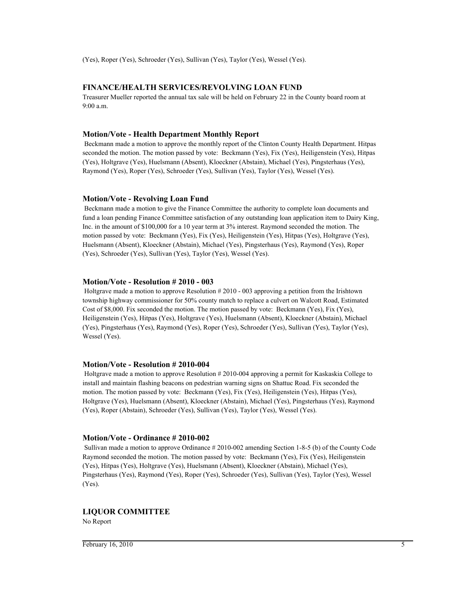(Yes), Roper (Yes), Schroeder (Yes), Sullivan (Yes), Taylor (Yes), Wessel (Yes).

## **FINANCE/HEALTH SERVICES/REVOLVING LOAN FUND**

Treasurer Mueller reported the annual tax sale will be held on February 22 in the County board room at 9:00 a.m.

#### **Motion/Vote - Health Department Monthly Report**

 Beckmann made a motion to approve the monthly report of the Clinton County Health Department. Hitpas seconded the motion. The motion passed by vote: Beckmann (Yes), Fix (Yes), Heiligenstein (Yes), Hitpas (Yes), Holtgrave (Yes), Huelsmann (Absent), Kloeckner (Abstain), Michael (Yes), Pingsterhaus (Yes), Raymond (Yes), Roper (Yes), Schroeder (Yes), Sullivan (Yes), Taylor (Yes), Wessel (Yes).

#### **Motion/Vote - Revolving Loan Fund**

 Beckmann made a motion to give the Finance Committee the authority to complete loan documents and fund a loan pending Finance Committee satisfaction of any outstanding loan application item to Dairy King, Inc. in the amount of \$100,000 for a 10 year term at 3% interest. Raymond seconded the motion. The motion passed by vote: Beckmann (Yes), Fix (Yes), Heiligenstein (Yes), Hitpas (Yes), Holtgrave (Yes), Huelsmann (Absent), Kloeckner (Abstain), Michael (Yes), Pingsterhaus (Yes), Raymond (Yes), Roper (Yes), Schroeder (Yes), Sullivan (Yes), Taylor (Yes), Wessel (Yes).

#### **Motion/Vote - Resolution # 2010 - 003**

 Holtgrave made a motion to approve Resolution # 2010 - 003 approving a petition from the Irishtown township highway commissioner for 50% county match to replace a culvert on Walcott Road, Estimated Cost of \$8,000. Fix seconded the motion. The motion passed by vote: Beckmann (Yes), Fix (Yes), Heiligenstein (Yes), Hitpas (Yes), Holtgrave (Yes), Huelsmann (Absent), Kloeckner (Abstain), Michael (Yes), Pingsterhaus (Yes), Raymond (Yes), Roper (Yes), Schroeder (Yes), Sullivan (Yes), Taylor (Yes), Wessel (Yes).

#### **Motion/Vote - Resolution # 2010-004**

 Holtgrave made a motion to approve Resolution # 2010-004 approving a permit for Kaskaskia College to install and maintain flashing beacons on pedestrian warning signs on Shattuc Road. Fix seconded the motion. The motion passed by vote: Beckmann (Yes), Fix (Yes), Heiligenstein (Yes), Hitpas (Yes), Holtgrave (Yes), Huelsmann (Absent), Kloeckner (Abstain), Michael (Yes), Pingsterhaus (Yes), Raymond (Yes), Roper (Abstain), Schroeder (Yes), Sullivan (Yes), Taylor (Yes), Wessel (Yes).

#### **Motion/Vote - Ordinance # 2010-002**

 Sullivan made a motion to approve Ordinance # 2010-002 amending Section 1-8-5 (b) of the County Code Raymond seconded the motion. The motion passed by vote: Beckmann (Yes), Fix (Yes), Heiligenstein (Yes), Hitpas (Yes), Holtgrave (Yes), Huelsmann (Absent), Kloeckner (Abstain), Michael (Yes), Pingsterhaus (Yes), Raymond (Yes), Roper (Yes), Schroeder (Yes), Sullivan (Yes), Taylor (Yes), Wessel (Yes).

#### **LIQUOR COMMITTEE**

No Report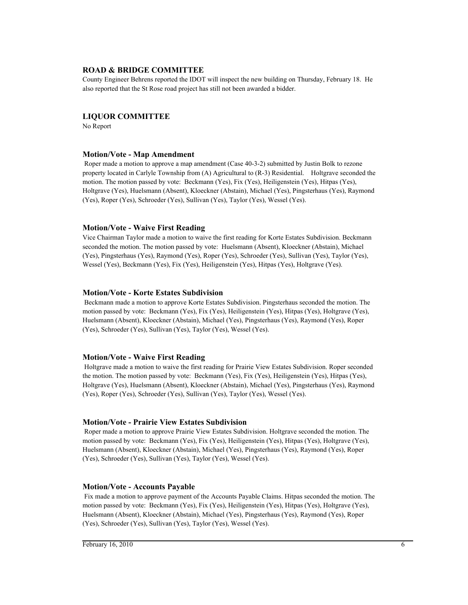#### **ROAD & BRIDGE COMMITTEE**

County Engineer Behrens reported the IDOT will inspect the new building on Thursday, February 18. He also reported that the St Rose road project has still not been awarded a bidder.

#### **LIQUOR COMMITTEE**

No Report

#### **Motion/Vote - Map Amendment**

 Roper made a motion to approve a map amendment (Case 40-3-2) submitted by Justin Bolk to rezone property located in Carlyle Township from (A) Agricultural to (R-3) Residential. Holtgrave seconded the motion. The motion passed by vote: Beckmann (Yes), Fix (Yes), Heiligenstein (Yes), Hitpas (Yes), Holtgrave (Yes), Huelsmann (Absent), Kloeckner (Abstain), Michael (Yes), Pingsterhaus (Yes), Raymond (Yes), Roper (Yes), Schroeder (Yes), Sullivan (Yes), Taylor (Yes), Wessel (Yes).

#### **Motion/Vote - Waive First Reading**

Vice Chairman Taylor made a motion to waive the first reading for Korte Estates Subdivision. Beckmann seconded the motion. The motion passed by vote: Huelsmann (Absent), Kloeckner (Abstain), Michael (Yes), Pingsterhaus (Yes), Raymond (Yes), Roper (Yes), Schroeder (Yes), Sullivan (Yes), Taylor (Yes), Wessel (Yes), Beckmann (Yes), Fix (Yes), Heiligenstein (Yes), Hitpas (Yes), Holtgrave (Yes).

#### **Motion/Vote - Korte Estates Subdivision**

 Beckmann made a motion to approve Korte Estates Subdivision. Pingsterhaus seconded the motion. The motion passed by vote: Beckmann (Yes), Fix (Yes), Heiligenstein (Yes), Hitpas (Yes), Holtgrave (Yes), Huelsmann (Absent), Kloeckner (Abstain), Michael (Yes), Pingsterhaus (Yes), Raymond (Yes), Roper (Yes), Schroeder (Yes), Sullivan (Yes), Taylor (Yes), Wessel (Yes).

#### **Motion/Vote - Waive First Reading**

 Holtgrave made a motion to waive the first reading for Prairie View Estates Subdivision. Roper seconded the motion. The motion passed by vote: Beckmann (Yes), Fix (Yes), Heiligenstein (Yes), Hitpas (Yes), Holtgrave (Yes), Huelsmann (Absent), Kloeckner (Abstain), Michael (Yes), Pingsterhaus (Yes), Raymond (Yes), Roper (Yes), Schroeder (Yes), Sullivan (Yes), Taylor (Yes), Wessel (Yes).

#### **Motion/Vote - Prairie View Estates Subdivision**

 Roper made a motion to approve Prairie View Estates Subdivision. Holtgrave seconded the motion. The motion passed by vote: Beckmann (Yes), Fix (Yes), Heiligenstein (Yes), Hitpas (Yes), Holtgrave (Yes), Huelsmann (Absent), Kloeckner (Abstain), Michael (Yes), Pingsterhaus (Yes), Raymond (Yes), Roper (Yes), Schroeder (Yes), Sullivan (Yes), Taylor (Yes), Wessel (Yes).

#### **Motion/Vote - Accounts Payable**

 Fix made a motion to approve payment of the Accounts Payable Claims. Hitpas seconded the motion. The motion passed by vote: Beckmann (Yes), Fix (Yes), Heiligenstein (Yes), Hitpas (Yes), Holtgrave (Yes), Huelsmann (Absent), Kloeckner (Abstain), Michael (Yes), Pingsterhaus (Yes), Raymond (Yes), Roper (Yes), Schroeder (Yes), Sullivan (Yes), Taylor (Yes), Wessel (Yes).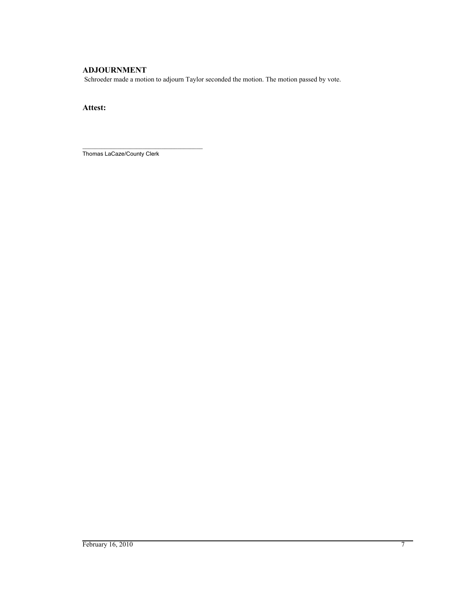## **ADJOURNMENT**

Schroeder made a motion to adjourn Taylor seconded the motion. The motion passed by vote.

**Attest:**

\_\_\_\_\_\_\_\_\_\_\_\_\_\_\_\_\_\_\_\_\_\_\_\_\_\_\_\_\_\_\_\_\_\_\_\_\_\_ Thomas LaCaze/County Clerk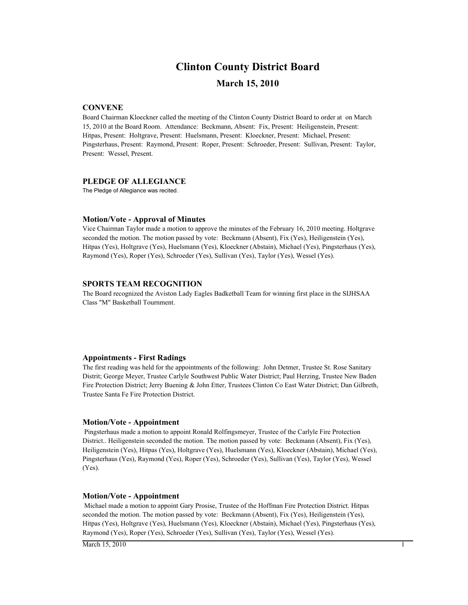# **Clinton County District Board**

## **March 15, 2010**

#### **CONVENE**

Board Chairman Kloeckner called the meeting of the Clinton County District Board to order at on March 15, 2010 at the Board Room. Attendance: Beckmann, Absent: Fix, Present: Heiligenstein, Present: Hitpas, Present: Holtgrave, Present: Huelsmann, Present: Kloeckner, Present: Michael, Present: Pingsterhaus, Present: Raymond, Present: Roper, Present: Schroeder, Present: Sullivan, Present: Taylor, Present: Wessel, Present.

#### **PLEDGE OF ALLEGIANCE**

The Pledge of Allegiance was recited.

#### **Motion/Vote - Approval of Minutes**

Vice Chairman Taylor made a motion to approve the minutes of the February 16, 2010 meeting. Holtgrave seconded the motion. The motion passed by vote: Beckmann (Absent), Fix (Yes), Heiligenstein (Yes), Hitpas (Yes), Holtgrave (Yes), Huelsmann (Yes), Kloeckner (Abstain), Michael (Yes), Pingsterhaus (Yes), Raymond (Yes), Roper (Yes), Schroeder (Yes), Sullivan (Yes), Taylor (Yes), Wessel (Yes).

#### **SPORTS TEAM RECOGNITION**

The Board recognized the Aviston Lady Eagles Badketball Team for winning first place in the SIJHSAA Class "M" Basketball Tournment.

#### **Appointments - First Radings**

The first reading was held for the appointments of the following: John Detmer, Trustee St. Rose Sanitary Distrit; George Meyer, Trustee Carlyle Southwest Public Water District; Paul Herzing, Trustee New Baden Fire Protection District; Jerry Buening & John Etter, Trustees Clinton Co East Water District; Dan Gilbreth, Trustee Santa Fe Fire Protection District.

#### **Motion/Vote - Appointment**

 Pingsterhaus made a motion to appoint Ronald Rolfingsmeyer, Trustee of the Carlyle Fire Protection District.. Heiligenstein seconded the motion. The motion passed by vote: Beckmann (Absent), Fix (Yes), Heiligenstein (Yes), Hitpas (Yes), Holtgrave (Yes), Huelsmann (Yes), Kloeckner (Abstain), Michael (Yes), Pingsterhaus (Yes), Raymond (Yes), Roper (Yes), Schroeder (Yes), Sullivan (Yes), Taylor (Yes), Wessel (Yes).

#### **Motion/Vote - Appointment**

 Michael made a motion to appoint Gary Prosise, Trustee of the Hoffman Fire Protection District. Hitpas seconded the motion. The motion passed by vote: Beckmann (Absent), Fix (Yes), Heiligenstein (Yes), Hitpas (Yes), Holtgrave (Yes), Huelsmann (Yes), Kloeckner (Abstain), Michael (Yes), Pingsterhaus (Yes), Raymond (Yes), Roper (Yes), Schroeder (Yes), Sullivan (Yes), Taylor (Yes), Wessel (Yes).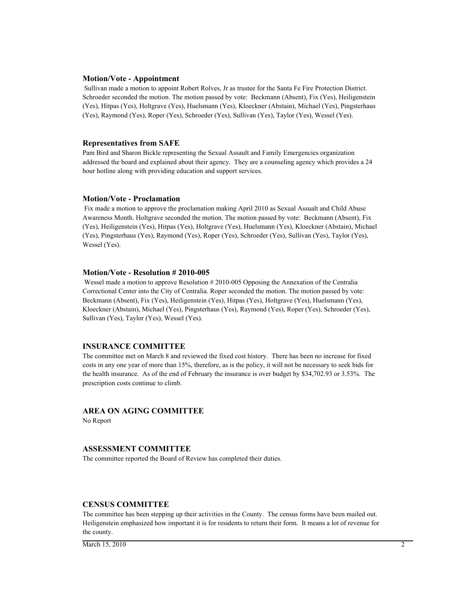#### **Motion/Vote - Appointment**

 Sullivan made a motion to appoint Robert Rolves, Jr as trustee for the Santa Fe Fire Protection District. Schroeder seconded the motion. The motion passed by vote: Beckmann (Absent), Fix (Yes), Heiligenstein (Yes), Hitpas (Yes), Holtgrave (Yes), Huelsmann (Yes), Kloeckner (Abstain), Michael (Yes), Pingsterhaus (Yes), Raymond (Yes), Roper (Yes), Schroeder (Yes), Sullivan (Yes), Taylor (Yes), Wessel (Yes).

#### **Representatives from SAFE**

Pam Bird and Sharon Bickle representing the Sexual Assault and Family Emergencies organization addressed the board and explained about their agency. They are a counseling agency which provides a 24 hour hotline along with providing education and support services.

#### **Motion/Vote - Proclamation**

 Fix made a motion to approve the proclamation making April 2010 as Sexual Assualt and Child Abuse Awareness Month. Holtgrave seconded the motion. The motion passed by vote: Beckmann (Absent), Fix (Yes), Heiligenstein (Yes), Hitpas (Yes), Holtgrave (Yes), Huelsmann (Yes), Kloeckner (Abstain), Michael (Yes), Pingsterhaus (Yes), Raymond (Yes), Roper (Yes), Schroeder (Yes), Sullivan (Yes), Taylor (Yes), Wessel (Yes).

#### **Motion/Vote - Resolution # 2010-005**

 Wessel made a motion to approve Resolution # 2010-005 Opposing the Annexation of the Centralia Correctional Center into the City of Centralia. Roper seconded the motion. The motion passed by vote: Beckmann (Absent), Fix (Yes), Heiligenstein (Yes), Hitpas (Yes), Holtgrave (Yes), Huelsmann (Yes), Kloeckner (Abstain), Michael (Yes), Pingsterhaus (Yes), Raymond (Yes), Roper (Yes), Schroeder (Yes), Sullivan (Yes), Taylor (Yes), Wessel (Yes).

#### **INSURANCE COMMITTEE**

The committee met on March 8 and reviewed the fixed cost history. There has been no increase for fixed costs in any one year of more than 15%, therefore, as is the policy, it will not be necessary to seek bids for the health insurance. As of the end of February the insurance is over budget by \$34,702.93 or 3.53%. The prescription costs continue to climb.

#### **AREA ON AGING COMMITTEE**

No Report

#### **ASSESSMENT COMMITTEE**

The committee reported the Board of Review has completed their duties.

#### **CENSUS COMMITTEE**

The committee has been stepping up their activities in the County. The census forms have been mailed out. Heiligenstein emphasized how important it is for residents to return their form. It means a lot of revenue for the county.

March 15, 2010 2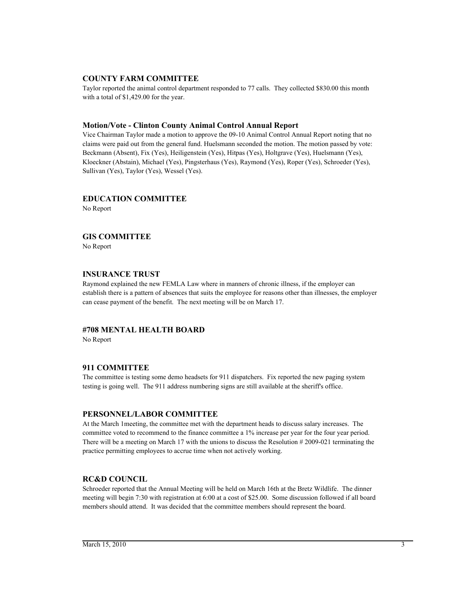#### **COUNTY FARM COMMITTEE**

Taylor reported the animal control department responded to 77 calls. They collected \$830.00 this month with a total of \$1,429.00 for the year.

#### **Motion/Vote - Clinton County Animal Control Annual Report**

Vice Chairman Taylor made a motion to approve the 09-10 Animal Control Annual Report noting that no claims were paid out from the general fund. Huelsmann seconded the motion. The motion passed by vote: Beckmann (Absent), Fix (Yes), Heiligenstein (Yes), Hitpas (Yes), Holtgrave (Yes), Huelsmann (Yes), Kloeckner (Abstain), Michael (Yes), Pingsterhaus (Yes), Raymond (Yes), Roper (Yes), Schroeder (Yes), Sullivan (Yes), Taylor (Yes), Wessel (Yes).

## **EDUCATION COMMITTEE**

No Report

## **GIS COMMITTEE**

No Report

#### **INSURANCE TRUST**

Raymond explained the new FEMLA Law where in manners of chronic illness, if the employer can establish there is a pattern of absences that suits the employee for reasons other than illnesses, the employer can cease payment of the benefit. The next meeting will be on March 17.

#### **#708 MENTAL HEALTH BOARD**

No Report

#### **911 COMMITTEE**

The committee is testing some demo headsets for 911 dispatchers. Fix reported the new paging system testing is going well. The 911 address numbering signs are still available at the sheriff's office.

#### **PERSONNEL/LABOR COMMITTEE**

At the March 1meeting, the committee met with the department heads to discuss salary increases. The committee voted to recommend to the finance committee a 1% increase per year for the four year period. There will be a meeting on March 17 with the unions to discuss the Resolution # 2009-021 terminating the practice permitting employees to accrue time when not actively working.

## **RC&D COUNCIL**

Schroeder reported that the Annual Meeting will be held on March 16th at the Bretz Wildlife. The dinner meeting will begin 7:30 with registration at 6:00 at a cost of \$25.00. Some discussion followed if all board members should attend. It was decided that the committee members should represent the board.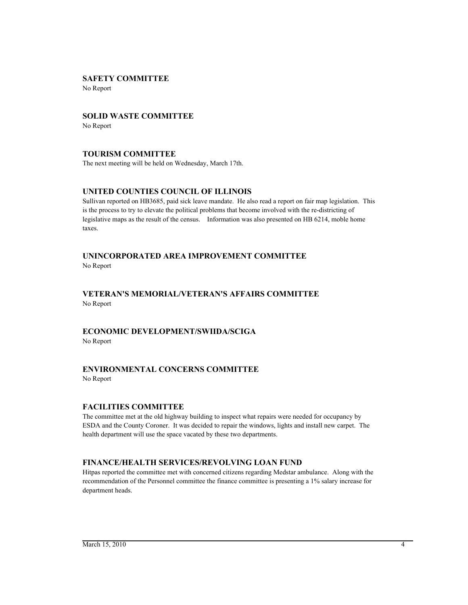## **SAFETY COMMITTEE**

No Report

## **SOLID WASTE COMMITTEE**

No Report

## **TOURISM COMMITTEE**

The next meeting will be held on Wednesday, March 17th.

## **UNITED COUNTIES COUNCIL OF ILLINOIS**

Sullivan reported on HB3685, paid sick leave mandate. He also read a report on fair map legislation. This is the process to try to elevate the political problems that become involved with the re-districting of legislative maps as the result of the census. Information was also presented on HB 6214, moble home taxes.

# **UNINCORPORATED AREA IMPROVEMENT COMMITTEE**

No Report

## **VETERAN'S MEMORIAL/VETERAN'S AFFAIRS COMMITTEE** No Report

#### **ECONOMIC DEVELOPMENT/SWIIDA/SCIGA** No Report

## **ENVIRONMENTAL CONCERNS COMMITTEE**

No Report

#### **FACILITIES COMMITTEE**

The committee met at the old highway building to inspect what repairs were needed for occupancy by ESDA and the County Coroner. It was decided to repair the windows, lights and install new carpet. The health department will use the space vacated by these two departments.

## **FINANCE/HEALTH SERVICES/REVOLVING LOAN FUND**

Hitpas reported the committee met with concerned citizens regarding Medstar ambulance. Along with the recommendation of the Personnel committee the finance committee is presenting a 1% salary increase for department heads.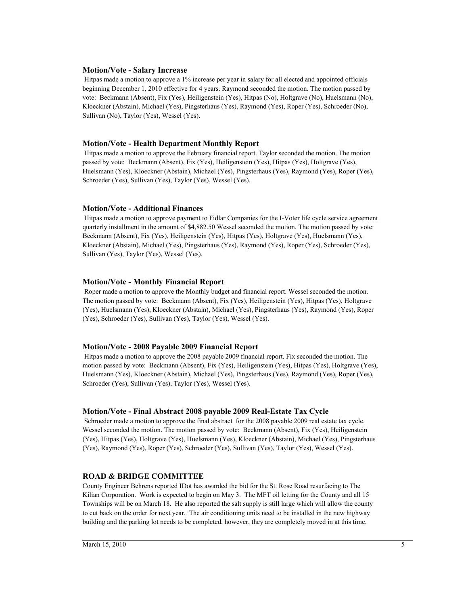#### **Motion/Vote - Salary Increase**

 Hitpas made a motion to approve a 1% increase per year in salary for all elected and appointed officials beginning December 1, 2010 effective for 4 years. Raymond seconded the motion. The motion passed by vote: Beckmann (Absent), Fix (Yes), Heiligenstein (Yes), Hitpas (No), Holtgrave (No), Huelsmann (No), Kloeckner (Abstain), Michael (Yes), Pingsterhaus (Yes), Raymond (Yes), Roper (Yes), Schroeder (No), Sullivan (No), Taylor (Yes), Wessel (Yes).

#### **Motion/Vote - Health Department Monthly Report**

 Hitpas made a motion to approve the February financial report. Taylor seconded the motion. The motion passed by vote: Beckmann (Absent), Fix (Yes), Heiligenstein (Yes), Hitpas (Yes), Holtgrave (Yes), Huelsmann (Yes), Kloeckner (Abstain), Michael (Yes), Pingsterhaus (Yes), Raymond (Yes), Roper (Yes), Schroeder (Yes), Sullivan (Yes), Taylor (Yes), Wessel (Yes).

#### **Motion/Vote - Additional Finances**

 Hitpas made a motion to approve payment to Fidlar Companies for the I-Voter life cycle service agreement quarterly installment in the amount of \$4,882.50 Wessel seconded the motion. The motion passed by vote: Beckmann (Absent), Fix (Yes), Heiligenstein (Yes), Hitpas (Yes), Holtgrave (Yes), Huelsmann (Yes), Kloeckner (Abstain), Michael (Yes), Pingsterhaus (Yes), Raymond (Yes), Roper (Yes), Schroeder (Yes), Sullivan (Yes), Taylor (Yes), Wessel (Yes).

#### **Motion/Vote - Monthly Financial Report**

 Roper made a motion to approve the Monthly budget and financial report. Wessel seconded the motion. The motion passed by vote: Beckmann (Absent), Fix (Yes), Heiligenstein (Yes), Hitpas (Yes), Holtgrave (Yes), Huelsmann (Yes), Kloeckner (Abstain), Michael (Yes), Pingsterhaus (Yes), Raymond (Yes), Roper (Yes), Schroeder (Yes), Sullivan (Yes), Taylor (Yes), Wessel (Yes).

#### **Motion/Vote - 2008 Payable 2009 Financial Report**

 Hitpas made a motion to approve the 2008 payable 2009 financial report. Fix seconded the motion. The motion passed by vote: Beckmann (Absent), Fix (Yes), Heiligenstein (Yes), Hitpas (Yes), Holtgrave (Yes), Huelsmann (Yes), Kloeckner (Abstain), Michael (Yes), Pingsterhaus (Yes), Raymond (Yes), Roper (Yes), Schroeder (Yes), Sullivan (Yes), Taylor (Yes), Wessel (Yes).

#### **Motion/Vote - Final Abstract 2008 payable 2009 Real-Estate Tax Cycle**

 Schroeder made a motion to approve the final abstract for the 2008 payable 2009 real estate tax cycle. Wessel seconded the motion. The motion passed by vote: Beckmann (Absent), Fix (Yes), Heiligenstein (Yes), Hitpas (Yes), Holtgrave (Yes), Huelsmann (Yes), Kloeckner (Abstain), Michael (Yes), Pingsterhaus (Yes), Raymond (Yes), Roper (Yes), Schroeder (Yes), Sullivan (Yes), Taylor (Yes), Wessel (Yes).

#### **ROAD & BRIDGE COMMITTEE**

County Engineer Behrens reported IDot has awarded the bid for the St. Rose Road resurfacing to The Kilian Corporation. Work is expected to begin on May 3. The MFT oil letting for the County and all 15 Townships will be on March 18. He also reported the salt supply is still large which will allow the county to cut back on the order for next year. The air conditioning units need to be installed in the new highway building and the parking lot needs to be completed, however, they are completely moved in at this time.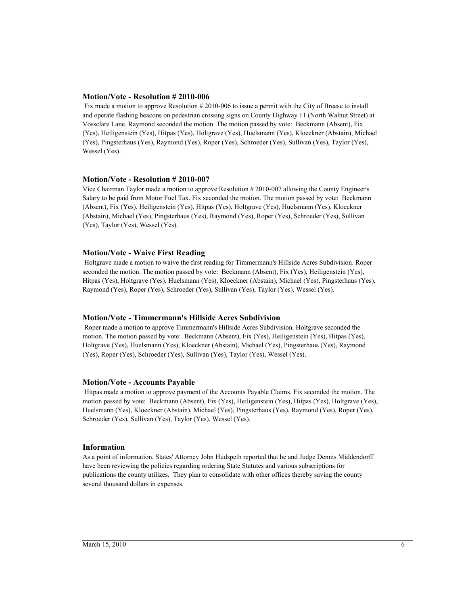#### **Motion/Vote - Resolution # 2010-006**

 Fix made a motion to approve Resolution # 2010-006 to issue a permit with the City of Breese to install and operate flashing beacons on pedestrian crossing signs on County Highway 11 (North Walnut Street) at Vossclare Lane. Raymond seconded the motion. The motion passed by vote: Beckmann (Absent), Fix (Yes), Heiligenstein (Yes), Hitpas (Yes), Holtgrave (Yes), Huelsmann (Yes), Kloeckner (Abstain), Michael (Yes), Pingsterhaus (Yes), Raymond (Yes), Roper (Yes), Schroeder (Yes), Sullivan (Yes), Taylor (Yes), Wessel (Yes).

#### **Motion/Vote - Resolution # 2010-007**

Vice Chairman Taylor made a motion to approve Resolution # 2010-007 allowing the County Engineer's Salary to be paid from Motor Fuel Tax. Fix seconded the motion. The motion passed by vote: Beckmann (Absent), Fix (Yes), Heiligenstein (Yes), Hitpas (Yes), Holtgrave (Yes), Huelsmann (Yes), Kloeckner (Abstain), Michael (Yes), Pingsterhaus (Yes), Raymond (Yes), Roper (Yes), Schroeder (Yes), Sullivan (Yes), Taylor (Yes), Wessel (Yes).

#### **Motion/Vote - Waive First Reading**

 Holtgrave made a motion to waive the first reading for Timmermann's Hillside Acres Subdivision. Roper seconded the motion. The motion passed by vote: Beckmann (Absent), Fix (Yes), Heiligenstein (Yes), Hitpas (Yes), Holtgrave (Yes), Huelsmann (Yes), Kloeckner (Abstain), Michael (Yes), Pingsterhaus (Yes), Raymond (Yes), Roper (Yes), Schroeder (Yes), Sullivan (Yes), Taylor (Yes), Wessel (Yes).

#### **Motion/Vote - Timmermann's Hillside Acres Subdivision**

 Roper made a motion to approve Timmermann's Hillside Acres Subdivision. Holtgrave seconded the motion. The motion passed by vote: Beckmann (Absent), Fix (Yes), Heiligenstein (Yes), Hitpas (Yes), Holtgrave (Yes), Huelsmann (Yes), Kloeckner (Abstain), Michael (Yes), Pingsterhaus (Yes), Raymond (Yes), Roper (Yes), Schroeder (Yes), Sullivan (Yes), Taylor (Yes), Wessel (Yes).

#### **Motion/Vote - Accounts Payable**

 Hitpas made a motion to approve payment of the Accounts Payable Claims. Fix seconded the motion. The motion passed by vote: Beckmann (Absent), Fix (Yes), Heiligenstein (Yes), Hitpas (Yes), Holtgrave (Yes), Huelsmann (Yes), Kloeckner (Abstain), Michael (Yes), Pingsterhaus (Yes), Raymond (Yes), Roper (Yes), Schroeder (Yes), Sullivan (Yes), Taylor (Yes), Wessel (Yes).

#### **Information**

As a point of information, States' Attorney John Hudspeth reported that he and Judge Dennis Middendorff have been reviewing the policies regarding ordering State Statutes and various subscriptions for publications the county utilizes. They plan to consolidate with other offices thereby saving the county several thousand dollars in expenses.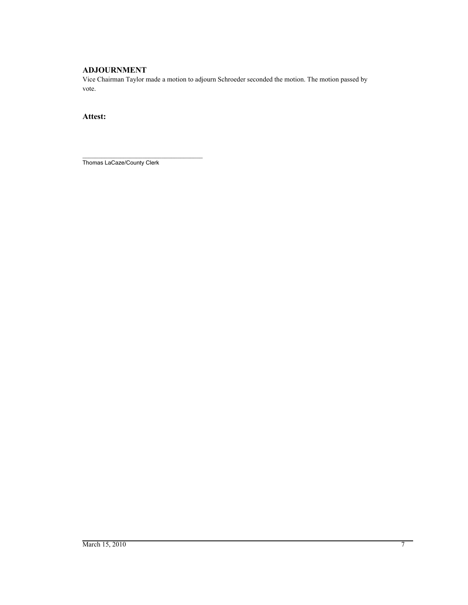## **ADJOURNMENT**

Vice Chairman Taylor made a motion to adjourn Schroeder seconded the motion. The motion passed by vote.

**Attest:**

\_\_\_\_\_\_\_\_\_\_\_\_\_\_\_\_\_\_\_\_\_\_\_\_\_\_\_\_\_\_\_\_\_\_\_\_\_\_ Thomas LaCaze/County Clerk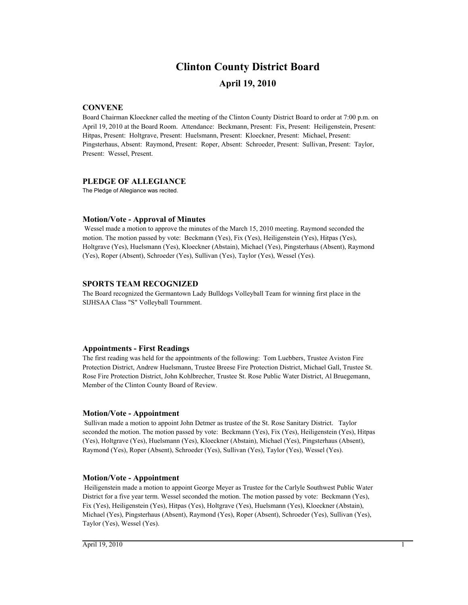# **April 19, 2010 Clinton County District Board**

#### **CONVENE**

Board Chairman Kloeckner called the meeting of the Clinton County District Board to order at 7:00 p.m. on April 19, 2010 at the Board Room. Attendance: Beckmann, Present: Fix, Present: Heiligenstein, Present: Hitpas, Present: Holtgrave, Present: Huelsmann, Present: Kloeckner, Present: Michael, Present: Pingsterhaus, Absent: Raymond, Present: Roper, Absent: Schroeder, Present: Sullivan, Present: Taylor, Present: Wessel, Present.

#### **PLEDGE OF ALLEGIANCE**

The Pledge of Allegiance was recited.

#### **Motion/Vote - Approval of Minutes**

 Wessel made a motion to approve the minutes of the March 15, 2010 meeting. Raymond seconded the motion. The motion passed by vote: Beckmann (Yes), Fix (Yes), Heiligenstein (Yes), Hitpas (Yes), Holtgrave (Yes), Huelsmann (Yes), Kloeckner (Abstain), Michael (Yes), Pingsterhaus (Absent), Raymond (Yes), Roper (Absent), Schroeder (Yes), Sullivan (Yes), Taylor (Yes), Wessel (Yes).

#### **SPORTS TEAM RECOGNIZED**

The Board recognized the Germantown Lady Bulldogs Volleyball Team for winning first place in the SIJHSAA Class "S" Volleyball Tournment.

#### **Appointments - First Readings**

The first reading was held for the appointments of the following: Tom Luebbers, Trustee Aviston Fire Protection District, Andrew Huelsmann, Trustee Breese Fire Protection District, Michael Gall, Trustee St. Rose Fire Protection District, John Kohlbrecher, Trustee St. Rose Public Water District, Al Bruegemann, Member of the Clinton County Board of Review.

#### **Motion/Vote - Appointment**

 Sullivan made a motion to appoint John Detmer as trustee of the St. Rose Sanitary District. Taylor seconded the motion. The motion passed by vote: Beckmann (Yes), Fix (Yes), Heiligenstein (Yes), Hitpas (Yes), Holtgrave (Yes), Huelsmann (Yes), Kloeckner (Abstain), Michael (Yes), Pingsterhaus (Absent), Raymond (Yes), Roper (Absent), Schroeder (Yes), Sullivan (Yes), Taylor (Yes), Wessel (Yes).

#### **Motion/Vote - Appointment**

 Heiligenstein made a motion to appoint George Meyer as Trustee for the Carlyle Southwest Public Water District for a five year term. Wessel seconded the motion. The motion passed by vote: Beckmann (Yes), Fix (Yes), Heiligenstein (Yes), Hitpas (Yes), Holtgrave (Yes), Huelsmann (Yes), Kloeckner (Abstain), Michael (Yes), Pingsterhaus (Absent), Raymond (Yes), Roper (Absent), Schroeder (Yes), Sullivan (Yes), Taylor (Yes), Wessel (Yes).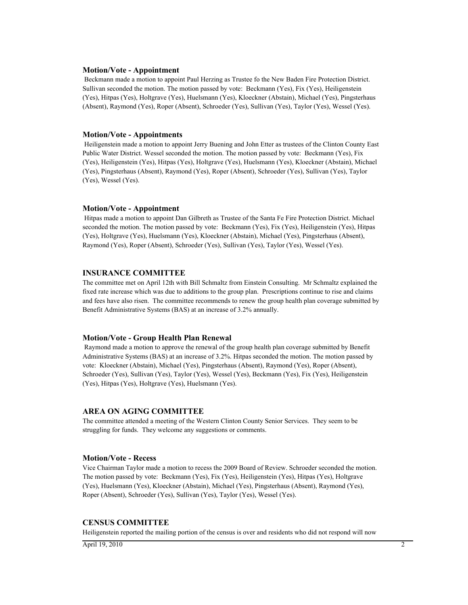#### **Motion/Vote - Appointment**

 Beckmann made a motion to appoint Paul Herzing as Trustee fo the New Baden Fire Protection District. Sullivan seconded the motion. The motion passed by vote: Beckmann (Yes), Fix (Yes), Heiligenstein (Yes), Hitpas (Yes), Holtgrave (Yes), Huelsmann (Yes), Kloeckner (Abstain), Michael (Yes), Pingsterhaus (Absent), Raymond (Yes), Roper (Absent), Schroeder (Yes), Sullivan (Yes), Taylor (Yes), Wessel (Yes).

#### **Motion/Vote - Appointments**

 Heiligenstein made a motion to appoint Jerry Buening and John Etter as trustees of the Clinton County East Public Water District. Wessel seconded the motion. The motion passed by vote: Beckmann (Yes), Fix (Yes), Heiligenstein (Yes), Hitpas (Yes), Holtgrave (Yes), Huelsmann (Yes), Kloeckner (Abstain), Michael (Yes), Pingsterhaus (Absent), Raymond (Yes), Roper (Absent), Schroeder (Yes), Sullivan (Yes), Taylor (Yes), Wessel (Yes).

#### **Motion/Vote - Appointment**

 Hitpas made a motion to appoint Dan Gilbreth as Trustee of the Santa Fe Fire Protection District. Michael seconded the motion. The motion passed by vote: Beckmann (Yes), Fix (Yes), Heiligenstein (Yes), Hitpas (Yes), Holtgrave (Yes), Huelsmann (Yes), Kloeckner (Abstain), Michael (Yes), Pingsterhaus (Absent), Raymond (Yes), Roper (Absent), Schroeder (Yes), Sullivan (Yes), Taylor (Yes), Wessel (Yes).

#### **INSURANCE COMMITTEE**

The committee met on April 12th with Bill Schmaltz from Einstein Consulting. Mr Schmaltz explained the fixed rate increase which was due to additions to the group plan. Prescriptions continue to rise and claims and fees have also risen. The committee recommends to renew the group health plan coverage submitted by Benefit Administrative Systems (BAS) at an increase of 3.2% annually.

#### **Motion/Vote - Group Health Plan Renewal**

 Raymond made a motion to approve the renewal of the group health plan coverage submitted by Benefit Administrative Systems (BAS) at an increase of 3.2%. Hitpas seconded the motion. The motion passed by vote: Kloeckner (Abstain), Michael (Yes), Pingsterhaus (Absent), Raymond (Yes), Roper (Absent), Schroeder (Yes), Sullivan (Yes), Taylor (Yes), Wessel (Yes), Beckmann (Yes), Fix (Yes), Heiligenstein (Yes), Hitpas (Yes), Holtgrave (Yes), Huelsmann (Yes).

#### **AREA ON AGING COMMITTEE**

The committee attended a meeting of the Western Clinton County Senior Services. They seem to be struggling for funds. They welcome any suggestions or comments.

#### **Motion/Vote - Recess**

Vice Chairman Taylor made a motion to recess the 2009 Board of Review. Schroeder seconded the motion. The motion passed by vote: Beckmann (Yes), Fix (Yes), Heiligenstein (Yes), Hitpas (Yes), Holtgrave (Yes), Huelsmann (Yes), Kloeckner (Abstain), Michael (Yes), Pingsterhaus (Absent), Raymond (Yes), Roper (Absent), Schroeder (Yes), Sullivan (Yes), Taylor (Yes), Wessel (Yes).

#### **CENSUS COMMITTEE**

Heiligenstein reported the mailing portion of the census is over and residents who did not respond will now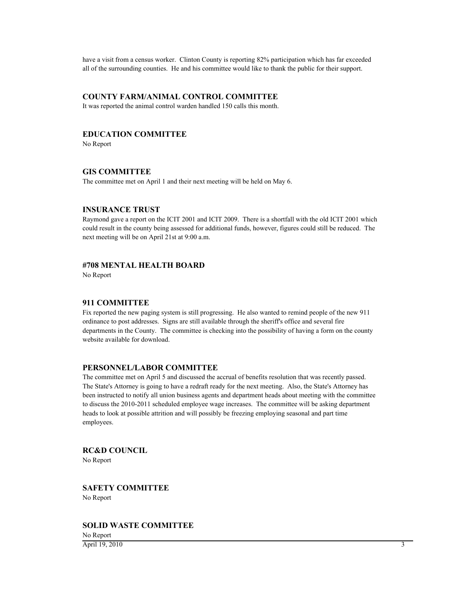have a visit from a census worker. Clinton County is reporting 82% participation which has far exceeded all of the surrounding counties. He and his committee would like to thank the public for their support.

## **COUNTY FARM/ANIMAL CONTROL COMMITTEE**

It was reported the animal control warden handled 150 calls this month.

## **EDUCATION COMMITTEE**

No Report

#### **GIS COMMITTEE**

The committee met on April 1 and their next meeting will be held on May 6.

#### **INSURANCE TRUST**

Raymond gave a report on the ICIT 2001 and ICIT 2009. There is a shortfall with the old ICIT 2001 which could result in the county being assessed for additional funds, however, figures could still be reduced. The next meeting will be on April 21st at 9:00 a.m.

### **#708 MENTAL HEALTH BOARD**

No Report

#### **911 COMMITTEE**

Fix reported the new paging system is still progressing. He also wanted to remind people of the new 911 ordinance to post addresses. Signs are still available through the sheriff's office and several fire departments in the County. The committee is checking into the possibility of having a form on the county website available for download.

#### **PERSONNEL/LABOR COMMITTEE**

The committee met on April 5 and discussed the accrual of benefits resolution that was recently passed. The State's Attorney is going to have a redraft ready for the next meeting. Also, the State's Attorney has been instructed to notify all union business agents and department heads about meeting with the committee to discuss the 2010-2011 scheduled employee wage increases. The committee will be asking department heads to look at possible attrition and will possibly be freezing employing seasonal and part time employees.

#### **RC&D COUNCIL** No Report

### **SAFETY COMMITTEE** No Report

**SOLID WASTE COMMITTEE**

No Report  $\overline{April 19, 2010}$  3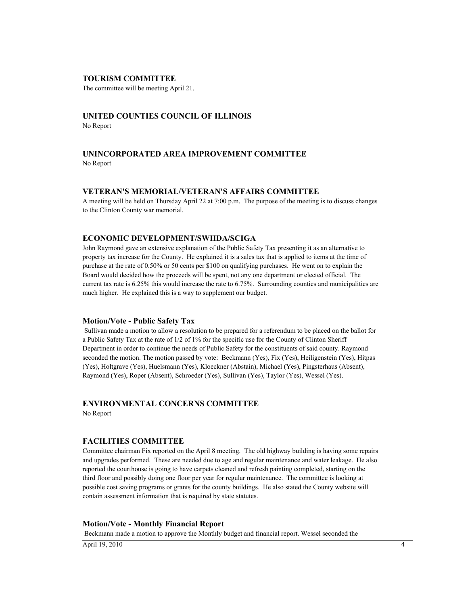#### **TOURISM COMMITTEE**

The committee will be meeting April 21.

#### **UNITED COUNTIES COUNCIL OF ILLINOIS** No Report

## **UNINCORPORATED AREA IMPROVEMENT COMMITTEE** No Report

#### **VETERAN'S MEMORIAL/VETERAN'S AFFAIRS COMMITTEE**

A meeting will be held on Thursday April 22 at 7:00 p.m. The purpose of the meeting is to discuss changes to the Clinton County war memorial.

#### **ECONOMIC DEVELOPMENT/SWIIDA/SCIGA**

John Raymond gave an extensive explanation of the Public Safety Tax presenting it as an alternative to property tax increase for the County. He explained it is a sales tax that is applied to items at the time of purchase at the rate of 0.50% or 50 cents per \$100 on qualifying purchases. He went on to explain the Board would decided how the proceeds will be spent, not any one department or elected official. The current tax rate is 6.25% this would increase the rate to 6.75%. Surrounding counties and municipalities are much higher. He explained this is a way to supplement our budget.

#### **Motion/Vote - Public Safety Tax**

 Sullivan made a motion to allow a resolution to be prepared for a referendum to be placed on the ballot for a Public Safety Tax at the rate of 1/2 of 1% for the specific use for the County of Clinton Sheriff Department in order to continue the needs of Public Safety for the constituents of said county. Raymond seconded the motion. The motion passed by vote: Beckmann (Yes), Fix (Yes), Heiligenstein (Yes), Hitpas (Yes), Holtgrave (Yes), Huelsmann (Yes), Kloeckner (Abstain), Michael (Yes), Pingsterhaus (Absent), Raymond (Yes), Roper (Absent), Schroeder (Yes), Sullivan (Yes), Taylor (Yes), Wessel (Yes).

## **ENVIRONMENTAL CONCERNS COMMITTEE**

No Report

#### **FACILITIES COMMITTEE**

Committee chairman Fix reported on the April 8 meeting. The old highway building is having some repairs and upgrades performed. These are needed due to age and regular maintenance and water leakage. He also reported the courthouse is going to have carpets cleaned and refresh painting completed, starting on the third floor and possibly doing one floor per year for regular maintenance. The committee is looking at possible cost saving programs or grants for the county buildings. He also stated the County website will contain assessment information that is required by state statutes.

#### **Motion/Vote - Monthly Financial Report**

Beckmann made a motion to approve the Monthly budget and financial report. Wessel seconded the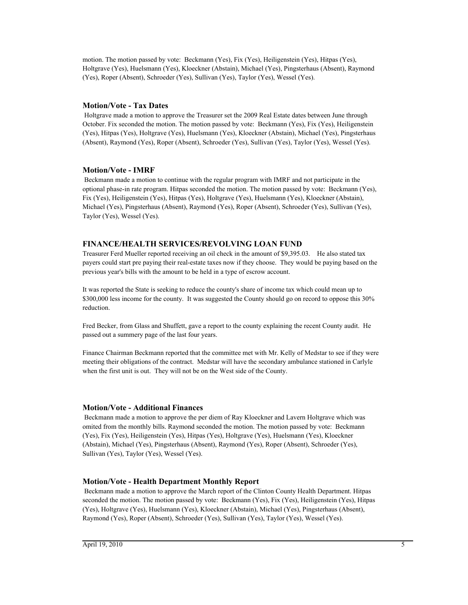motion. The motion passed by vote: Beckmann (Yes), Fix (Yes), Heiligenstein (Yes), Hitpas (Yes), Holtgrave (Yes), Huelsmann (Yes), Kloeckner (Abstain), Michael (Yes), Pingsterhaus (Absent), Raymond (Yes), Roper (Absent), Schroeder (Yes), Sullivan (Yes), Taylor (Yes), Wessel (Yes).

#### **Motion/Vote - Tax Dates**

 Holtgrave made a motion to approve the Treasurer set the 2009 Real Estate dates between June through October. Fix seconded the motion. The motion passed by vote: Beckmann (Yes), Fix (Yes), Heiligenstein (Yes), Hitpas (Yes), Holtgrave (Yes), Huelsmann (Yes), Kloeckner (Abstain), Michael (Yes), Pingsterhaus (Absent), Raymond (Yes), Roper (Absent), Schroeder (Yes), Sullivan (Yes), Taylor (Yes), Wessel (Yes).

#### **Motion/Vote - IMRF**

 Beckmann made a motion to continue with the regular program with IMRF and not participate in the optional phase-in rate program. Hitpas seconded the motion. The motion passed by vote: Beckmann (Yes), Fix (Yes), Heiligenstein (Yes), Hitpas (Yes), Holtgrave (Yes), Huelsmann (Yes), Kloeckner (Abstain), Michael (Yes), Pingsterhaus (Absent), Raymond (Yes), Roper (Absent), Schroeder (Yes), Sullivan (Yes), Taylor (Yes), Wessel (Yes).

#### **FINANCE/HEALTH SERVICES/REVOLVING LOAN FUND**

Treasurer Ferd Mueller reported receiving an oil check in the amount of \$9,395.03. He also stated tax payers could start pre paying their real-estate taxes now if they choose. They would be paying based on the previous year's bills with the amount to be held in a type of escrow account.

It was reported the State is seeking to reduce the county's share of income tax which could mean up to \$300,000 less income for the county. It was suggested the County should go on record to oppose this 30% reduction.

Fred Becker, from Glass and Shuffett, gave a report to the county explaining the recent County audit. He passed out a summery page of the last four years.

Finance Chairman Beckmann reported that the committee met with Mr. Kelly of Medstar to see if they were meeting their obligations of the contract. Medstar will have the secondary ambulance stationed in Carlyle when the first unit is out. They will not be on the West side of the County.

#### **Motion/Vote - Additional Finances**

 Beckmann made a motion to approve the per diem of Ray Kloeckner and Lavern Holtgrave which was omited from the monthly bills. Raymond seconded the motion. The motion passed by vote: Beckmann (Yes), Fix (Yes), Heiligenstein (Yes), Hitpas (Yes), Holtgrave (Yes), Huelsmann (Yes), Kloeckner (Abstain), Michael (Yes), Pingsterhaus (Absent), Raymond (Yes), Roper (Absent), Schroeder (Yes), Sullivan (Yes), Taylor (Yes), Wessel (Yes).

#### **Motion/Vote - Health Department Monthly Report**

 Beckmann made a motion to approve the March report of the Clinton County Health Department. Hitpas seconded the motion. The motion passed by vote: Beckmann (Yes), Fix (Yes), Heiligenstein (Yes), Hitpas (Yes), Holtgrave (Yes), Huelsmann (Yes), Kloeckner (Abstain), Michael (Yes), Pingsterhaus (Absent), Raymond (Yes), Roper (Absent), Schroeder (Yes), Sullivan (Yes), Taylor (Yes), Wessel (Yes).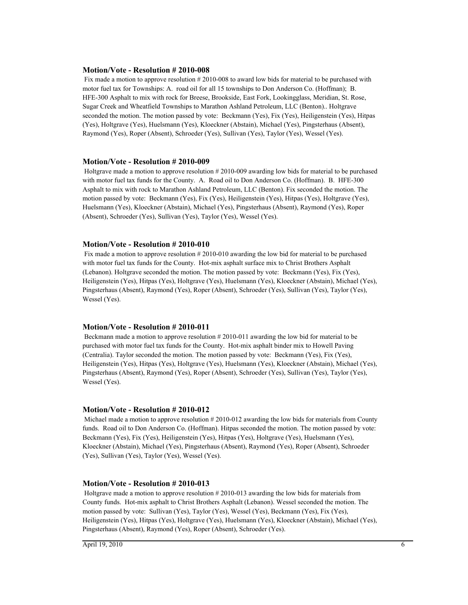#### **Motion/Vote - Resolution # 2010-008**

 Fix made a motion to approve resolution # 2010-008 to award low bids for material to be purchased with motor fuel tax for Townships: A. road oil for all 15 townships to Don Anderson Co. (Hoffman); B. HFE-300 Asphalt to mix with rock for Breese, Brookside, East Fork, Lookingglass, Meridian, St. Rose, Sugar Creek and Wheatfield Townships to Marathon Ashland Petroleum, LLC (Benton).. Holtgrave seconded the motion. The motion passed by vote: Beckmann (Yes), Fix (Yes), Heiligenstein (Yes), Hitpas (Yes), Holtgrave (Yes), Huelsmann (Yes), Kloeckner (Abstain), Michael (Yes), Pingsterhaus (Absent), Raymond (Yes), Roper (Absent), Schroeder (Yes), Sullivan (Yes), Taylor (Yes), Wessel (Yes).

#### **Motion/Vote - Resolution # 2010-009**

 Holtgrave made a motion to approve resolution # 2010-009 awarding low bids for material to be purchased with motor fuel tax funds for the County. A. Road oil to Don Anderson Co. (Hoffman). B. HFE-300 Asphalt to mix with rock to Marathon Ashland Petroleum, LLC (Benton). Fix seconded the motion. The motion passed by vote: Beckmann (Yes), Fix (Yes), Heiligenstein (Yes), Hitpas (Yes), Holtgrave (Yes), Huelsmann (Yes), Kloeckner (Abstain), Michael (Yes), Pingsterhaus (Absent), Raymond (Yes), Roper (Absent), Schroeder (Yes), Sullivan (Yes), Taylor (Yes), Wessel (Yes).

#### **Motion/Vote - Resolution # 2010-010**

 Fix made a motion to approve resolution # 2010-010 awarding the low bid for material to be purchased with motor fuel tax funds for the County. Hot-mix asphalt surface mix to Christ Brothers Asphalt (Lebanon). Holtgrave seconded the motion. The motion passed by vote: Beckmann (Yes), Fix (Yes), Heiligenstein (Yes), Hitpas (Yes), Holtgrave (Yes), Huelsmann (Yes), Kloeckner (Abstain), Michael (Yes), Pingsterhaus (Absent), Raymond (Yes), Roper (Absent), Schroeder (Yes), Sullivan (Yes), Taylor (Yes), Wessel (Yes).

#### **Motion/Vote - Resolution # 2010-011**

 Beckmann made a motion to approve resolution # 2010-011 awarding the low bid for material to be purchased with motor fuel tax funds for the County. Hot-mix asphalt binder mix to Howell Paving (Centralia). Taylor seconded the motion. The motion passed by vote: Beckmann (Yes), Fix (Yes), Heiligenstein (Yes), Hitpas (Yes), Holtgrave (Yes), Huelsmann (Yes), Kloeckner (Abstain), Michael (Yes), Pingsterhaus (Absent), Raymond (Yes), Roper (Absent), Schroeder (Yes), Sullivan (Yes), Taylor (Yes), Wessel (Yes).

#### **Motion/Vote - Resolution # 2010-012**

 Michael made a motion to approve resolution # 2010-012 awarding the low bids for materials from County funds. Road oil to Don Anderson Co. (Hoffman). Hitpas seconded the motion. The motion passed by vote: Beckmann (Yes), Fix (Yes), Heiligenstein (Yes), Hitpas (Yes), Holtgrave (Yes), Huelsmann (Yes), Kloeckner (Abstain), Michael (Yes), Pingsterhaus (Absent), Raymond (Yes), Roper (Absent), Schroeder (Yes), Sullivan (Yes), Taylor (Yes), Wessel (Yes).

#### **Motion/Vote - Resolution # 2010-013**

 Holtgrave made a motion to approve resolution # 2010-013 awarding the low bids for materials from County funds. Hot-mix asphalt to Christ Brothers Asphalt (Lebanon). Wessel seconded the motion. The motion passed by vote: Sullivan (Yes), Taylor (Yes), Wessel (Yes), Beckmann (Yes), Fix (Yes), Heiligenstein (Yes), Hitpas (Yes), Holtgrave (Yes), Huelsmann (Yes), Kloeckner (Abstain), Michael (Yes), Pingsterhaus (Absent), Raymond (Yes), Roper (Absent), Schroeder (Yes).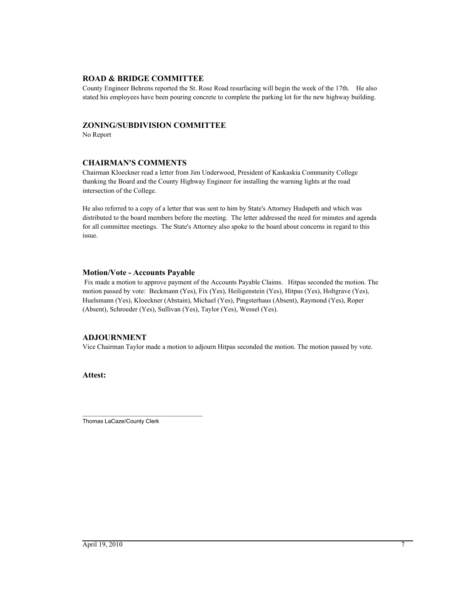#### **ROAD & BRIDGE COMMITTEE**

County Engineer Behrens reported the St. Rose Road resurfacing will begin the week of the 17th. He also stated his employees have been pouring concrete to complete the parking lot for the new highway building.

## **ZONING/SUBDIVISION COMMITTEE**

No Report

## **CHAIRMAN'S COMMENTS**

Chairman Kloeckner read a letter from Jim Underwood, President of Kaskaskia Community College thanking the Board and the County Highway Engineer for installing the warning lights at the road intersection of the College.

He also referred to a copy of a letter that was sent to him by State's Attorney Hudspeth and which was distributed to the board members before the meeting. The letter addressed the need for minutes and agenda for all committee meetings. The State's Attorney also spoke to the board about concerns in regard to this issue.

#### **Motion/Vote - Accounts Payable**

 Fix made a motion to approve payment of the Accounts Payable Claims. Hitpas seconded the motion. The motion passed by vote: Beckmann (Yes), Fix (Yes), Heiligenstein (Yes), Hitpas (Yes), Holtgrave (Yes), Huelsmann (Yes), Kloeckner (Abstain), Michael (Yes), Pingsterhaus (Absent), Raymond (Yes), Roper (Absent), Schroeder (Yes), Sullivan (Yes), Taylor (Yes), Wessel (Yes).

## **ADJOURNMENT**

Vice Chairman Taylor made a motion to adjourn Hitpas seconded the motion. The motion passed by vote.

**Attest:**

\_\_\_\_\_\_\_\_\_\_\_\_\_\_\_\_\_\_\_\_\_\_\_\_\_\_\_\_\_\_\_\_\_\_\_\_\_\_ Thomas LaCaze/County Clerk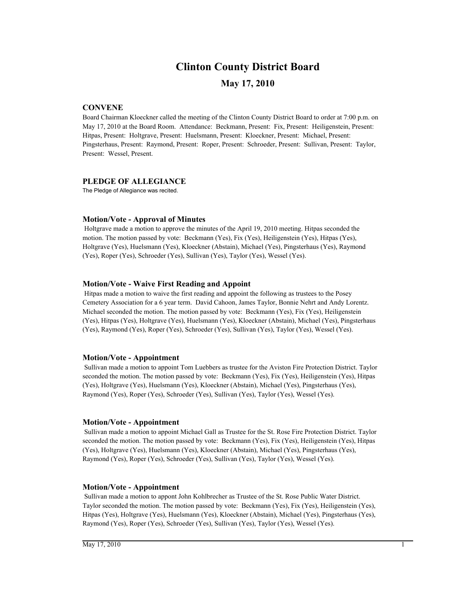# **Clinton County District Board**

## **May 17, 2010**

## **CONVENE**

Board Chairman Kloeckner called the meeting of the Clinton County District Board to order at 7:00 p.m. on May 17, 2010 at the Board Room. Attendance: Beckmann, Present: Fix, Present: Heiligenstein, Present: Hitpas, Present: Holtgrave, Present: Huelsmann, Present: Kloeckner, Present: Michael, Present: Pingsterhaus, Present: Raymond, Present: Roper, Present: Schroeder, Present: Sullivan, Present: Taylor, Present: Wessel, Present.

#### **PLEDGE OF ALLEGIANCE**

The Pledge of Allegiance was recited.

#### **Motion/Vote - Approval of Minutes**

 Holtgrave made a motion to approve the minutes of the April 19, 2010 meeting. Hitpas seconded the motion. The motion passed by vote: Beckmann (Yes), Fix (Yes), Heiligenstein (Yes), Hitpas (Yes), Holtgrave (Yes), Huelsmann (Yes), Kloeckner (Abstain), Michael (Yes), Pingsterhaus (Yes), Raymond (Yes), Roper (Yes), Schroeder (Yes), Sullivan (Yes), Taylor (Yes), Wessel (Yes).

## **Motion/Vote - Waive First Reading and Appoint**

 Hitpas made a motion to waive the first reading and appoint the following as trustees to the Posey Cemetery Association for a 6 year term. David Cahoon, James Taylor, Bonnie Nehrt and Andy Lorentz. Michael seconded the motion. The motion passed by vote: Beckmann (Yes), Fix (Yes), Heiligenstein (Yes), Hitpas (Yes), Holtgrave (Yes), Huelsmann (Yes), Kloeckner (Abstain), Michael (Yes), Pingsterhaus (Yes), Raymond (Yes), Roper (Yes), Schroeder (Yes), Sullivan (Yes), Taylor (Yes), Wessel (Yes).

#### **Motion/Vote - Appointment**

 Sullivan made a motion to appoint Tom Luebbers as trustee for the Aviston Fire Protection District. Taylor seconded the motion. The motion passed by vote: Beckmann (Yes), Fix (Yes), Heiligenstein (Yes), Hitpas (Yes), Holtgrave (Yes), Huelsmann (Yes), Kloeckner (Abstain), Michael (Yes), Pingsterhaus (Yes), Raymond (Yes), Roper (Yes), Schroeder (Yes), Sullivan (Yes), Taylor (Yes), Wessel (Yes).

#### **Motion/Vote - Appointment**

 Sullivan made a motion to appoint Michael Gall as Trustee for the St. Rose Fire Protection District. Taylor seconded the motion. The motion passed by vote: Beckmann (Yes), Fix (Yes), Heiligenstein (Yes), Hitpas (Yes), Holtgrave (Yes), Huelsmann (Yes), Kloeckner (Abstain), Michael (Yes), Pingsterhaus (Yes), Raymond (Yes), Roper (Yes), Schroeder (Yes), Sullivan (Yes), Taylor (Yes), Wessel (Yes).

#### **Motion/Vote - Appointment**

 Sullivan made a motion to appont John Kohlbrecher as Trustee of the St. Rose Public Water District. Taylor seconded the motion. The motion passed by vote: Beckmann (Yes), Fix (Yes), Heiligenstein (Yes), Hitpas (Yes), Holtgrave (Yes), Huelsmann (Yes), Kloeckner (Abstain), Michael (Yes), Pingsterhaus (Yes), Raymond (Yes), Roper (Yes), Schroeder (Yes), Sullivan (Yes), Taylor (Yes), Wessel (Yes).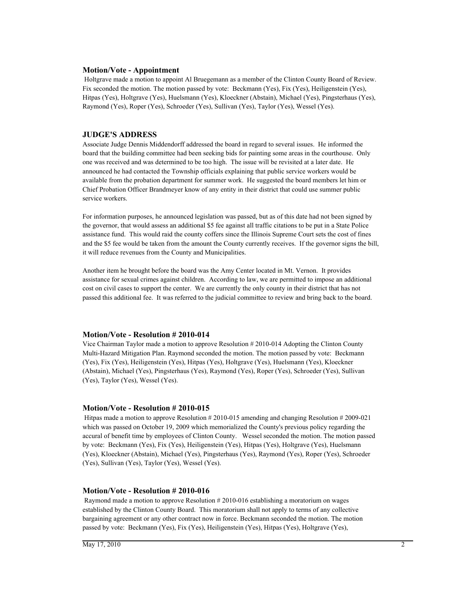#### **Motion/Vote - Appointment**

 Holtgrave made a motion to appoint Al Bruegemann as a member of the Clinton County Board of Review. Fix seconded the motion. The motion passed by vote: Beckmann (Yes), Fix (Yes), Heiligenstein (Yes), Hitpas (Yes), Holtgrave (Yes), Huelsmann (Yes), Kloeckner (Abstain), Michael (Yes), Pingsterhaus (Yes), Raymond (Yes), Roper (Yes), Schroeder (Yes), Sullivan (Yes), Taylor (Yes), Wessel (Yes).

#### **JUDGE'S ADDRESS**

Associate Judge Dennis Middendorff addressed the board in regard to several issues. He informed the board that the building committee had been seeking bids for painting some areas in the courthouse. Only one was received and was determined to be too high. The issue will be revisited at a later date. He announced he had contacted the Township officials explaining that public service workers would be available from the probation department for summer work. He suggested the board members let him or Chief Probation Officer Brandmeyer know of any entity in their district that could use summer public service workers.

For information purposes, he announced legislation was passed, but as of this date had not been signed by the governor, that would assess an additional \$5 fee against all traffic citations to be put in a State Police assistance fund. This would raid the county coffers since the Illinois Supreme Court sets the cost of fines and the \$5 fee would be taken from the amount the County currently receives. If the governor signs the bill, it will reduce revenues from the County and Municipalities.

Another item he brought before the board was the Amy Center located in Mt. Vernon. It provides assistance for sexual crimes against children. According to law, we are permitted to impose an additional cost on civil cases to support the center. We are currently the only county in their district that has not passed this additional fee. It was referred to the judicial committee to review and bring back to the board.

#### **Motion/Vote - Resolution # 2010-014**

Vice Chairman Taylor made a motion to approve Resolution # 2010-014 Adopting the Clinton County Multi-Hazard Mitigation Plan. Raymond seconded the motion. The motion passed by vote: Beckmann (Yes), Fix (Yes), Heiligenstein (Yes), Hitpas (Yes), Holtgrave (Yes), Huelsmann (Yes), Kloeckner (Abstain), Michael (Yes), Pingsterhaus (Yes), Raymond (Yes), Roper (Yes), Schroeder (Yes), Sullivan (Yes), Taylor (Yes), Wessel (Yes).

#### **Motion/Vote - Resolution # 2010-015**

 Hitpas made a motion to approve Resolution # 2010-015 amending and changing Resolution # 2009-021 which was passed on October 19, 2009 which memorialized the County's previous policy regarding the accural of benefit time by employees of Clinton County. Wessel seconded the motion. The motion passed by vote: Beckmann (Yes), Fix (Yes), Heiligenstein (Yes), Hitpas (Yes), Holtgrave (Yes), Huelsmann (Yes), Kloeckner (Abstain), Michael (Yes), Pingsterhaus (Yes), Raymond (Yes), Roper (Yes), Schroeder (Yes), Sullivan (Yes), Taylor (Yes), Wessel (Yes).

#### **Motion/Vote - Resolution # 2010-016**

 Raymond made a motion to approve Resolution # 2010-016 establishing a moratorium on wages established by the Clinton County Board. This moratorium shall not apply to terms of any collective bargaining agreement or any other contract now in force. Beckmann seconded the motion. The motion passed by vote: Beckmann (Yes), Fix (Yes), Heiligenstein (Yes), Hitpas (Yes), Holtgrave (Yes),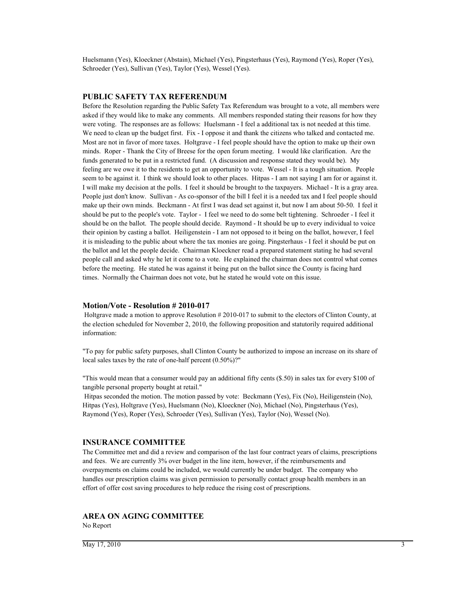Huelsmann (Yes), Kloeckner (Abstain), Michael (Yes), Pingsterhaus (Yes), Raymond (Yes), Roper (Yes), Schroeder (Yes), Sullivan (Yes), Taylor (Yes), Wessel (Yes).

#### **PUBLIC SAFETY TAX REFERENDUM**

Before the Resolution regarding the Public Safety Tax Referendum was brought to a vote, all members were asked if they would like to make any comments. All members responded stating their reasons for how they were voting. The responses are as follows: Huelsmann - I feel a additional tax is not needed at this time. We need to clean up the budget first. Fix - I oppose it and thank the citizens who talked and contacted me. Most are not in favor of more taxes. Holtgrave - I feel people should have the option to make up their own minds. Roper - Thank the City of Breese for the open forum meeting. I would like clarification. Are the funds generated to be put in a restricted fund. (A discussion and response stated they would be). My feeling are we owe it to the residents to get an opportunity to vote. Wessel - It is a tough situation. People seem to be against it. I think we should look to other places. Hitpas - I am not saying I am for or against it. I will make my decision at the polls. I feel it should be brought to the taxpayers. Michael - It is a gray area. People just don't know. Sullivan - As co-sponsor of the bill I feel it is a needed tax and I feel people should make up their own minds. Beckmann - At first I was dead set against it, but now I am about 50-50. I feel it should be put to the people's vote. Taylor - I feel we need to do some belt tightening. Schroeder - I feel it should be on the ballot. The people should decide. Raymond - It should be up to every individual to voice their opinion by casting a ballot. Heiligenstein - I am not opposed to it being on the ballot, however, I feel it is misleading to the public about where the tax monies are going. Pingsterhaus - I feel it should be put on the ballot and let the people decide. Chairman Kloeckner read a prepared statement stating he had several people call and asked why he let it come to a vote. He explained the chairman does not control what comes before the meeting. He stated he was against it being put on the ballot since the County is facing hard times. Normally the Chairman does not vote, but he stated he would vote on this issue.

#### **Motion/Vote - Resolution # 2010-017**

 Holtgrave made a motion to approve Resolution # 2010-017 to submit to the electors of Clinton County, at the election scheduled for November 2, 2010, the following proposition and statutorily required additional information:

"To pay for public safety purposes, shall Clinton County be authorized to impose an increase on its share of local sales taxes by the rate of one-half percent (0.50%)?"

"This would mean that a consumer would pay an additional fifty cents (\$.50) in sales tax for every \$100 of tangible personal property bought at retail."

 Hitpas seconded the motion. The motion passed by vote: Beckmann (Yes), Fix (No), Heiligenstein (No), Hitpas (Yes), Holtgrave (Yes), Huelsmann (No), Kloeckner (No), Michael (No), Pingsterhaus (Yes), Raymond (Yes), Roper (Yes), Schroeder (Yes), Sullivan (Yes), Taylor (No), Wessel (No).

#### **INSURANCE COMMITTEE**

The Committee met and did a review and comparison of the last four contract years of claims, prescriptions and fees. We are currently 3% over budget in the line item, however, if the reimbursements and overpayments on claims could be included, we would currently be under budget. The company who handles our prescription claims was given permission to personally contact group health members in an effort of offer cost saving procedures to help reduce the rising cost of prescriptions.

#### **AREA ON AGING COMMITTEE**

No Report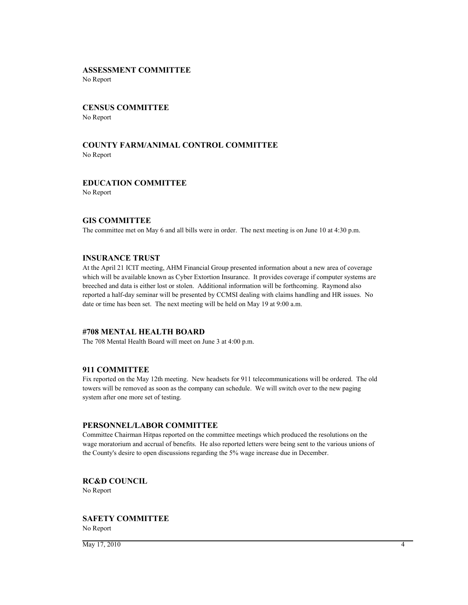## **ASSESSMENT COMMITTEE**

No Report

## **CENSUS COMMITTEE** No Report

## **COUNTY FARM/ANIMAL CONTROL COMMITTEE** No Report

## **EDUCATION COMMITTEE**

No Report

#### **GIS COMMITTEE**

The committee met on May 6 and all bills were in order. The next meeting is on June 10 at 4:30 p.m.

#### **INSURANCE TRUST**

At the April 21 ICIT meeting, AHM Financial Group presented information about a new area of coverage which will be available known as Cyber Extortion Insurance. It provides coverage if computer systems are breeched and data is either lost or stolen. Additional information will be forthcoming. Raymond also reported a half-day seminar will be presented by CCMSI dealing with claims handling and HR issues. No date or time has been set. The next meeting will be held on May 19 at 9:00 a.m.

## **#708 MENTAL HEALTH BOARD**

The 708 Mental Health Board will meet on June 3 at 4:00 p.m.

## **911 COMMITTEE**

Fix reported on the May 12th meeting. New headsets for 911 telecommunications will be ordered. The old towers will be removed as soon as the company can schedule. We will switch over to the new paging system after one more set of testing.

#### **PERSONNEL/LABOR COMMITTEE**

Committee Chairman Hitpas reported on the committee meetings which produced the resolutions on the wage moratorium and accrual of benefits. He also reported letters were being sent to the various unions of the County's desire to open discussions regarding the 5% wage increase due in December.

**RC&D COUNCIL** No Report

# **SAFETY COMMITTEE**

No Report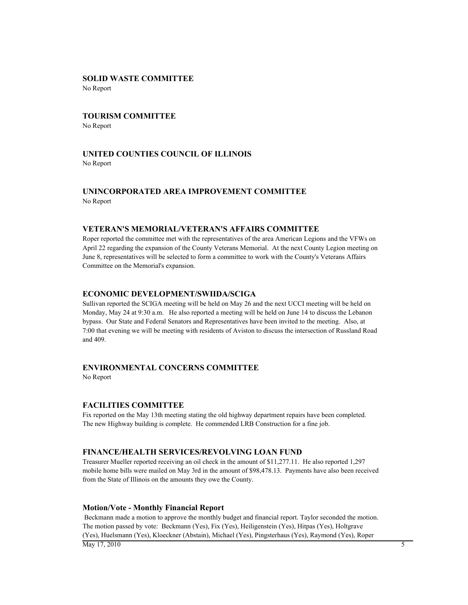## **SOLID WASTE COMMITTEE**

No Report

# **TOURISM COMMITTEE**

No Report

## **UNITED COUNTIES COUNCIL OF ILLINOIS** No Report

## **UNINCORPORATED AREA IMPROVEMENT COMMITTEE** No Report

#### **VETERAN'S MEMORIAL/VETERAN'S AFFAIRS COMMITTEE**

Roper reported the committee met with the representatives of the area American Legions and the VFWs on April 22 regarding the expansion of the County Veterans Memorial. At the next County Legion meeting on June 8, representatives will be selected to form a committee to work with the County's Veterans Affairs Committee on the Memorial's expansion.

#### **ECONOMIC DEVELOPMENT/SWIIDA/SCIGA**

Sullivan reported the SCIGA meeting will be held on May 26 and the next UCCI meeting will be held on Monday, May 24 at 9:30 a.m. He also reported a meeting will be held on June 14 to discuss the Lebanon bypass. Our State and Federal Senators and Representatives have been invited to the meeting. Also, at 7:00 that evening we will be meeting with residents of Aviston to discuss the intersection of Russland Road and 409.

## **ENVIRONMENTAL CONCERNS COMMITTEE**

No Report

#### **FACILITIES COMMITTEE**

Fix reported on the May 13th meeting stating the old highway department repairs have been completed. The new Highway building is complete. He commended LRB Construction for a fine job.

#### **FINANCE/HEALTH SERVICES/REVOLVING LOAN FUND**

Treasurer Mueller reported receiving an oil check in the amount of \$11,277.11. He also reported 1,297 mobile home bills were mailed on May 3rd in the amount of \$98,478.13. Payments have also been received from the State of Illinois on the amounts they owe the County.

#### **Motion/Vote - Monthly Financial Report**

 Beckmann made a motion to approve the monthly budget and financial report. Taylor seconded the motion. The motion passed by vote: Beckmann (Yes), Fix (Yes), Heiligenstein (Yes), Hitpas (Yes), Holtgrave (Yes), Huelsmann (Yes), Kloeckner (Abstain), Michael (Yes), Pingsterhaus (Yes), Raymond (Yes), Roper  $\overline{M}$ ay 17, 2010 5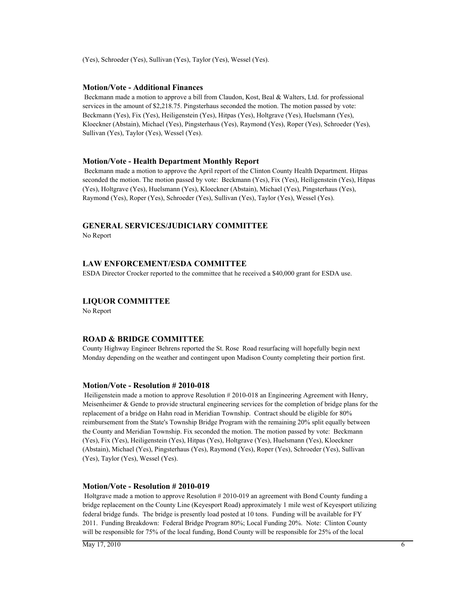(Yes), Schroeder (Yes), Sullivan (Yes), Taylor (Yes), Wessel (Yes).

#### **Motion/Vote - Additional Finances**

 Beckmann made a motion to approve a bill from Claudon, Kost, Beal & Walters, Ltd. for professional services in the amount of \$2,218.75. Pingsterhaus seconded the motion. The motion passed by vote: Beckmann (Yes), Fix (Yes), Heiligenstein (Yes), Hitpas (Yes), Holtgrave (Yes), Huelsmann (Yes), Kloeckner (Abstain), Michael (Yes), Pingsterhaus (Yes), Raymond (Yes), Roper (Yes), Schroeder (Yes), Sullivan (Yes), Taylor (Yes), Wessel (Yes).

#### **Motion/Vote - Health Department Monthly Report**

 Beckmann made a motion to approve the April report of the Clinton County Health Department. Hitpas seconded the motion. The motion passed by vote: Beckmann (Yes), Fix (Yes), Heiligenstein (Yes), Hitpas (Yes), Holtgrave (Yes), Huelsmann (Yes), Kloeckner (Abstain), Michael (Yes), Pingsterhaus (Yes), Raymond (Yes), Roper (Yes), Schroeder (Yes), Sullivan (Yes), Taylor (Yes), Wessel (Yes).

#### **GENERAL SERVICES/JUDICIARY COMMITTEE**

No Report

#### **LAW ENFORCEMENT/ESDA COMMITTEE**

ESDA Director Crocker reported to the committee that he received a \$40,000 grant for ESDA use.

#### **LIQUOR COMMITTEE**

No Report

#### **ROAD & BRIDGE COMMITTEE**

County Highway Engineer Behrens reported the St. Rose Road resurfacing will hopefully begin next Monday depending on the weather and contingent upon Madison County completing their portion first.

#### **Motion/Vote - Resolution # 2010-018**

 Heiligenstein made a motion to approve Resolution # 2010-018 an Engineering Agreement with Henry, Meisenheimer & Gende to provide structural engineering services for the completion of bridge plans for the replacement of a bridge on Hahn road in Meridian Township. Contract should be eligible for 80% reimbursement from the State's Township Bridge Program with the remaining 20% split equally between the County and Meridian Township. Fix seconded the motion. The motion passed by vote: Beckmann (Yes), Fix (Yes), Heiligenstein (Yes), Hitpas (Yes), Holtgrave (Yes), Huelsmann (Yes), Kloeckner (Abstain), Michael (Yes), Pingsterhaus (Yes), Raymond (Yes), Roper (Yes), Schroeder (Yes), Sullivan (Yes), Taylor (Yes), Wessel (Yes).

#### **Motion/Vote - Resolution # 2010-019**

 Holtgrave made a motion to approve Resolution # 2010-019 an agreement with Bond County funding a bridge replacement on the County Line (Keyesport Road) approximately 1 mile west of Keyesport utilizing federal bridge funds. The bridge is presently load posted at 10 tons. Funding will be available for FY 2011. Funding Breakdown: Federal Bridge Program 80%; Local Funding 20%. Note: Clinton County will be responsible for 75% of the local funding, Bond County will be responsible for 25% of the local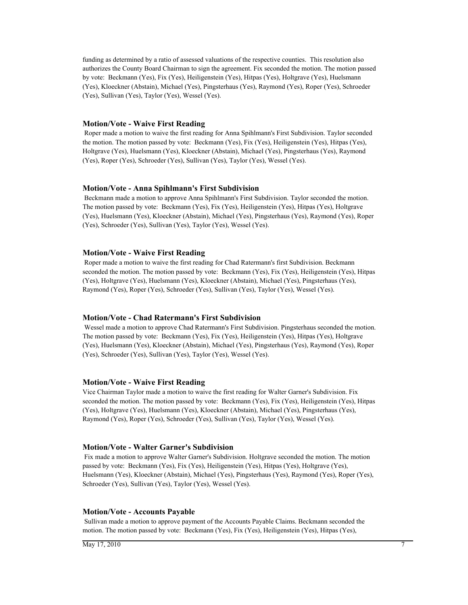funding as determined by a ratio of assessed valuations of the respective counties. This resolution also authorizes the County Board Chairman to sign the agreement. Fix seconded the motion. The motion passed by vote: Beckmann (Yes), Fix (Yes), Heiligenstein (Yes), Hitpas (Yes), Holtgrave (Yes), Huelsmann (Yes), Kloeckner (Abstain), Michael (Yes), Pingsterhaus (Yes), Raymond (Yes), Roper (Yes), Schroeder (Yes), Sullivan (Yes), Taylor (Yes), Wessel (Yes).

#### **Motion/Vote - Waive First Reading**

 Roper made a motion to waive the first reading for Anna Spihlmann's First Subdivision. Taylor seconded the motion. The motion passed by vote: Beckmann (Yes), Fix (Yes), Heiligenstein (Yes), Hitpas (Yes), Holtgrave (Yes), Huelsmann (Yes), Kloeckner (Abstain), Michael (Yes), Pingsterhaus (Yes), Raymond (Yes), Roper (Yes), Schroeder (Yes), Sullivan (Yes), Taylor (Yes), Wessel (Yes).

#### **Motion/Vote - Anna Spihlmann's First Subdivision**

 Beckmann made a motion to approve Anna Spihlmann's First Subdivision. Taylor seconded the motion. The motion passed by vote: Beckmann (Yes), Fix (Yes), Heiligenstein (Yes), Hitpas (Yes), Holtgrave (Yes), Huelsmann (Yes), Kloeckner (Abstain), Michael (Yes), Pingsterhaus (Yes), Raymond (Yes), Roper (Yes), Schroeder (Yes), Sullivan (Yes), Taylor (Yes), Wessel (Yes).

#### **Motion/Vote - Waive First Reading**

 Roper made a motion to waive the first reading for Chad Ratermann's first Subdivision. Beckmann seconded the motion. The motion passed by vote: Beckmann (Yes), Fix (Yes), Heiligenstein (Yes), Hitpas (Yes), Holtgrave (Yes), Huelsmann (Yes), Kloeckner (Abstain), Michael (Yes), Pingsterhaus (Yes), Raymond (Yes), Roper (Yes), Schroeder (Yes), Sullivan (Yes), Taylor (Yes), Wessel (Yes).

#### **Motion/Vote - Chad Ratermann's First Subdivision**

 Wessel made a motion to approve Chad Ratermann's First Subdivision. Pingsterhaus seconded the motion. The motion passed by vote: Beckmann (Yes), Fix (Yes), Heiligenstein (Yes), Hitpas (Yes), Holtgrave (Yes), Huelsmann (Yes), Kloeckner (Abstain), Michael (Yes), Pingsterhaus (Yes), Raymond (Yes), Roper (Yes), Schroeder (Yes), Sullivan (Yes), Taylor (Yes), Wessel (Yes).

#### **Motion/Vote - Waive First Reading**

Vice Chairman Taylor made a motion to waive the first reading for Walter Garner's Subdivision. Fix seconded the motion. The motion passed by vote: Beckmann (Yes), Fix (Yes), Heiligenstein (Yes), Hitpas (Yes), Holtgrave (Yes), Huelsmann (Yes), Kloeckner (Abstain), Michael (Yes), Pingsterhaus (Yes), Raymond (Yes), Roper (Yes), Schroeder (Yes), Sullivan (Yes), Taylor (Yes), Wessel (Yes).

#### **Motion/Vote - Walter Garner's Subdivision**

 Fix made a motion to approve Walter Garner's Subdivision. Holtgrave seconded the motion. The motion passed by vote: Beckmann (Yes), Fix (Yes), Heiligenstein (Yes), Hitpas (Yes), Holtgrave (Yes), Huelsmann (Yes), Kloeckner (Abstain), Michael (Yes), Pingsterhaus (Yes), Raymond (Yes), Roper (Yes), Schroeder (Yes), Sullivan (Yes), Taylor (Yes), Wessel (Yes).

#### **Motion/Vote - Accounts Payable**

 Sullivan made a motion to approve payment of the Accounts Payable Claims. Beckmann seconded the motion. The motion passed by vote: Beckmann (Yes), Fix (Yes), Heiligenstein (Yes), Hitpas (Yes),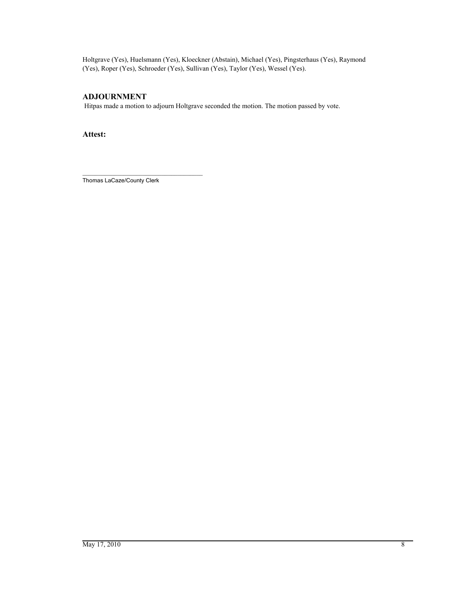Holtgrave (Yes), Huelsmann (Yes), Kloeckner (Abstain), Michael (Yes), Pingsterhaus (Yes), Raymond (Yes), Roper (Yes), Schroeder (Yes), Sullivan (Yes), Taylor (Yes), Wessel (Yes).

## **ADJOURNMENT**

Hitpas made a motion to adjourn Holtgrave seconded the motion. The motion passed by vote.

**Attest:**

\_\_\_\_\_\_\_\_\_\_\_\_\_\_\_\_\_\_\_\_\_\_\_\_\_\_\_\_\_\_\_\_\_\_\_\_\_\_ Thomas LaCaze/County Clerk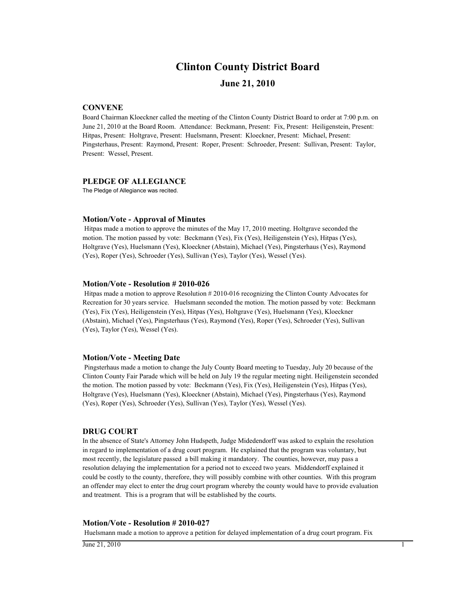## **Clinton County District Board**

## **June 21, 2010**

#### **CONVENE**

Board Chairman Kloeckner called the meeting of the Clinton County District Board to order at 7:00 p.m. on June 21, 2010 at the Board Room. Attendance: Beckmann, Present: Fix, Present: Heiligenstein, Present: Hitpas, Present: Holtgrave, Present: Huelsmann, Present: Kloeckner, Present: Michael, Present: Pingsterhaus, Present: Raymond, Present: Roper, Present: Schroeder, Present: Sullivan, Present: Taylor, Present: Wessel, Present.

#### **PLEDGE OF ALLEGIANCE**

The Pledge of Allegiance was recited.

#### **Motion/Vote - Approval of Minutes**

 Hitpas made a motion to approve the minutes of the May 17, 2010 meeting. Holtgrave seconded the motion. The motion passed by vote: Beckmann (Yes), Fix (Yes), Heiligenstein (Yes), Hitpas (Yes), Holtgrave (Yes), Huelsmann (Yes), Kloeckner (Abstain), Michael (Yes), Pingsterhaus (Yes), Raymond (Yes), Roper (Yes), Schroeder (Yes), Sullivan (Yes), Taylor (Yes), Wessel (Yes).

#### **Motion/Vote - Resolution # 2010-026**

 Hitpas made a motion to approve Resolution # 2010-016 recognizing the Clinton County Advocates for Recreation for 30 years service. Huelsmann seconded the motion. The motion passed by vote: Beckmann (Yes), Fix (Yes), Heiligenstein (Yes), Hitpas (Yes), Holtgrave (Yes), Huelsmann (Yes), Kloeckner (Abstain), Michael (Yes), Pingsterhaus (Yes), Raymond (Yes), Roper (Yes), Schroeder (Yes), Sullivan (Yes), Taylor (Yes), Wessel (Yes).

#### **Motion/Vote - Meeting Date**

 Pingsterhaus made a motion to change the July County Board meeting to Tuesday, July 20 because of the Clinton County Fair Parade which will be held on July 19 the regular meeting night. Heiligenstein seconded the motion. The motion passed by vote: Beckmann (Yes), Fix (Yes), Heiligenstein (Yes), Hitpas (Yes), Holtgrave (Yes), Huelsmann (Yes), Kloeckner (Abstain), Michael (Yes), Pingsterhaus (Yes), Raymond (Yes), Roper (Yes), Schroeder (Yes), Sullivan (Yes), Taylor (Yes), Wessel (Yes).

#### **DRUG COURT**

In the absence of State's Attorney John Hudspeth, Judge Midedendorff was asked to explain the resolution in regard to implementation of a drug court program. He explained that the program was voluntary, but most recently, the legislature passed a bill making it mandatory. The counties, however, may pass a resolution delaying the implementation for a period not to exceed two years. Middendorff explained it could be costly to the county, therefore, they will possibly combine with other counties. With this program an offender may elect to enter the drug court program whereby the county would have to provide evaluation and treatment. This is a program that will be established by the courts.

#### **Motion/Vote - Resolution # 2010-027**

Huelsmann made a motion to approve a petition for delayed implementation of a drug court program. Fix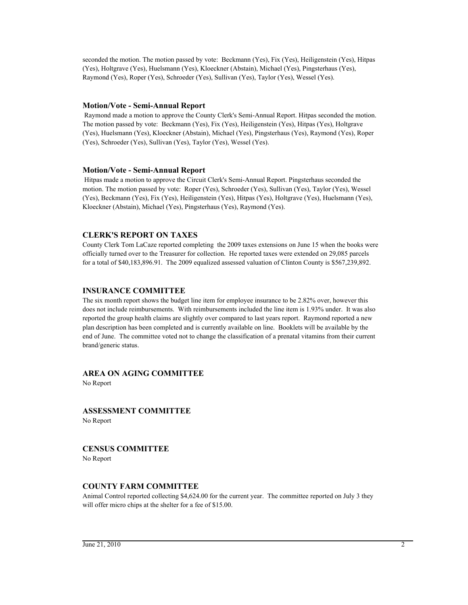seconded the motion. The motion passed by vote: Beckmann (Yes), Fix (Yes), Heiligenstein (Yes), Hitpas (Yes), Holtgrave (Yes), Huelsmann (Yes), Kloeckner (Abstain), Michael (Yes), Pingsterhaus (Yes), Raymond (Yes), Roper (Yes), Schroeder (Yes), Sullivan (Yes), Taylor (Yes), Wessel (Yes).

### **Motion/Vote - Semi-Annual Report**

 Raymond made a motion to approve the County Clerk's Semi-Annual Report. Hitpas seconded the motion. The motion passed by vote: Beckmann (Yes), Fix (Yes), Heiligenstein (Yes), Hitpas (Yes), Holtgrave (Yes), Huelsmann (Yes), Kloeckner (Abstain), Michael (Yes), Pingsterhaus (Yes), Raymond (Yes), Roper (Yes), Schroeder (Yes), Sullivan (Yes), Taylor (Yes), Wessel (Yes).

### **Motion/Vote - Semi-Annual Report**

 Hitpas made a motion to approve the Circuit Clerk's Semi-Annual Report. Pingsterhaus seconded the motion. The motion passed by vote: Roper (Yes), Schroeder (Yes), Sullivan (Yes), Taylor (Yes), Wessel (Yes), Beckmann (Yes), Fix (Yes), Heiligenstein (Yes), Hitpas (Yes), Holtgrave (Yes), Huelsmann (Yes), Kloeckner (Abstain), Michael (Yes), Pingsterhaus (Yes), Raymond (Yes).

## **CLERK'S REPORT ON TAXES**

County Clerk Tom LaCaze reported completing the 2009 taxes extensions on June 15 when the books were officially turned over to the Treasurer for collection. He reported taxes were extended on 29,085 parcels for a total of \$40,183,896.91. The 2009 equalized assessed valuation of Clinton County is \$567,239,892.

### **INSURANCE COMMITTEE**

The six month report shows the budget line item for employee insurance to be 2.82% over, however this does not include reimbursements. With reimbursements included the line item is 1.93% under. It was also reported the group health claims are slightly over compared to last years report. Raymond reported a new plan description has been completed and is currently available on line. Booklets will be available by the end of June. The committee voted not to change the classification of a prenatal vitamins from their current brand/generic status.

## **AREA ON AGING COMMITTEE**

No Report

# **ASSESSMENT COMMITTEE**

No Report

### **CENSUS COMMITTEE**

No Report

### **COUNTY FARM COMMITTEE**

Animal Control reported collecting \$4,624.00 for the current year. The committee reported on July 3 they will offer micro chips at the shelter for a fee of \$15.00.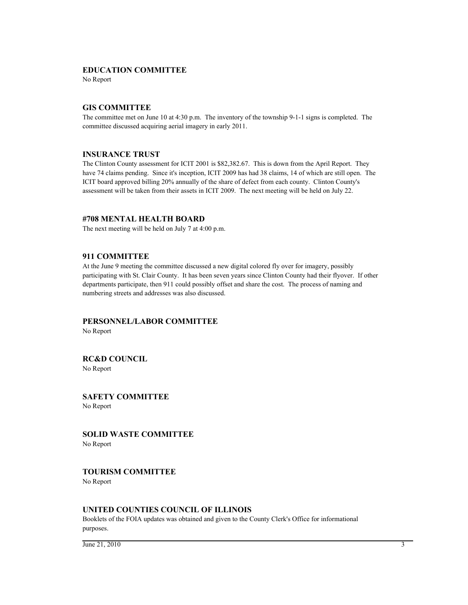## **EDUCATION COMMITTEE**

No Report

## **GIS COMMITTEE**

The committee met on June 10 at 4:30 p.m. The inventory of the township 9-1-1 signs is completed. The committee discussed acquiring aerial imagery in early 2011.

## **INSURANCE TRUST**

The Clinton County assessment for ICIT 2001 is \$82,382.67. This is down from the April Report. They have 74 claims pending. Since it's inception, ICIT 2009 has had 38 claims, 14 of which are still open. The ICIT board approved billing 20% annually of the share of defect from each county. Clinton County's assessment will be taken from their assets in ICIT 2009. The next meeting will be held on July 22.

## **#708 MENTAL HEALTH BOARD**

The next meeting will be held on July 7 at 4:00 p.m.

## **911 COMMITTEE**

At the June 9 meeting the committee discussed a new digital colored fly over for imagery, possibly participating with St. Clair County. It has been seven years since Clinton County had their flyover. If other departments participate, then 911 could possibly offset and share the cost. The process of naming and numbering streets and addresses was also discussed.

## **PERSONNEL/LABOR COMMITTEE**

No Report

## **RC&D COUNCIL**

No Report

**SAFETY COMMITTEE** No Report

**SOLID WASTE COMMITTEE**

No Report

## **TOURISM COMMITTEE**

No Report

## **UNITED COUNTIES COUNCIL OF ILLINOIS**

Booklets of the FOIA updates was obtained and given to the County Clerk's Office for informational purposes.

 $\frac{1}{3}$  June 21, 2010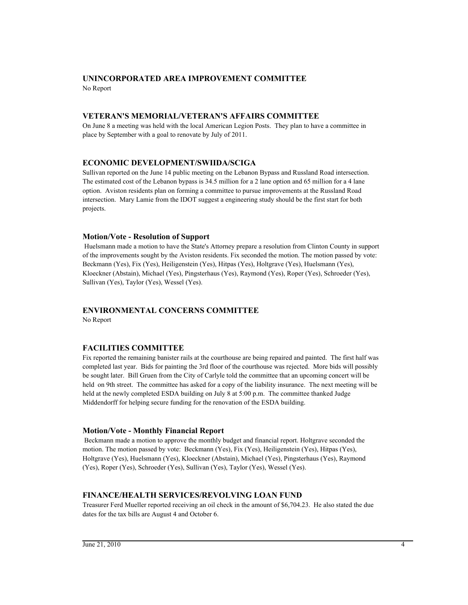## **UNINCORPORATED AREA IMPROVEMENT COMMITTEE** No Report

## **VETERAN'S MEMORIAL/VETERAN'S AFFAIRS COMMITTEE**

On June 8 a meeting was held with the local American Legion Posts. They plan to have a committee in place by September with a goal to renovate by July of 2011.

## **ECONOMIC DEVELOPMENT/SWIIDA/SCIGA**

Sullivan reported on the June 14 public meeting on the Lebanon Bypass and Russland Road intersection. The estimated cost of the Lebanon bypass is 34.5 million for a 2 lane option and 65 million for a 4 lane option. Aviston residents plan on forming a committee to pursue improvements at the Russland Road intersection. Mary Lamie from the IDOT suggest a engineering study should be the first start for both projects.

## **Motion/Vote - Resolution of Support**

 Huelsmann made a motion to have the State's Attorney prepare a resolution from Clinton County in support of the improvements sought by the Aviston residents. Fix seconded the motion. The motion passed by vote: Beckmann (Yes), Fix (Yes), Heiligenstein (Yes), Hitpas (Yes), Holtgrave (Yes), Huelsmann (Yes), Kloeckner (Abstain), Michael (Yes), Pingsterhaus (Yes), Raymond (Yes), Roper (Yes), Schroeder (Yes), Sullivan (Yes), Taylor (Yes), Wessel (Yes).

## **ENVIRONMENTAL CONCERNS COMMITTEE**

No Report

## **FACILITIES COMMITTEE**

Fix reported the remaining banister rails at the courthouse are being repaired and painted. The first half was completed last year. Bids for painting the 3rd floor of the courthouse was rejected. More bids will possibly be sought later. Bill Gruen from the City of Carlyle told the committee that an upcoming concert will be held on 9th street. The committee has asked for a copy of the liability insurance. The next meeting will be held at the newly completed ESDA building on July 8 at 5:00 p.m. The committee thanked Judge Middendorff for helping secure funding for the renovation of the ESDA building.

### **Motion/Vote - Monthly Financial Report**

 Beckmann made a motion to approve the monthly budget and financial report. Holtgrave seconded the motion. The motion passed by vote: Beckmann (Yes), Fix (Yes), Heiligenstein (Yes), Hitpas (Yes), Holtgrave (Yes), Huelsmann (Yes), Kloeckner (Abstain), Michael (Yes), Pingsterhaus (Yes), Raymond (Yes), Roper (Yes), Schroeder (Yes), Sullivan (Yes), Taylor (Yes), Wessel (Yes).

### **FINANCE/HEALTH SERVICES/REVOLVING LOAN FUND**

Treasurer Ferd Mueller reported receiving an oil check in the amount of \$6,704.23. He also stated the due dates for the tax bills are August 4 and October 6.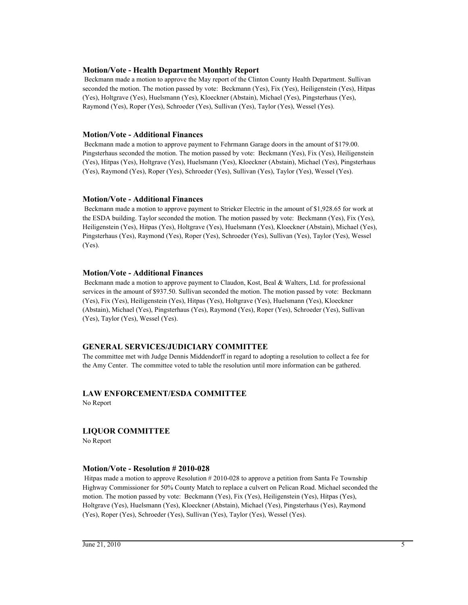## **Motion/Vote - Health Department Monthly Report**

 Beckmann made a motion to approve the May report of the Clinton County Health Department. Sullivan seconded the motion. The motion passed by vote: Beckmann (Yes), Fix (Yes), Heiligenstein (Yes), Hitpas (Yes), Holtgrave (Yes), Huelsmann (Yes), Kloeckner (Abstain), Michael (Yes), Pingsterhaus (Yes), Raymond (Yes), Roper (Yes), Schroeder (Yes), Sullivan (Yes), Taylor (Yes), Wessel (Yes).

### **Motion/Vote - Additional Finances**

 Beckmann made a motion to approve payment to Fehrmann Garage doors in the amount of \$179.00. Pingsterhaus seconded the motion. The motion passed by vote: Beckmann (Yes), Fix (Yes), Heiligenstein (Yes), Hitpas (Yes), Holtgrave (Yes), Huelsmann (Yes), Kloeckner (Abstain), Michael (Yes), Pingsterhaus (Yes), Raymond (Yes), Roper (Yes), Schroeder (Yes), Sullivan (Yes), Taylor (Yes), Wessel (Yes).

## **Motion/Vote - Additional Finances**

 Beckmann made a motion to approve payment to Strieker Electric in the amount of \$1,928.65 for work at the ESDA building. Taylor seconded the motion. The motion passed by vote: Beckmann (Yes), Fix (Yes), Heiligenstein (Yes), Hitpas (Yes), Holtgrave (Yes), Huelsmann (Yes), Kloeckner (Abstain), Michael (Yes), Pingsterhaus (Yes), Raymond (Yes), Roper (Yes), Schroeder (Yes), Sullivan (Yes), Taylor (Yes), Wessel (Yes).

## **Motion/Vote - Additional Finances**

 Beckmann made a motion to approve payment to Claudon, Kost, Beal & Walters, Ltd. for professional services in the amount of \$937.50. Sullivan seconded the motion. The motion passed by vote: Beckmann (Yes), Fix (Yes), Heiligenstein (Yes), Hitpas (Yes), Holtgrave (Yes), Huelsmann (Yes), Kloeckner (Abstain), Michael (Yes), Pingsterhaus (Yes), Raymond (Yes), Roper (Yes), Schroeder (Yes), Sullivan (Yes), Taylor (Yes), Wessel (Yes).

## **GENERAL SERVICES/JUDICIARY COMMITTEE**

The committee met with Judge Dennis Middendorff in regard to adopting a resolution to collect a fee for the Amy Center. The committee voted to table the resolution until more information can be gathered.

## **LAW ENFORCEMENT/ESDA COMMITTEE** No Report

## **LIQUOR COMMITTEE**

No Report

### **Motion/Vote - Resolution # 2010-028**

 Hitpas made a motion to approve Resolution # 2010-028 to approve a petition from Santa Fe Township Highway Commissioner for 50% County Match to replace a culvert on Pelican Road. Michael seconded the motion. The motion passed by vote: Beckmann (Yes), Fix (Yes), Heiligenstein (Yes), Hitpas (Yes), Holtgrave (Yes), Huelsmann (Yes), Kloeckner (Abstain), Michael (Yes), Pingsterhaus (Yes), Raymond (Yes), Roper (Yes), Schroeder (Yes), Sullivan (Yes), Taylor (Yes), Wessel (Yes).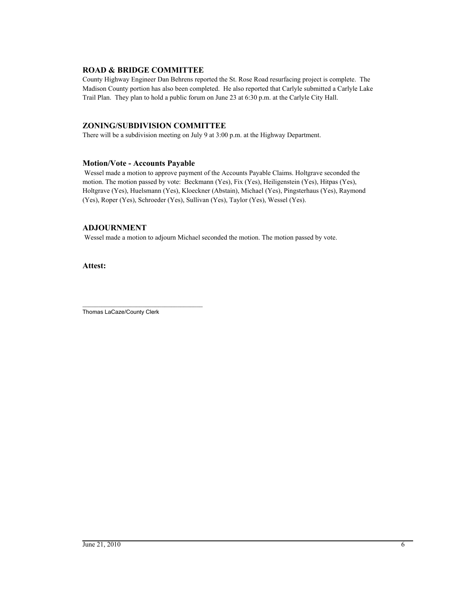## **ROAD & BRIDGE COMMITTEE**

County Highway Engineer Dan Behrens reported the St. Rose Road resurfacing project is complete. The Madison County portion has also been completed. He also reported that Carlyle submitted a Carlyle Lake Trail Plan. They plan to hold a public forum on June 23 at 6:30 p.m. at the Carlyle City Hall.

## **ZONING/SUBDIVISION COMMITTEE**

There will be a subdivision meeting on July 9 at 3:00 p.m. at the Highway Department.

## **Motion/Vote - Accounts Payable**

 Wessel made a motion to approve payment of the Accounts Payable Claims. Holtgrave seconded the motion. The motion passed by vote: Beckmann (Yes), Fix (Yes), Heiligenstein (Yes), Hitpas (Yes), Holtgrave (Yes), Huelsmann (Yes), Kloeckner (Abstain), Michael (Yes), Pingsterhaus (Yes), Raymond (Yes), Roper (Yes), Schroeder (Yes), Sullivan (Yes), Taylor (Yes), Wessel (Yes).

## **ADJOURNMENT**

Wessel made a motion to adjourn Michael seconded the motion. The motion passed by vote.

**Attest:**

\_\_\_\_\_\_\_\_\_\_\_\_\_\_\_\_\_\_\_\_\_\_\_\_\_\_\_\_\_\_\_\_\_\_\_\_\_\_ Thomas LaCaze/County Clerk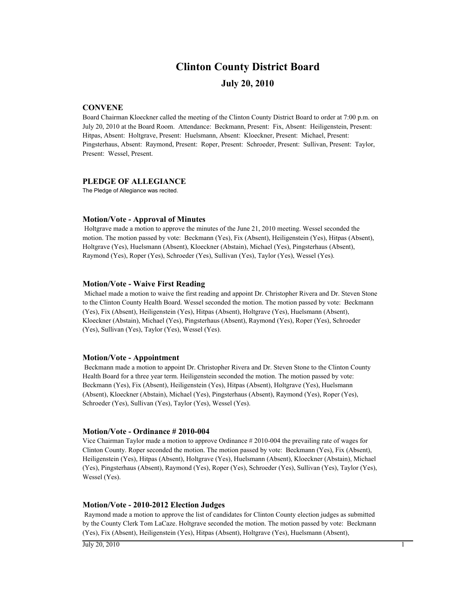# **Clinton County District Board**

## **July 20, 2010**

## **CONVENE**

Board Chairman Kloeckner called the meeting of the Clinton County District Board to order at 7:00 p.m. on July 20, 2010 at the Board Room. Attendance: Beckmann, Present: Fix, Absent: Heiligenstein, Present: Hitpas, Absent: Holtgrave, Present: Huelsmann, Absent: Kloeckner, Present: Michael, Present: Pingsterhaus, Absent: Raymond, Present: Roper, Present: Schroeder, Present: Sullivan, Present: Taylor, Present: Wessel, Present.

## **PLEDGE OF ALLEGIANCE**

The Pledge of Allegiance was recited.

### **Motion/Vote - Approval of Minutes**

 Holtgrave made a motion to approve the minutes of the June 21, 2010 meeting. Wessel seconded the motion. The motion passed by vote: Beckmann (Yes), Fix (Absent), Heiligenstein (Yes), Hitpas (Absent), Holtgrave (Yes), Huelsmann (Absent), Kloeckner (Abstain), Michael (Yes), Pingsterhaus (Absent), Raymond (Yes), Roper (Yes), Schroeder (Yes), Sullivan (Yes), Taylor (Yes), Wessel (Yes).

### **Motion/Vote - Waive First Reading**

 Michael made a motion to waive the first reading and appoint Dr. Christopher Rivera and Dr. Steven Stone to the Clinton County Health Board. Wessel seconded the motion. The motion passed by vote: Beckmann (Yes), Fix (Absent), Heiligenstein (Yes), Hitpas (Absent), Holtgrave (Yes), Huelsmann (Absent), Kloeckner (Abstain), Michael (Yes), Pingsterhaus (Absent), Raymond (Yes), Roper (Yes), Schroeder (Yes), Sullivan (Yes), Taylor (Yes), Wessel (Yes).

### **Motion/Vote - Appointment**

 Beckmann made a motion to appoint Dr. Christopher Rivera and Dr. Steven Stone to the Clinton County Health Board for a three year term. Heiligenstein seconded the motion. The motion passed by vote: Beckmann (Yes), Fix (Absent), Heiligenstein (Yes), Hitpas (Absent), Holtgrave (Yes), Huelsmann (Absent), Kloeckner (Abstain), Michael (Yes), Pingsterhaus (Absent), Raymond (Yes), Roper (Yes), Schroeder (Yes), Sullivan (Yes), Taylor (Yes), Wessel (Yes).

### **Motion/Vote - Ordinance # 2010-004**

Vice Chairman Taylor made a motion to approve Ordinance # 2010-004 the prevailing rate of wages for Clinton County. Roper seconded the motion. The motion passed by vote: Beckmann (Yes), Fix (Absent), Heiligenstein (Yes), Hitpas (Absent), Holtgrave (Yes), Huelsmann (Absent), Kloeckner (Abstain), Michael (Yes), Pingsterhaus (Absent), Raymond (Yes), Roper (Yes), Schroeder (Yes), Sullivan (Yes), Taylor (Yes), Wessel (Yes).

### **Motion/Vote - 2010-2012 Election Judges**

 Raymond made a motion to approve the list of candidates for Clinton County election judges as submitted by the County Clerk Tom LaCaze. Holtgrave seconded the motion. The motion passed by vote: Beckmann (Yes), Fix (Absent), Heiligenstein (Yes), Hitpas (Absent), Holtgrave (Yes), Huelsmann (Absent),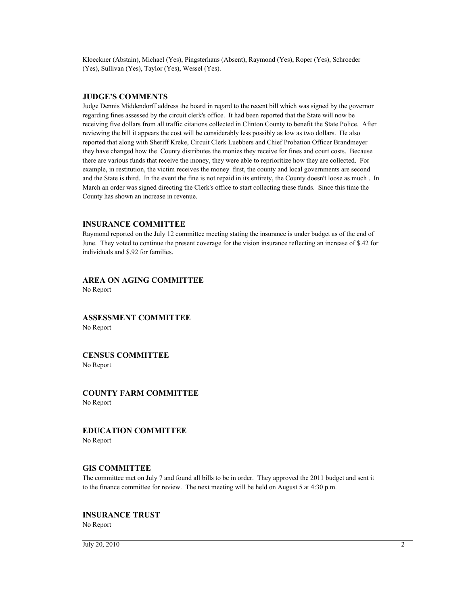Kloeckner (Abstain), Michael (Yes), Pingsterhaus (Absent), Raymond (Yes), Roper (Yes), Schroeder (Yes), Sullivan (Yes), Taylor (Yes), Wessel (Yes).

### **JUDGE'S COMMENTS**

Judge Dennis Middendorff address the board in regard to the recent bill which was signed by the governor regarding fines assessed by the circuit clerk's office. It had been reported that the State will now be receiving five dollars from all traffic citations collected in Clinton County to benefit the State Police. After reviewing the bill it appears the cost will be considerably less possibly as low as two dollars. He also reported that along with Sheriff Kreke, Circuit Clerk Luebbers and Chief Probation Officer Brandmeyer they have changed how the County distributes the monies they receive for fines and court costs. Because there are various funds that receive the money, they were able to reprioritize how they are collected. For example, in restitution, the victim receives the money first, the county and local governments are second and the State is third. In the event the fine is not repaid in its entirety, the County doesn't loose as much . In March an order was signed directing the Clerk's office to start collecting these funds. Since this time the County has shown an increase in revenue.

## **INSURANCE COMMITTEE**

Raymond reported on the July 12 committee meeting stating the insurance is under budget as of the end of June. They voted to continue the present coverage for the vision insurance reflecting an increase of \$.42 for individuals and \$.92 for families.

**AREA ON AGING COMMITTEE** No Report

**ASSESSMENT COMMITTEE** No Report

## **CENSUS COMMITTEE**

No Report

**COUNTY FARM COMMITTEE** No Report

**EDUCATION COMMITTEE**

No Report

### **GIS COMMITTEE**

The committee met on July 7 and found all bills to be in order. They approved the 2011 budget and sent it to the finance committee for review. The next meeting will be held on August 5 at 4:30 p.m.

## **INSURANCE TRUST**

No Report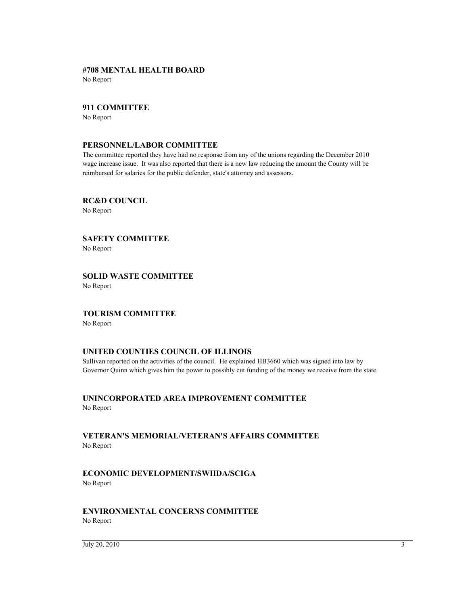## **#708 MENTAL HEALTH BOARD**

No Report

## **911 COMMITTEE**

No Report

## **PERSONNEL/LABOR COMMITTEE**

The committee reported they have had no response from any of the unions regarding the December 2010 wage increase issue. It was also reported that there is a new law reducing the amount the County will be reimbursed for salaries for the public defender, state's attorney and assessors.

**RC&D COUNCIL** No Report

**SAFETY COMMITTEE** No Report

**SOLID WASTE COMMITTEE** No Report

## **TOURISM COMMITTEE**

No Report

## **UNITED COUNTIES COUNCIL OF ILLINOIS**

Sullivan reported on the activities of the council. He explained HB3660 which was signed into law by Governor Quinn which gives him the power to possibly cut funding of the money we receive from the state.

**UNINCORPORATED AREA IMPROVEMENT COMMITTEE**

No Report

## **VETERAN'S MEMORIAL/VETERAN'S AFFAIRS COMMITTEE** No Report

## **ECONOMIC DEVELOPMENT/SWIIDA/SCIGA** No Report

## **ENVIRONMENTAL CONCERNS COMMITTEE** No Report

 $\frac{1}{3}$  July 20, 2010 3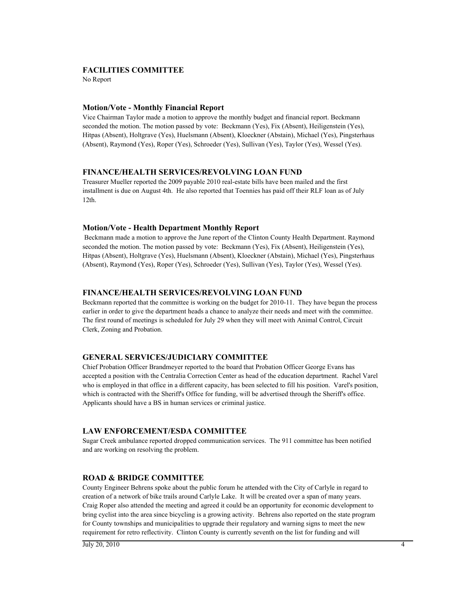## **FACILITIES COMMITTEE**

No Report

## **Motion/Vote - Monthly Financial Report**

Vice Chairman Taylor made a motion to approve the monthly budget and financial report. Beckmann seconded the motion. The motion passed by vote: Beckmann (Yes), Fix (Absent), Heiligenstein (Yes), Hitpas (Absent), Holtgrave (Yes), Huelsmann (Absent), Kloeckner (Abstain), Michael (Yes), Pingsterhaus (Absent), Raymond (Yes), Roper (Yes), Schroeder (Yes), Sullivan (Yes), Taylor (Yes), Wessel (Yes).

## **FINANCE/HEALTH SERVICES/REVOLVING LOAN FUND**

Treasurer Mueller reported the 2009 payable 2010 real-estate bills have been mailed and the first installment is due on August 4th. He also reported that Toennies has paid off their RLF loan as of July 12th.

### **Motion/Vote - Health Department Monthly Report**

 Beckmann made a motion to approve the June report of the Clinton County Health Department. Raymond seconded the motion. The motion passed by vote: Beckmann (Yes), Fix (Absent), Heiligenstein (Yes), Hitpas (Absent), Holtgrave (Yes), Huelsmann (Absent), Kloeckner (Abstain), Michael (Yes), Pingsterhaus (Absent), Raymond (Yes), Roper (Yes), Schroeder (Yes), Sullivan (Yes), Taylor (Yes), Wessel (Yes).

### **FINANCE/HEALTH SERVICES/REVOLVING LOAN FUND**

Beckmann reported that the committee is working on the budget for 2010-11. They have begun the process earlier in order to give the department heads a chance to analyze their needs and meet with the committee. The first round of meetings is scheduled for July 29 when they will meet with Animal Control, Circuit Clerk, Zoning and Probation.

## **GENERAL SERVICES/JUDICIARY COMMITTEE**

Chief Probation Officer Brandmeyer reported to the board that Probation Officer George Evans has accepted a position with the Centralia Correction Center as head of the education department. Rachel Varel who is employed in that office in a different capacity, has been selected to fill his position. Varel's position, which is contracted with the Sheriff's Office for funding, will be advertised through the Sheriff's office. Applicants should have a BS in human services or criminal justice.

## **LAW ENFORCEMENT/ESDA COMMITTEE**

Sugar Creek ambulance reported dropped communication services. The 911 committee has been notified and are working on resolving the problem.

## **ROAD & BRIDGE COMMITTEE**

County Engineer Behrens spoke about the public forum he attended with the City of Carlyle in regard to creation of a network of bike trails around Carlyle Lake. It will be created over a span of many years. Craig Roper also attended the meeting and agreed it could be an opportunity for economic development to bring cyclist into the area since bicycling is a growing activity. Behrens also reported on the state program for County townships and municipalities to upgrade their regulatory and warning signs to meet the new requirement for retro reflectivity. Clinton County is currently seventh on the list for funding and will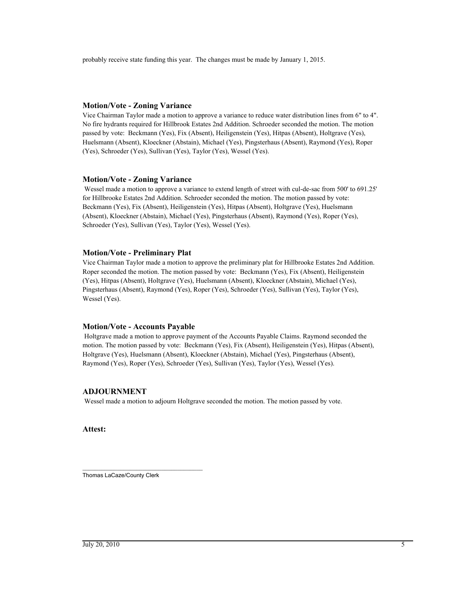probably receive state funding this year. The changes must be made by January 1, 2015.

## **Motion/Vote - Zoning Variance**

Vice Chairman Taylor made a motion to approve a variance to reduce water distribution lines from 6" to 4". No fire hydrants required for Hillbrook Estates 2nd Addition. Schroeder seconded the motion. The motion passed by vote: Beckmann (Yes), Fix (Absent), Heiligenstein (Yes), Hitpas (Absent), Holtgrave (Yes), Huelsmann (Absent), Kloeckner (Abstain), Michael (Yes), Pingsterhaus (Absent), Raymond (Yes), Roper (Yes), Schroeder (Yes), Sullivan (Yes), Taylor (Yes), Wessel (Yes).

### **Motion/Vote - Zoning Variance**

 Wessel made a motion to approve a variance to extend length of street with cul-de-sac from 500' to 691.25' for Hillbrooke Estates 2nd Addition. Schroeder seconded the motion. The motion passed by vote: Beckmann (Yes), Fix (Absent), Heiligenstein (Yes), Hitpas (Absent), Holtgrave (Yes), Huelsmann (Absent), Kloeckner (Abstain), Michael (Yes), Pingsterhaus (Absent), Raymond (Yes), Roper (Yes), Schroeder (Yes), Sullivan (Yes), Taylor (Yes), Wessel (Yes).

## **Motion/Vote - Preliminary Plat**

Vice Chairman Taylor made a motion to approve the preliminary plat for Hillbrooke Estates 2nd Addition. Roper seconded the motion. The motion passed by vote: Beckmann (Yes), Fix (Absent), Heiligenstein (Yes), Hitpas (Absent), Holtgrave (Yes), Huelsmann (Absent), Kloeckner (Abstain), Michael (Yes), Pingsterhaus (Absent), Raymond (Yes), Roper (Yes), Schroeder (Yes), Sullivan (Yes), Taylor (Yes), Wessel (Yes).

### **Motion/Vote - Accounts Payable**

 Holtgrave made a motion to approve payment of the Accounts Payable Claims. Raymond seconded the motion. The motion passed by vote: Beckmann (Yes), Fix (Absent), Heiligenstein (Yes), Hitpas (Absent), Holtgrave (Yes), Huelsmann (Absent), Kloeckner (Abstain), Michael (Yes), Pingsterhaus (Absent), Raymond (Yes), Roper (Yes), Schroeder (Yes), Sullivan (Yes), Taylor (Yes), Wessel (Yes).

## **ADJOURNMENT**

Wessel made a motion to adjourn Holtgrave seconded the motion. The motion passed by vote.

**Attest:**

\_\_\_\_\_\_\_\_\_\_\_\_\_\_\_\_\_\_\_\_\_\_\_\_\_\_\_\_\_\_\_\_\_\_\_\_\_\_ Thomas LaCaze/County Clerk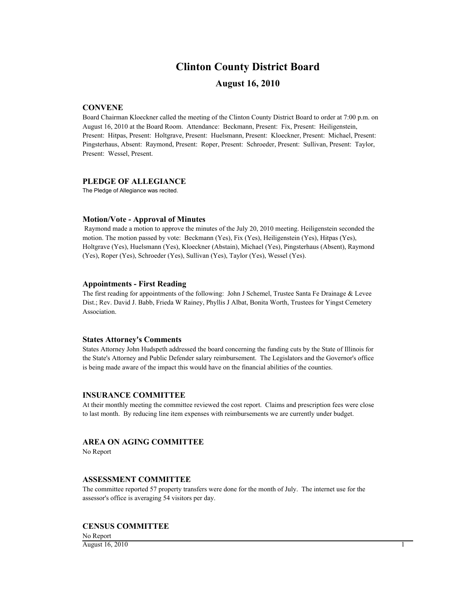# **Clinton County District Board**

## **August 16, 2010**

## **CONVENE**

Board Chairman Kloeckner called the meeting of the Clinton County District Board to order at 7:00 p.m. on August 16, 2010 at the Board Room. Attendance: Beckmann, Present: Fix, Present: Heiligenstein, Present: Hitpas, Present: Holtgrave, Present: Huelsmann, Present: Kloeckner, Present: Michael, Present: Pingsterhaus, Absent: Raymond, Present: Roper, Present: Schroeder, Present: Sullivan, Present: Taylor, Present: Wessel, Present.

### **PLEDGE OF ALLEGIANCE**

The Pledge of Allegiance was recited.

## **Motion/Vote - Approval of Minutes**

 Raymond made a motion to approve the minutes of the July 20, 2010 meeting. Heiligenstein seconded the motion. The motion passed by vote: Beckmann (Yes), Fix (Yes), Heiligenstein (Yes), Hitpas (Yes), Holtgrave (Yes), Huelsmann (Yes), Kloeckner (Abstain), Michael (Yes), Pingsterhaus (Absent), Raymond (Yes), Roper (Yes), Schroeder (Yes), Sullivan (Yes), Taylor (Yes), Wessel (Yes).

### **Appointments - First Reading**

The first reading for appointments of the following: John J Schemel, Trustee Santa Fe Drainage & Levee Dist.; Rev. David J. Babb, Frieda W Rainey, Phyllis J Albat, Bonita Worth, Trustees for Yingst Cemetery Association.

### **States Attorney's Comments**

States Attorney John Hudspeth addressed the board concerning the funding cuts by the State of Illinois for the State's Attorney and Public Defender salary reimbursement. The Legislators and the Governor's office is being made aware of the impact this would have on the financial abilities of the counties.

### **INSURANCE COMMITTEE**

At their monthly meeting the committee reviewed the cost report. Claims and prescription fees were close to last month. By reducing line item expenses with reimbursements we are currently under budget.

## **AREA ON AGING COMMITTEE**

No Report

### **ASSESSMENT COMMITTEE**

The committee reported 57 property transfers were done for the month of July. The internet use for the assessor's office is averaging 54 visitors per day.

### **CENSUS COMMITTEE**

No Report  $\Delta$ ugust 16, 2010 1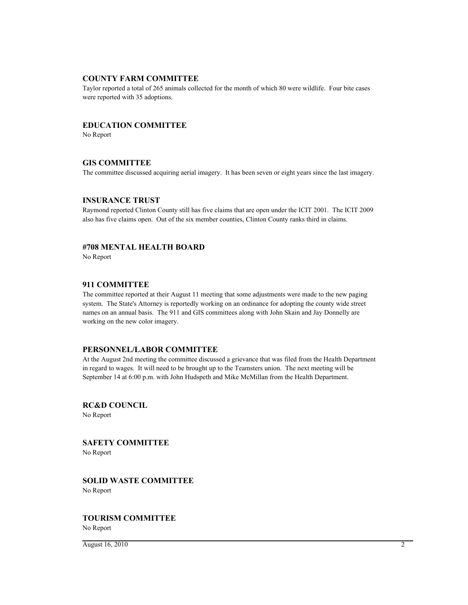### **COUNTY FARM COMMITTEE**

Taylor reported a total of 265 animals collected for the month of which 80 were wildlife. Four bite cases were reported with 35 adoptions.

### **EDUCATION COMMITTEE**

No Report

### **GIS COMMITTEE**

The committee discussed acquiring aerial imagery. It has been seven or eight years since the last imagery.

### **INSURANCE TRUST**

Raymond reported Clinton County still has five claims that are open under the ICIT 2001. The ICIT 2009 also has five claims open. Out of the six member counties, Clinton County ranks third in claims.

### **#708 MENTAL HEALTH BOARD**

No Report

### **911 COMMITTEE**

The committee reported at their August 11 meeting that some adjustments were made to the new paging system. The State's Attorney is reportedly working on an ordinance for adopting the county wide street names on an annual basis. The 911 and GIS committees along with John Skain and Jay Donnelly are working on the new color imagery.

## **PERSONNEL/LABOR COMMITTEE**

At the August 2nd meeting the committee discussed a grievance that was filed from the Health Department in regard to wages. It will need to be brought up to the Teamsters union. The next meeting will be September 14 at 6:00 p.m. with John Hudspeth and Mike McMillan from the Health Department.

**RC&D COUNCIL** No Report

**SAFETY COMMITTEE** No Report

**SOLID WASTE COMMITTEE** No Report

# **TOURISM COMMITTEE**

No Report

 $\overline{\text{August 16}, 2010}$  2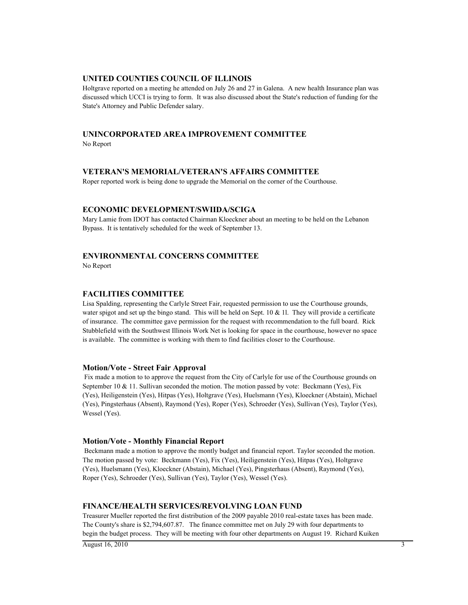### **UNITED COUNTIES COUNCIL OF ILLINOIS**

Holtgrave reported on a meeting he attended on July 26 and 27 in Galena. A new health Insurance plan was discussed which UCCI is trying to form. It was also discussed about the State's reduction of funding for the State's Attorney and Public Defender salary.

## **UNINCORPORATED AREA IMPROVEMENT COMMITTEE**

No Report

## **VETERAN'S MEMORIAL/VETERAN'S AFFAIRS COMMITTEE**

Roper reported work is being done to upgrade the Memorial on the corner of the Courthouse.

## **ECONOMIC DEVELOPMENT/SWIIDA/SCIGA**

Mary Lamie from IDOT has contacted Chairman Kloeckner about an meeting to be held on the Lebanon Bypass. It is tentatively scheduled for the week of September 13.

## **ENVIRONMENTAL CONCERNS COMMITTEE**

No Report

## **FACILITIES COMMITTEE**

Lisa Spalding, representing the Carlyle Street Fair, requested permission to use the Courthouse grounds, water spigot and set up the bingo stand. This will be held on Sept. 10  $\&$  11. They will provide a certificate of insurance. The committee gave permission for the request with recommendation to the full board. Rick Stubblefield with the Southwest Illinois Work Net is looking for space in the courthouse, however no space is available. The committee is working with them to find facilities closer to the Courthouse.

### **Motion/Vote - Street Fair Approval**

 Fix made a motion to to approve the request from the City of Carlyle for use of the Courthouse grounds on September 10 & 11. Sullivan seconded the motion. The motion passed by vote: Beckmann (Yes), Fix (Yes), Heiligenstein (Yes), Hitpas (Yes), Holtgrave (Yes), Huelsmann (Yes), Kloeckner (Abstain), Michael (Yes), Pingsterhaus (Absent), Raymond (Yes), Roper (Yes), Schroeder (Yes), Sullivan (Yes), Taylor (Yes), Wessel (Yes).

### **Motion/Vote - Monthly Financial Report**

 Beckmann made a motion to approve the montly budget and financial report. Taylor seconded the motion. The motion passed by vote: Beckmann (Yes), Fix (Yes), Heiligenstein (Yes), Hitpas (Yes), Holtgrave (Yes), Huelsmann (Yes), Kloeckner (Abstain), Michael (Yes), Pingsterhaus (Absent), Raymond (Yes), Roper (Yes), Schroeder (Yes), Sullivan (Yes), Taylor (Yes), Wessel (Yes).

## **FINANCE/HEALTH SERVICES/REVOLVING LOAN FUND**

Treasurer Mueller reported the first distribution of the 2009 payable 2010 real-estate taxes has been made. The County's share is \$2,794,607.87. The finance committee met on July 29 with four departments to begin the budget process. They will be meeting with four other departments on August 19. Richard Kuiken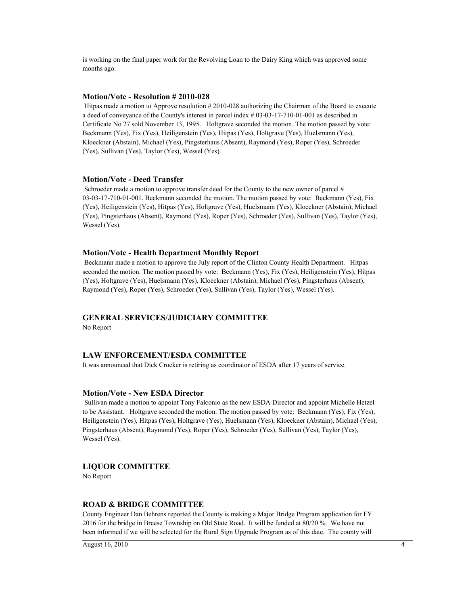is working on the final paper work for the Revolving Loan to the Dairy King which was approved some months ago.

### **Motion/Vote - Resolution # 2010-028**

 Hitpas made a motion to Approve resolution # 2010-028 authorizing the Chairman of the Board to execute a deed of conveyance of the County's interest in parcel index # 03-03-17-710-01-001 as described in Certificate No 27 sold November 13, 1995. Holtgrave seconded the motion. The motion passed by vote: Beckmann (Yes), Fix (Yes), Heiligenstein (Yes), Hitpas (Yes), Holtgrave (Yes), Huelsmann (Yes), Kloeckner (Abstain), Michael (Yes), Pingsterhaus (Absent), Raymond (Yes), Roper (Yes), Schroeder (Yes), Sullivan (Yes), Taylor (Yes), Wessel (Yes).

### **Motion/Vote - Deed Transfer**

Schroeder made a motion to approve transfer deed for the County to the new owner of parcel # 03-03-17-710-01-001. Beckmann seconded the motion. The motion passed by vote: Beckmann (Yes), Fix (Yes), Heiligenstein (Yes), Hitpas (Yes), Holtgrave (Yes), Huelsmann (Yes), Kloeckner (Abstain), Michael (Yes), Pingsterhaus (Absent), Raymond (Yes), Roper (Yes), Schroeder (Yes), Sullivan (Yes), Taylor (Yes), Wessel (Yes).

### **Motion/Vote - Health Department Monthly Report**

 Beckmann made a motion to approve the July report of the Clinton County Health Department. Hitpas seconded the motion. The motion passed by vote: Beckmann (Yes), Fix (Yes), Heiligenstein (Yes), Hitpas (Yes), Holtgrave (Yes), Huelsmann (Yes), Kloeckner (Abstain), Michael (Yes), Pingsterhaus (Absent), Raymond (Yes), Roper (Yes), Schroeder (Yes), Sullivan (Yes), Taylor (Yes), Wessel (Yes).

### **GENERAL SERVICES/JUDICIARY COMMITTEE**

No Report

### **LAW ENFORCEMENT/ESDA COMMITTEE**

It was announced that Dick Crocker is retiring as coordinator of ESDA after 17 years of service.

### **Motion/Vote - New ESDA Director**

 Sullivan made a motion to appoint Tony Falconio as the new ESDA Director and appoint Michelle Hetzel to be Assistant. Holtgrave seconded the motion. The motion passed by vote: Beckmann (Yes), Fix (Yes), Heiligenstein (Yes), Hitpas (Yes), Holtgrave (Yes), Huelsmann (Yes), Kloeckner (Abstain), Michael (Yes), Pingsterhaus (Absent), Raymond (Yes), Roper (Yes), Schroeder (Yes), Sullivan (Yes), Taylor (Yes), Wessel (Yes).

### **LIQUOR COMMITTEE**

No Report

### **ROAD & BRIDGE COMMITTEE**

County Engineer Dan Behrens reported the County is making a Major Bridge Program application for FY 2016 for the bridge in Breese Township on Old State Road. It will be funded at 80/20 %. We have not been informed if we will be selected for the Rural Sign Upgrade Program as of this date. The county will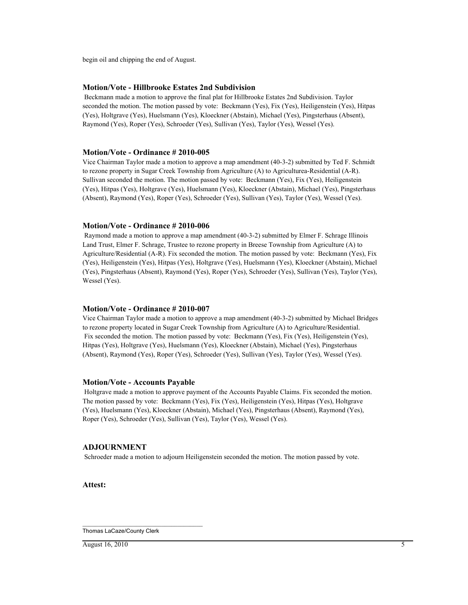begin oil and chipping the end of August.

## **Motion/Vote - Hillbrooke Estates 2nd Subdivision**

 Beckmann made a motion to approve the final plat for Hillbrooke Estates 2nd Subdivision. Taylor seconded the motion. The motion passed by vote: Beckmann (Yes), Fix (Yes), Heiligenstein (Yes), Hitpas (Yes), Holtgrave (Yes), Huelsmann (Yes), Kloeckner (Abstain), Michael (Yes), Pingsterhaus (Absent), Raymond (Yes), Roper (Yes), Schroeder (Yes), Sullivan (Yes), Taylor (Yes), Wessel (Yes).

### **Motion/Vote - Ordinance # 2010-005**

Vice Chairman Taylor made a motion to approve a map amendment (40-3-2) submitted by Ted F. Schmidt to rezone property in Sugar Creek Township from Agriculture (A) to Agriculturea-Residential (A-R). Sullivan seconded the motion. The motion passed by vote: Beckmann (Yes), Fix (Yes), Heiligenstein (Yes), Hitpas (Yes), Holtgrave (Yes), Huelsmann (Yes), Kloeckner (Abstain), Michael (Yes), Pingsterhaus (Absent), Raymond (Yes), Roper (Yes), Schroeder (Yes), Sullivan (Yes), Taylor (Yes), Wessel (Yes).

## **Motion/Vote - Ordinance # 2010-006**

 Raymond made a motion to approve a map amendment (40-3-2) submitted by Elmer F. Schrage Illinois Land Trust, Elmer F. Schrage, Trustee to rezone property in Breese Township from Agriculture (A) to Agriculture/Residential (A-R). Fix seconded the motion. The motion passed by vote: Beckmann (Yes), Fix (Yes), Heiligenstein (Yes), Hitpas (Yes), Holtgrave (Yes), Huelsmann (Yes), Kloeckner (Abstain), Michael (Yes), Pingsterhaus (Absent), Raymond (Yes), Roper (Yes), Schroeder (Yes), Sullivan (Yes), Taylor (Yes), Wessel (Yes).

## **Motion/Vote - Ordinance # 2010-007**

Vice Chairman Taylor made a motion to approve a map amendment (40-3-2) submitted by Michael Bridges to rezone property located in Sugar Creek Township from Agriculture (A) to Agriculture/Residential. Fix seconded the motion. The motion passed by vote: Beckmann (Yes), Fix (Yes), Heiligenstein (Yes), Hitpas (Yes), Holtgrave (Yes), Huelsmann (Yes), Kloeckner (Abstain), Michael (Yes), Pingsterhaus (Absent), Raymond (Yes), Roper (Yes), Schroeder (Yes), Sullivan (Yes), Taylor (Yes), Wessel (Yes).

### **Motion/Vote - Accounts Payable**

 Holtgrave made a motion to approve payment of the Accounts Payable Claims. Fix seconded the motion. The motion passed by vote: Beckmann (Yes), Fix (Yes), Heiligenstein (Yes), Hitpas (Yes), Holtgrave (Yes), Huelsmann (Yes), Kloeckner (Abstain), Michael (Yes), Pingsterhaus (Absent), Raymond (Yes), Roper (Yes), Schroeder (Yes), Sullivan (Yes), Taylor (Yes), Wessel (Yes).

### **ADJOURNMENT**

Schroeder made a motion to adjourn Heiligenstein seconded the motion. The motion passed by vote.

**Attest:**

\_\_\_\_\_\_\_\_\_\_\_\_\_\_\_\_\_\_\_\_\_\_\_\_\_\_\_\_\_\_\_\_\_\_\_\_\_\_ Thomas LaCaze/County Clerk

 $\overline{\text{August 16}, 2010}$  5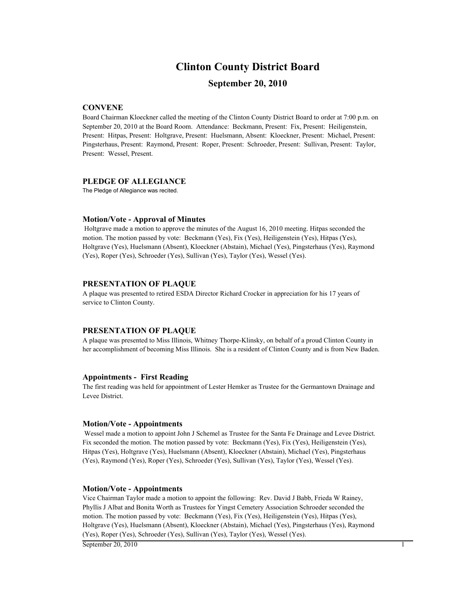## **Clinton County District Board**

## **September 20, 2010**

## **CONVENE**

Board Chairman Kloeckner called the meeting of the Clinton County District Board to order at 7:00 p.m. on September 20, 2010 at the Board Room. Attendance: Beckmann, Present: Fix, Present: Heiligenstein, Present: Hitpas, Present: Holtgrave, Present: Huelsmann, Absent: Kloeckner, Present: Michael, Present: Pingsterhaus, Present: Raymond, Present: Roper, Present: Schroeder, Present: Sullivan, Present: Taylor, Present: Wessel, Present.

## **PLEDGE OF ALLEGIANCE**

The Pledge of Allegiance was recited.

### **Motion/Vote - Approval of Minutes**

 Holtgrave made a motion to approve the minutes of the August 16, 2010 meeting. Hitpas seconded the motion. The motion passed by vote: Beckmann (Yes), Fix (Yes), Heiligenstein (Yes), Hitpas (Yes), Holtgrave (Yes), Huelsmann (Absent), Kloeckner (Abstain), Michael (Yes), Pingsterhaus (Yes), Raymond (Yes), Roper (Yes), Schroeder (Yes), Sullivan (Yes), Taylor (Yes), Wessel (Yes).

### **PRESENTATION OF PLAQUE**

A plaque was presented to retired ESDA Director Richard Crocker in appreciation for his 17 years of service to Clinton County.

### **PRESENTATION OF PLAQUE**

A plaque was presented to Miss Illinois, Whitney Thorpe-Klinsky, on behalf of a proud Clinton County in her accomplishment of becoming Miss Illinois. She is a resident of Clinton County and is from New Baden.

### **Appointments - First Reading**

The first reading was held for appointment of Lester Hemker as Trustee for the Germantown Drainage and Levee District.

### **Motion/Vote - Appointments**

 Wessel made a motion to appoint John J Schemel as Trustee for the Santa Fe Drainage and Levee District. Fix seconded the motion. The motion passed by vote: Beckmann (Yes), Fix (Yes), Heiligenstein (Yes), Hitpas (Yes), Holtgrave (Yes), Huelsmann (Absent), Kloeckner (Abstain), Michael (Yes), Pingsterhaus (Yes), Raymond (Yes), Roper (Yes), Schroeder (Yes), Sullivan (Yes), Taylor (Yes), Wessel (Yes).

### **Motion/Vote - Appointments**

Vice Chairman Taylor made a motion to appoint the following: Rev. David J Babb, Frieda W Rainey, Phyllis J Albat and Bonita Worth as Trustees for Yingst Cemetery Association Schroeder seconded the motion. The motion passed by vote: Beckmann (Yes), Fix (Yes), Heiligenstein (Yes), Hitpas (Yes), Holtgrave (Yes), Huelsmann (Absent), Kloeckner (Abstain), Michael (Yes), Pingsterhaus (Yes), Raymond (Yes), Roper (Yes), Schroeder (Yes), Sullivan (Yes), Taylor (Yes), Wessel (Yes).

 $\overline{\text{September 20, 2010}}$  1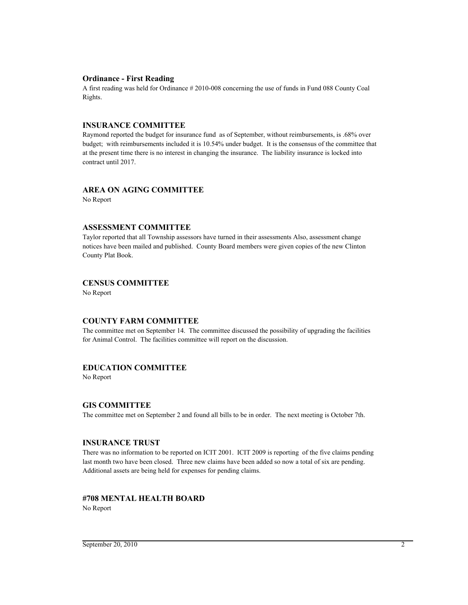### **Ordinance - First Reading**

A first reading was held for Ordinance # 2010-008 concerning the use of funds in Fund 088 County Coal Rights.

## **INSURANCE COMMITTEE**

Raymond reported the budget for insurance fund as of September, without reimbursements, is .68% over budget; with reimbursements included it is 10.54% under budget. It is the consensus of the committee that at the present time there is no interest in changing the insurance. The liability insurance is locked into contract until 2017.

## **AREA ON AGING COMMITTEE**

No Report

## **ASSESSMENT COMMITTEE**

Taylor reported that all Township assessors have turned in their assessments Also, assessment change notices have been mailed and published. County Board members were given copies of the new Clinton County Plat Book.

## **CENSUS COMMITTEE**

No Report

## **COUNTY FARM COMMITTEE**

The committee met on September 14. The committee discussed the possibility of upgrading the facilities for Animal Control. The facilities committee will report on the discussion.

## **EDUCATION COMMITTEE**

No Report

## **GIS COMMITTEE**

The committee met on September 2 and found all bills to be in order. The next meeting is October 7th.

### **INSURANCE TRUST**

There was no information to be reported on ICIT 2001. ICIT 2009 is reporting of the five claims pending last month two have been closed. Three new claims have been added so now a total of six are pending. Additional assets are being held for expenses for pending claims.

## **#708 MENTAL HEALTH BOARD**

No Report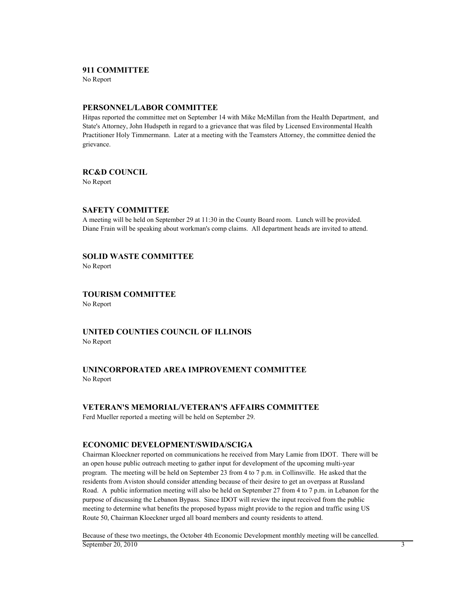### **911 COMMITTEE**

No Report

## **PERSONNEL/LABOR COMMITTEE**

Hitpas reported the committee met on September 14 with Mike McMillan from the Health Department, and State's Attorney, John Hudspeth in regard to a grievance that was filed by Licensed Environmental Health Practitioner Holy Timmermann. Later at a meeting with the Teamsters Attorney, the committee denied the grievance.

## **RC&D COUNCIL**

No Report

## **SAFETY COMMITTEE**

A meeting will be held on September 29 at 11:30 in the County Board room. Lunch will be provided. Diane Frain will be speaking about workman's comp claims. All department heads are invited to attend.

## **SOLID WASTE COMMITTEE**

No Report

**TOURISM COMMITTEE** No Report

**UNITED COUNTIES COUNCIL OF ILLINOIS**

No Report

## **UNINCORPORATED AREA IMPROVEMENT COMMITTEE** No Report

## **VETERAN'S MEMORIAL/VETERAN'S AFFAIRS COMMITTEE**

Ferd Mueller reported a meeting will be held on September 29.

## **ECONOMIC DEVELOPMENT/SWIDA/SCIGA**

Chairman Kloeckner reported on communications he received from Mary Lamie from IDOT. There will be an open house public outreach meeting to gather input for development of the upcoming multi-year program. The meeting will be held on September 23 from 4 to 7 p.m. in Collinsville. He asked that the residents from Aviston should consider attending because of their desire to get an overpass at Russland Road. A public information meeting will also be held on September 27 from 4 to 7 p.m. in Lebanon for the purpose of discussing the Lebanon Bypass. Since IDOT will review the input received from the public meeting to determine what benefits the proposed bypass might provide to the region and traffic using US Route 50, Chairman Kloeckner urged all board members and county residents to attend.

Because of these two meetings, the October 4th Economic Development monthly meeting will be cancelled. September 20, 2010 3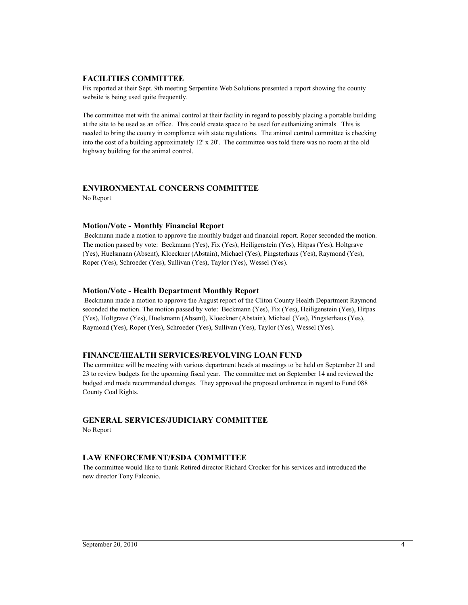## **FACILITIES COMMITTEE**

Fix reported at their Sept. 9th meeting Serpentine Web Solutions presented a report showing the county website is being used quite frequently.

The committee met with the animal control at their facility in regard to possibly placing a portable building at the site to be used as an office. This could create space to be used for euthanizing animals. This is needed to bring the county in compliance with state regulations. The animal control committee is checking into the cost of a building approximately 12' x 20'. The committee was told there was no room at the old highway building for the animal control.

## **ENVIRONMENTAL CONCERNS COMMITTEE**

No Report

## **Motion/Vote - Monthly Financial Report**

 Beckmann made a motion to approve the monthly budget and financial report. Roper seconded the motion. The motion passed by vote: Beckmann (Yes), Fix (Yes), Heiligenstein (Yes), Hitpas (Yes), Holtgrave (Yes), Huelsmann (Absent), Kloeckner (Abstain), Michael (Yes), Pingsterhaus (Yes), Raymond (Yes), Roper (Yes), Schroeder (Yes), Sullivan (Yes), Taylor (Yes), Wessel (Yes).

## **Motion/Vote - Health Department Monthly Report**

 Beckmann made a motion to approve the August report of the Cliton County Health Department Raymond seconded the motion. The motion passed by vote: Beckmann (Yes), Fix (Yes), Heiligenstein (Yes), Hitpas (Yes), Holtgrave (Yes), Huelsmann (Absent), Kloeckner (Abstain), Michael (Yes), Pingsterhaus (Yes), Raymond (Yes), Roper (Yes), Schroeder (Yes), Sullivan (Yes), Taylor (Yes), Wessel (Yes).

## **FINANCE/HEALTH SERVICES/REVOLVING LOAN FUND**

The committee will be meeting with various department heads at meetings to be held on September 21 and 23 to review budgets for the upcoming fiscal year. The committee met on September 14 and reviewed the budged and made recommended changes. They approved the proposed ordinance in regard to Fund 088 County Coal Rights.

## **GENERAL SERVICES/JUDICIARY COMMITTEE**

No Report

## **LAW ENFORCEMENT/ESDA COMMITTEE**

The committee would like to thank Retired director Richard Crocker for his services and introduced the new director Tony Falconio.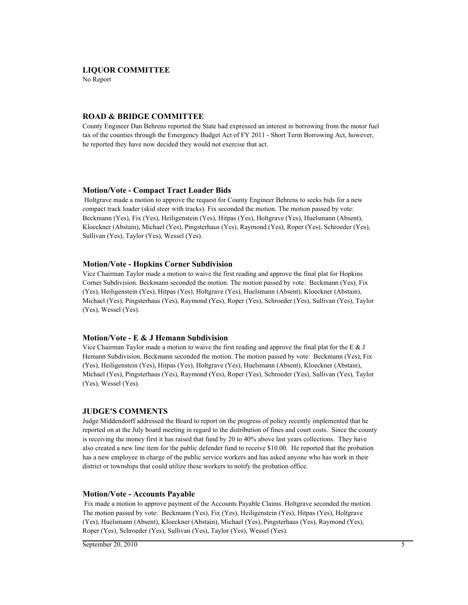### **LIQUOR COMMITTEE**

No Report

### **ROAD & BRIDGE COMMITTEE**

County Engineer Dan Behrens reported the State had expressed an interest in borrowing from the motor fuel tax of the counties through the Emergency Budget Act of FY 2011 - Short Term Borrowing Act, however, he reported they have now decided they would not exercise that act.

#### **Motion/Vote - Compact Tract Loader Bids**

 Holtgrave made a motion to approve the request for County Engineer Behrens to seeks bids for a new compact track loader (skid steer with tracks). Fix seconded the motion. The motion passed by vote: Beckmann (Yes), Fix (Yes), Heiligenstein (Yes), Hitpas (Yes), Holtgrave (Yes), Huelsmann (Absent), Kloeckner (Abstain), Michael (Yes), Pingsterhaus (Yes), Raymond (Yes), Roper (Yes), Schroeder (Yes), Sullivan (Yes), Taylor (Yes), Wessel (Yes).

### **Motion/Vote - Hopkins Corner Subdivision**

Vice Chairman Taylor made a motion to waive the first reading and approve the final plat for Hopkins Corner Subdivision. Beckmann seconded the motion. The motion passed by vote: Beckmann (Yes), Fix (Yes), Heiligenstein (Yes), Hitpas (Yes), Holtgrave (Yes), Huelsmann (Absent), Kloeckner (Abstain), Michael (Yes), Pingsterhaus (Yes), Raymond (Yes), Roper (Yes), Schroeder (Yes), Sullivan (Yes), Taylor (Yes), Wessel (Yes).

## **Motion/Vote - E & J Hemann Subdivision**

Vice Chairman Taylor made a motion to waive the first reading and approve the final plat for the E  $&J$ Hemann Subdivision. Beckmann seconded the motion. The motion passed by vote: Beckmann (Yes), Fix (Yes), Heiligenstein (Yes), Hitpas (Yes), Holtgrave (Yes), Huelsmann (Absent), Kloeckner (Abstain), Michael (Yes), Pingsterhaus (Yes), Raymond (Yes), Roper (Yes), Schroeder (Yes), Sullivan (Yes), Taylor (Yes), Wessel (Yes).

### **JUDGE'S COMMENTS**

Judge Middendorff addressed the Board to report on the progress of policy recently implemented that he reported on at the July board meeting in regard to the distribution of fines and court costs. Since the county is receiving the money first it has raised that fund by 20 to 40% above last years collections. They have also created a new line item for the public defender fund to receive \$10.00. He reported that the probation has a new employee in charge of the public service workers and has asked anyone who has work in their district or townships that could utilize these workers to notify the probation office.

#### **Motion/Vote - Accounts Payable**

 Fix made a motion to approve payment of the Accounts Payable Claims. Holtgrave seconded the motion. The motion passed by vote: Beckmann (Yes), Fix (Yes), Heiligenstein (Yes), Hitpas (Yes), Holtgrave (Yes), Huelsmann (Absent), Kloeckner (Abstain), Michael (Yes), Pingsterhaus (Yes), Raymond (Yes), Roper (Yes), Schroeder (Yes), Sullivan (Yes), Taylor (Yes), Wessel (Yes).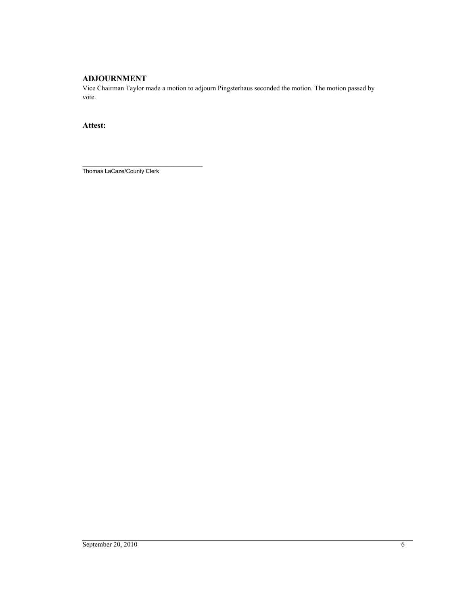## **ADJOURNMENT**

Vice Chairman Taylor made a motion to adjourn Pingsterhaus seconded the motion. The motion passed by vote.

## **Attest:**

\_\_\_\_\_\_\_\_\_\_\_\_\_\_\_\_\_\_\_\_\_\_\_\_\_\_\_\_\_\_\_\_\_\_\_\_\_\_ Thomas LaCaze/County Clerk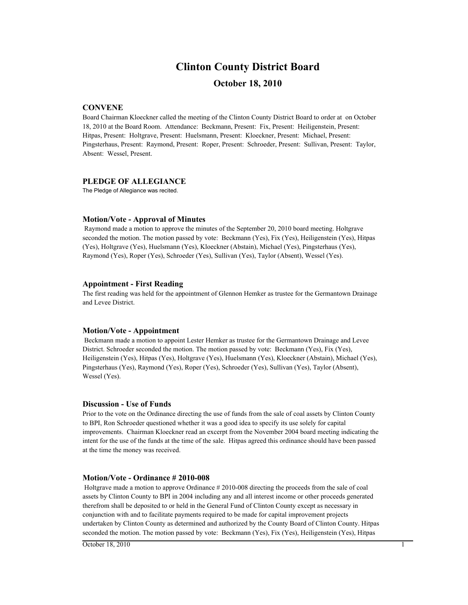# **Clinton County District Board**

## **October 18, 2010**

## **CONVENE**

Board Chairman Kloeckner called the meeting of the Clinton County District Board to order at on October 18, 2010 at the Board Room. Attendance: Beckmann, Present: Fix, Present: Heiligenstein, Present: Hitpas, Present: Holtgrave, Present: Huelsmann, Present: Kloeckner, Present: Michael, Present: Pingsterhaus, Present: Raymond, Present: Roper, Present: Schroeder, Present: Sullivan, Present: Taylor, Absent: Wessel, Present.

## **PLEDGE OF ALLEGIANCE**

The Pledge of Allegiance was recited.

### **Motion/Vote - Approval of Minutes**

 Raymond made a motion to approve the minutes of the September 20, 2010 board meeting. Holtgrave seconded the motion. The motion passed by vote: Beckmann (Yes), Fix (Yes), Heiligenstein (Yes), Hitpas (Yes), Holtgrave (Yes), Huelsmann (Yes), Kloeckner (Abstain), Michael (Yes), Pingsterhaus (Yes), Raymond (Yes), Roper (Yes), Schroeder (Yes), Sullivan (Yes), Taylor (Absent), Wessel (Yes).

### **Appointment - First Reading**

The first reading was held for the appointment of Glennon Hemker as trustee for the Germantown Drainage and Levee District.

### **Motion/Vote - Appointment**

 Beckmann made a motion to appoint Lester Hemker as trustee for the Germantown Drainage and Levee District. Schroeder seconded the motion. The motion passed by vote: Beckmann (Yes), Fix (Yes), Heiligenstein (Yes), Hitpas (Yes), Holtgrave (Yes), Huelsmann (Yes), Kloeckner (Abstain), Michael (Yes), Pingsterhaus (Yes), Raymond (Yes), Roper (Yes), Schroeder (Yes), Sullivan (Yes), Taylor (Absent), Wessel (Yes).

### **Discussion - Use of Funds**

Prior to the vote on the Ordinance directing the use of funds from the sale of coal assets by Clinton County to BPI, Ron Schroeder questioned whether it was a good idea to specify its use solely for capital improvements. Chairman Kloeckner read an excerpt from the November 2004 board meeting indicating the intent for the use of the funds at the time of the sale. Hitpas agreed this ordinance should have been passed at the time the money was received.

### **Motion/Vote - Ordinance # 2010-008**

 Holtgrave made a motion to approve Ordinance # 2010-008 directing the proceeds from the sale of coal assets by Clinton County to BPI in 2004 including any and all interest income or other proceeds generated therefrom shall be deposited to or held in the General Fund of Clinton County except as necessary in conjunction with and to facilitate payments required to be made for capital improvement projects undertaken by Clinton County as determined and authorized by the County Board of Clinton County. Hitpas seconded the motion. The motion passed by vote: Beckmann (Yes), Fix (Yes), Heiligenstein (Yes), Hitpas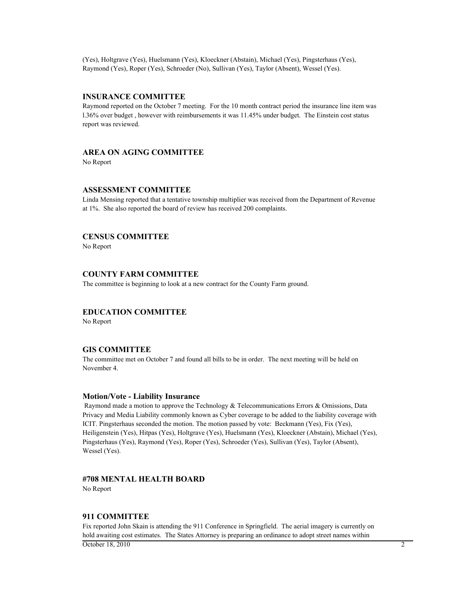(Yes), Holtgrave (Yes), Huelsmann (Yes), Kloeckner (Abstain), Michael (Yes), Pingsterhaus (Yes), Raymond (Yes), Roper (Yes), Schroeder (No), Sullivan (Yes), Taylor (Absent), Wessel (Yes).

### **INSURANCE COMMITTEE**

Raymond reported on the October 7 meeting. For the 10 month contract period the insurance line item was l.36% over budget , however with reimbursements it was 11.45% under budget. The Einstein cost status report was reviewed.

## **AREA ON AGING COMMITTEE**

No Report

### **ASSESSMENT COMMITTEE**

Linda Mensing reported that a tentative township multiplier was received from the Department of Revenue at 1%. She also reported the board of review has received 200 complaints.

### **CENSUS COMMITTEE**

No Report

## **COUNTY FARM COMMITTEE**

The committee is beginning to look at a new contract for the County Farm ground.

## **EDUCATION COMMITTEE**

No Report

## **GIS COMMITTEE**

The committee met on October 7 and found all bills to be in order. The next meeting will be held on November 4.

### **Motion/Vote - Liability Insurance**

 Raymond made a motion to approve the Technology & Telecommunications Errors & Omissions, Data Privacy and Media Liability commonly known as Cyber coverage to be added to the liability coverage with ICIT. Pingsterhaus seconded the motion. The motion passed by vote: Beckmann (Yes), Fix (Yes), Heiligenstein (Yes), Hitpas (Yes), Holtgrave (Yes), Huelsmann (Yes), Kloeckner (Abstain), Michael (Yes), Pingsterhaus (Yes), Raymond (Yes), Roper (Yes), Schroeder (Yes), Sullivan (Yes), Taylor (Absent), Wessel (Yes).

## **#708 MENTAL HEALTH BOARD**

No Report

### **911 COMMITTEE**

Fix reported John Skain is attending the 911 Conference in Springfield. The aerial imagery is currently on hold awaiting cost estimates. The States Attorney is preparing an ordinance to adopt street names within  $\overline{\text{October 18, 2010}}$  2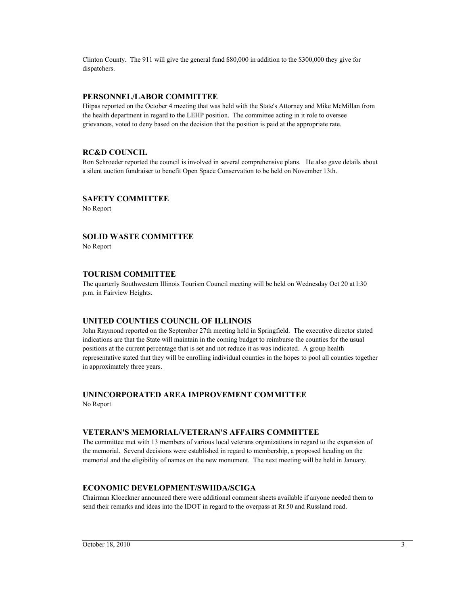Clinton County. The 911 will give the general fund \$80,000 in addition to the \$300,000 they give for dispatchers.

## **PERSONNEL/LABOR COMMITTEE**

Hitpas reported on the October 4 meeting that was held with the State's Attorney and Mike McMillan from the health department in regard to the LEHP position. The committee acting in it role to oversee grievances, voted to deny based on the decision that the position is paid at the appropriate rate.

## **RC&D COUNCIL**

Ron Schroeder reported the council is involved in several comprehensive plans. He also gave details about a silent auction fundraiser to benefit Open Space Conservation to be held on November 13th.

## **SAFETY COMMITTEE**

No Report

## **SOLID WASTE COMMITTEE**

No Report

## **TOURISM COMMITTEE**

The quarterly Southwestern Illinois Tourism Council meeting will be held on Wednesday Oct 20 at l:30 p.m. in Fairview Heights.

## **UNITED COUNTIES COUNCIL OF ILLINOIS**

John Raymond reported on the September 27th meeting held in Springfield. The executive director stated indications are that the State will maintain in the coming budget to reimburse the counties for the usual positions at the current percentage that is set and not reduce it as was indicated. A group health representative stated that they will be enrolling individual counties in the hopes to pool all counties together in approximately three years.

## **UNINCORPORATED AREA IMPROVEMENT COMMITTEE**

No Report

## **VETERAN'S MEMORIAL/VETERAN'S AFFAIRS COMMITTEE**

The committee met with 13 members of various local veterans organizations in regard to the expansion of the memorial. Several decisions were established in regard to membership, a proposed heading on the memorial and the eligibility of names on the new monument. The next meeting will be held in January.

## **ECONOMIC DEVELOPMENT/SWIIDA/SCIGA**

Chairman Kloeckner announced there were additional comment sheets available if anyone needed them to send their remarks and ideas into the IDOT in regard to the overpass at Rt 50 and Russland road.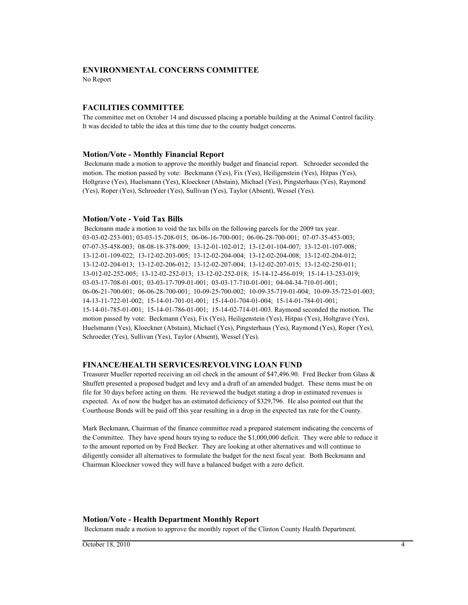### **ENVIRONMENTAL CONCERNS COMMITTEE**

No Report

## **FACILITIES COMMITTEE**

The committee met on October 14 and discussed placing a portable building at the Animal Control facility. It was decided to table the idea at this time due to the county budget concerns.

### **Motion/Vote - Monthly Financial Report**

 Beckmann made a motion to approve the monthly budget and financial report. Schroeder seconded the motion. The motion passed by vote: Beckmann (Yes), Fix (Yes), Heiligenstein (Yes), Hitpas (Yes), Holtgrave (Yes), Huelsmann (Yes), Kloeckner (Abstain), Michael (Yes), Pingsterhaus (Yes), Raymond (Yes), Roper (Yes), Schroeder (Yes), Sullivan (Yes), Taylor (Absent), Wessel (Yes).

## **Motion/Vote - Void Tax Bills**

 Beckmann made a motion to void the tax bills on the following parcels for the 2009 tax year. 03-03-02-253-001; 03-03-15-208-015; 06-06-16-700-001; 06-06-28-700-001; 07-07-35-453-003; 07-07-35-458-003; 08-08-18-378-009; 13-12-01-102-012; 13-12-01-104-007; 13-12-01-107-008; 13-12-01-109-022; 13-12-02-203-005; 13-12-02-204-004; 13-12-02-204-008; 13-12-02-204-012; 13-12-02-204-013; 13-12-02-206-012; 13-12-02-207-004; 13-12-02-207-015; 13-12-02-250-011; 13-012-02-252-005; 13-12-02-252-013; 13-12-02-252-018; 15-14-12-456-019; 15-14-13-253-019; 03-03-17-708-01-001; 03-03-17-709-01-001; 03-03-17-710-01-001; 04-04-34-710-01-001; 06-06-21-700-001; 06-06-28-700-001; 10-09-25-700-002; 10-09-35-719-01-004; 10-09-35-723-01-003; 14-13-11-722-01-002; 15-14-01-701-01-001; 15-14-01-704-01-004; 15-14-01-784-01-001; 15-14-01-785-01-001; 15-14-01-786-01-001; 15-14-02-714-01-003. Raymond seconded the motion. The motion passed by vote: Beckmann (Yes), Fix (Yes), Heiligenstein (Yes), Hitpas (Yes), Holtgrave (Yes), Huelsmann (Yes), Kloeckner (Abstain), Michael (Yes), Pingsterhaus (Yes), Raymond (Yes), Roper (Yes), Schroeder (Yes), Sullivan (Yes), Taylor (Absent), Wessel (Yes).

### **FINANCE/HEALTH SERVICES/REVOLVING LOAN FUND**

Treasurer Mueller reported receiving an oil check in the amount of \$47,496.90. Fred Becker from Glass & Shuffett presented a proposed budget and levy and a draft of an amended budget. These items must be on file for 30 days before acting on them. He reviewed the budget stating a drop in estimated revenues is expected. As of now the budget has an estimated deficiency of \$329,796. He also pointed out that the Courthouse Bonds will be paid off this year resulting in a drop in the expected tax rate for the County.

Mark Beckmann, Chairman of the finance committee read a prepared statement indicating the concerns of the Committee. They have spend hours trying to reduce the \$1,000,000 deficit. They were able to reduce it to the amount reported on by Fred Becker. They are looking at other alternatives and will continue to diligently consider all alternatives to formulate the budget for the next fiscal year. Both Beckmann and Chairman Kloeckner vowed they will have a balanced budget with a zero deficit.

### **Motion/Vote - Health Department Monthly Report**

Beckmann made a motion to approve the monthly report of the Clinton County Health Department.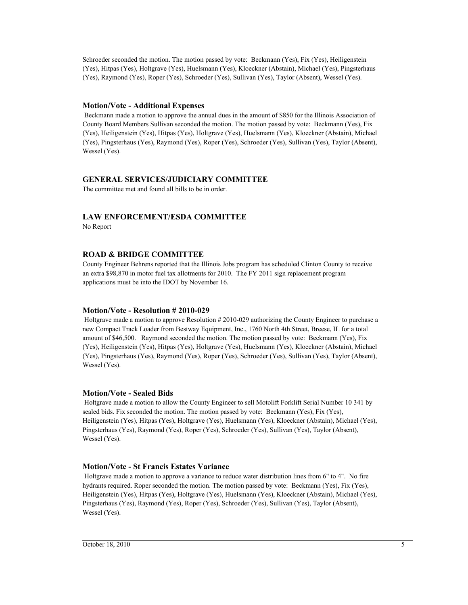Schroeder seconded the motion. The motion passed by vote: Beckmann (Yes), Fix (Yes), Heiligenstein (Yes), Hitpas (Yes), Holtgrave (Yes), Huelsmann (Yes), Kloeckner (Abstain), Michael (Yes), Pingsterhaus (Yes), Raymond (Yes), Roper (Yes), Schroeder (Yes), Sullivan (Yes), Taylor (Absent), Wessel (Yes).

## **Motion/Vote - Additional Expenses**

 Beckmann made a motion to approve the annual dues in the amount of \$850 for the Illinois Association of County Board Members Sullivan seconded the motion. The motion passed by vote: Beckmann (Yes), Fix (Yes), Heiligenstein (Yes), Hitpas (Yes), Holtgrave (Yes), Huelsmann (Yes), Kloeckner (Abstain), Michael (Yes), Pingsterhaus (Yes), Raymond (Yes), Roper (Yes), Schroeder (Yes), Sullivan (Yes), Taylor (Absent), Wessel (Yes).

## **GENERAL SERVICES/JUDICIARY COMMITTEE**

The committee met and found all bills to be in order.

## **LAW ENFORCEMENT/ESDA COMMITTEE**

No Report

## **ROAD & BRIDGE COMMITTEE**

County Engineer Behrens reported that the Illinois Jobs program has scheduled Clinton County to receive an extra \$98,870 in motor fuel tax allotments for 2010. The FY 2011 sign replacement program applications must be into the IDOT by November 16.

## **Motion/Vote - Resolution # 2010-029**

 Holtgrave made a motion to approve Resolution # 2010-029 authorizing the County Engineer to purchase a new Compact Track Loader from Bestway Equipment, Inc., 1760 North 4th Street, Breese, IL for a total amount of \$46,500. Raymond seconded the motion. The motion passed by vote: Beckmann (Yes), Fix (Yes), Heiligenstein (Yes), Hitpas (Yes), Holtgrave (Yes), Huelsmann (Yes), Kloeckner (Abstain), Michael (Yes), Pingsterhaus (Yes), Raymond (Yes), Roper (Yes), Schroeder (Yes), Sullivan (Yes), Taylor (Absent), Wessel (Yes).

## **Motion/Vote - Sealed Bids**

 Holtgrave made a motion to allow the County Engineer to sell Motolift Forklift Serial Number 10 341 by sealed bids. Fix seconded the motion. The motion passed by vote: Beckmann (Yes), Fix (Yes), Heiligenstein (Yes), Hitpas (Yes), Holtgrave (Yes), Huelsmann (Yes), Kloeckner (Abstain), Michael (Yes), Pingsterhaus (Yes), Raymond (Yes), Roper (Yes), Schroeder (Yes), Sullivan (Yes), Taylor (Absent), Wessel (Yes).

## **Motion/Vote - St Francis Estates Variance**

 Holtgrave made a motion to approve a variance to reduce water distribution lines from 6" to 4". No fire hydrants required. Roper seconded the motion. The motion passed by vote: Beckmann (Yes), Fix (Yes), Heiligenstein (Yes), Hitpas (Yes), Holtgrave (Yes), Huelsmann (Yes), Kloeckner (Abstain), Michael (Yes), Pingsterhaus (Yes), Raymond (Yes), Roper (Yes), Schroeder (Yes), Sullivan (Yes), Taylor (Absent), Wessel (Yes).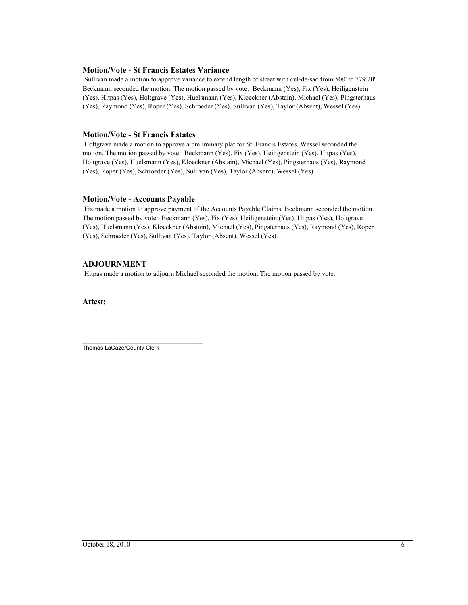## **Motion/Vote - St Francis Estates Variance**

 Sullivan made a motion to approve variance to extend length of street with cul-de-sac from 500' to 779.20'. Beckmann seconded the motion. The motion passed by vote: Beckmann (Yes), Fix (Yes), Heiligenstein (Yes), Hitpas (Yes), Holtgrave (Yes), Huelsmann (Yes), Kloeckner (Abstain), Michael (Yes), Pingsterhaus (Yes), Raymond (Yes), Roper (Yes), Schroeder (Yes), Sullivan (Yes), Taylor (Absent), Wessel (Yes).

## **Motion/Vote - St Francis Estates**

 Holtgrave made a motion to approve a preliminary plat for St. Francis Estates. Wessel seconded the motion. The motion passed by vote: Beckmann (Yes), Fix (Yes), Heiligenstein (Yes), Hitpas (Yes), Holtgrave (Yes), Huelsmann (Yes), Kloeckner (Abstain), Michael (Yes), Pingsterhaus (Yes), Raymond (Yes), Roper (Yes), Schroeder (Yes), Sullivan (Yes), Taylor (Absent), Wessel (Yes).

## **Motion/Vote - Accounts Payable**

 Fix made a motion to approve payment of the Accounts Payable Claims. Beckmann seconded the motion. The motion passed by vote: Beckmann (Yes), Fix (Yes), Heiligenstein (Yes), Hitpas (Yes), Holtgrave (Yes), Huelsmann (Yes), Kloeckner (Abstain), Michael (Yes), Pingsterhaus (Yes), Raymond (Yes), Roper (Yes), Schroeder (Yes), Sullivan (Yes), Taylor (Absent), Wessel (Yes).

## **ADJOURNMENT**

Hitpas made a motion to adjourn Michael seconded the motion. The motion passed by vote.

**Attest:**

\_\_\_\_\_\_\_\_\_\_\_\_\_\_\_\_\_\_\_\_\_\_\_\_\_\_\_\_\_\_\_\_\_\_\_\_\_\_ Thomas LaCaze/County Clerk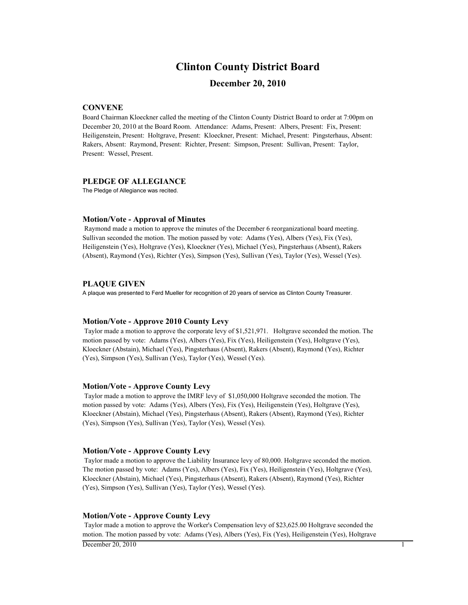## **Clinton County District Board**

## **December 20, 2010**

## **CONVENE**

Board Chairman Kloeckner called the meeting of the Clinton County District Board to order at 7:00pm on December 20, 2010 at the Board Room. Attendance: Adams, Present: Albers, Present: Fix, Present: Heiligenstein, Present: Holtgrave, Present: Kloeckner, Present: Michael, Present: Pingsterhaus, Absent: Rakers, Absent: Raymond, Present: Richter, Present: Simpson, Present: Sullivan, Present: Taylor, Present: Wessel, Present.

### **PLEDGE OF ALLEGIANCE**

The Pledge of Allegiance was recited.

### **Motion/Vote - Approval of Minutes**

 Raymond made a motion to approve the minutes of the December 6 reorganizational board meeting. Sullivan seconded the motion. The motion passed by vote: Adams (Yes), Albers (Yes), Fix (Yes), Heiligenstein (Yes), Holtgrave (Yes), Kloeckner (Yes), Michael (Yes), Pingsterhaus (Absent), Rakers (Absent), Raymond (Yes), Richter (Yes), Simpson (Yes), Sullivan (Yes), Taylor (Yes), Wessel (Yes).

### **PLAQUE GIVEN**

A plaque was presented to Ferd Mueller for recognition of 20 years of service as Clinton County Treasurer.

### **Motion/Vote - Approve 2010 County Levy**

 Taylor made a motion to approve the corporate levy of \$1,521,971. Holtgrave seconded the motion. The motion passed by vote: Adams (Yes), Albers (Yes), Fix (Yes), Heiligenstein (Yes), Holtgrave (Yes), Kloeckner (Abstain), Michael (Yes), Pingsterhaus (Absent), Rakers (Absent), Raymond (Yes), Richter (Yes), Simpson (Yes), Sullivan (Yes), Taylor (Yes), Wessel (Yes).

### **Motion/Vote - Approve County Levy**

 Taylor made a motion to approve the IMRF levy of \$1,050,000 Holtgrave seconded the motion. The motion passed by vote: Adams (Yes), Albers (Yes), Fix (Yes), Heiligenstein (Yes), Holtgrave (Yes), Kloeckner (Abstain), Michael (Yes), Pingsterhaus (Absent), Rakers (Absent), Raymond (Yes), Richter (Yes), Simpson (Yes), Sullivan (Yes), Taylor (Yes), Wessel (Yes).

#### **Motion/Vote - Approve County Levy**

 Taylor made a motion to approve the Liability Insurance levy of 80,000. Holtgrave seconded the motion. The motion passed by vote: Adams (Yes), Albers (Yes), Fix (Yes), Heiligenstein (Yes), Holtgrave (Yes), Kloeckner (Abstain), Michael (Yes), Pingsterhaus (Absent), Rakers (Absent), Raymond (Yes), Richter (Yes), Simpson (Yes), Sullivan (Yes), Taylor (Yes), Wessel (Yes).

### **Motion/Vote - Approve County Levy**

 Taylor made a motion to approve the Worker's Compensation levy of \$23,625.00 Holtgrave seconded the motion. The motion passed by vote: Adams (Yes), Albers (Yes), Fix (Yes), Heiligenstein (Yes), Holtgrave  $D$  December 20, 2010 1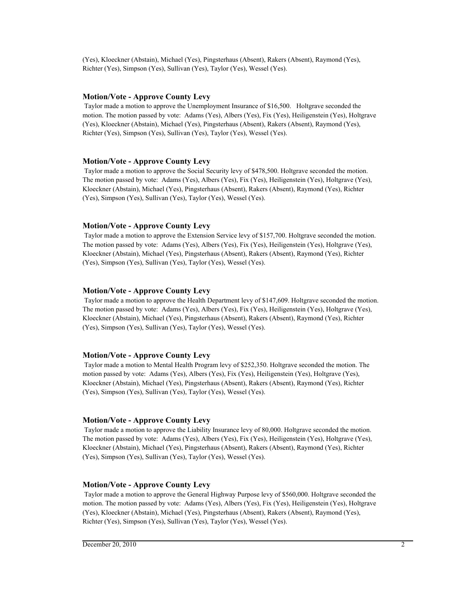(Yes), Kloeckner (Abstain), Michael (Yes), Pingsterhaus (Absent), Rakers (Absent), Raymond (Yes), Richter (Yes), Simpson (Yes), Sullivan (Yes), Taylor (Yes), Wessel (Yes).

## **Motion/Vote - Approve County Levy**

 Taylor made a motion to approve the Unemployment Insurance of \$16,500. Holtgrave seconded the motion. The motion passed by vote: Adams (Yes), Albers (Yes), Fix (Yes), Heiligenstein (Yes), Holtgrave (Yes), Kloeckner (Abstain), Michael (Yes), Pingsterhaus (Absent), Rakers (Absent), Raymond (Yes), Richter (Yes), Simpson (Yes), Sullivan (Yes), Taylor (Yes), Wessel (Yes).

### **Motion/Vote - Approve County Levy**

 Taylor made a motion to approve the Social Security levy of \$478,500. Holtgrave seconded the motion. The motion passed by vote: Adams (Yes), Albers (Yes), Fix (Yes), Heiligenstein (Yes), Holtgrave (Yes), Kloeckner (Abstain), Michael (Yes), Pingsterhaus (Absent), Rakers (Absent), Raymond (Yes), Richter (Yes), Simpson (Yes), Sullivan (Yes), Taylor (Yes), Wessel (Yes).

## **Motion/Vote - Approve County Levy**

 Taylor made a motion to approve the Extension Service levy of \$157,700. Holtgrave seconded the motion. The motion passed by vote: Adams (Yes), Albers (Yes), Fix (Yes), Heiligenstein (Yes), Holtgrave (Yes), Kloeckner (Abstain), Michael (Yes), Pingsterhaus (Absent), Rakers (Absent), Raymond (Yes), Richter (Yes), Simpson (Yes), Sullivan (Yes), Taylor (Yes), Wessel (Yes).

## **Motion/Vote - Approve County Levy**

 Taylor made a motion to approve the Health Department levy of \$147,609. Holtgrave seconded the motion. The motion passed by vote: Adams (Yes), Albers (Yes), Fix (Yes), Heiligenstein (Yes), Holtgrave (Yes), Kloeckner (Abstain), Michael (Yes), Pingsterhaus (Absent), Rakers (Absent), Raymond (Yes), Richter (Yes), Simpson (Yes), Sullivan (Yes), Taylor (Yes), Wessel (Yes).

### **Motion/Vote - Approve County Levy**

 Taylor made a motion to Mental Health Program levy of \$252,350. Holtgrave seconded the motion. The motion passed by vote: Adams (Yes), Albers (Yes), Fix (Yes), Heiligenstein (Yes), Holtgrave (Yes), Kloeckner (Abstain), Michael (Yes), Pingsterhaus (Absent), Rakers (Absent), Raymond (Yes), Richter (Yes), Simpson (Yes), Sullivan (Yes), Taylor (Yes), Wessel (Yes).

## **Motion/Vote - Approve County Levy**

 Taylor made a motion to approve the Liability Insurance levy of 80,000. Holtgrave seconded the motion. The motion passed by vote: Adams (Yes), Albers (Yes), Fix (Yes), Heiligenstein (Yes), Holtgrave (Yes), Kloeckner (Abstain), Michael (Yes), Pingsterhaus (Absent), Rakers (Absent), Raymond (Yes), Richter (Yes), Simpson (Yes), Sullivan (Yes), Taylor (Yes), Wessel (Yes).

### **Motion/Vote - Approve County Levy**

 Taylor made a motion to approve the General Highway Purpose levy of \$560,000. Holtgrave seconded the motion. The motion passed by vote: Adams (Yes), Albers (Yes), Fix (Yes), Heiligenstein (Yes), Holtgrave (Yes), Kloeckner (Abstain), Michael (Yes), Pingsterhaus (Absent), Rakers (Absent), Raymond (Yes), Richter (Yes), Simpson (Yes), Sullivan (Yes), Taylor (Yes), Wessel (Yes).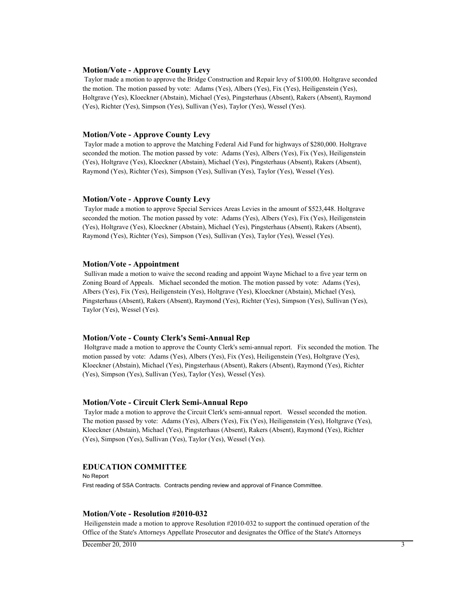### **Motion/Vote - Approve County Levy**

 Taylor made a motion to approve the Bridge Construction and Repair levy of \$100,00. Holtgrave seconded the motion. The motion passed by vote: Adams (Yes), Albers (Yes), Fix (Yes), Heiligenstein (Yes), Holtgrave (Yes), Kloeckner (Abstain), Michael (Yes), Pingsterhaus (Absent), Rakers (Absent), Raymond (Yes), Richter (Yes), Simpson (Yes), Sullivan (Yes), Taylor (Yes), Wessel (Yes).

### **Motion/Vote - Approve County Levy**

 Taylor made a motion to approve the Matching Federal Aid Fund for highways of \$280,000. Holtgrave seconded the motion. The motion passed by vote: Adams (Yes), Albers (Yes), Fix (Yes), Heiligenstein (Yes), Holtgrave (Yes), Kloeckner (Abstain), Michael (Yes), Pingsterhaus (Absent), Rakers (Absent), Raymond (Yes), Richter (Yes), Simpson (Yes), Sullivan (Yes), Taylor (Yes), Wessel (Yes).

### **Motion/Vote - Approve County Levy**

 Taylor made a motion to approve Special Services Areas Levies in the amount of \$523,448. Holtgrave seconded the motion. The motion passed by vote: Adams (Yes), Albers (Yes), Fix (Yes), Heiligenstein (Yes), Holtgrave (Yes), Kloeckner (Abstain), Michael (Yes), Pingsterhaus (Absent), Rakers (Absent), Raymond (Yes), Richter (Yes), Simpson (Yes), Sullivan (Yes), Taylor (Yes), Wessel (Yes).

### **Motion/Vote - Appointment**

 Sullivan made a motion to waive the second reading and appoint Wayne Michael to a five year term on Zoning Board of Appeals. Michael seconded the motion. The motion passed by vote: Adams (Yes), Albers (Yes), Fix (Yes), Heiligenstein (Yes), Holtgrave (Yes), Kloeckner (Abstain), Michael (Yes), Pingsterhaus (Absent), Rakers (Absent), Raymond (Yes), Richter (Yes), Simpson (Yes), Sullivan (Yes), Taylor (Yes), Wessel (Yes).

### **Motion/Vote - County Clerk's Semi-Annual Rep**

 Holtgrave made a motion to approve the County Clerk's semi-annual report. Fix seconded the motion. The motion passed by vote: Adams (Yes), Albers (Yes), Fix (Yes), Heiligenstein (Yes), Holtgrave (Yes), Kloeckner (Abstain), Michael (Yes), Pingsterhaus (Absent), Rakers (Absent), Raymond (Yes), Richter (Yes), Simpson (Yes), Sullivan (Yes), Taylor (Yes), Wessel (Yes).

### **Motion/Vote - Circuit Clerk Semi-Annual Repo**

 Taylor made a motion to approve the Circuit Clerk's semi-annual report. Wessel seconded the motion. The motion passed by vote: Adams (Yes), Albers (Yes), Fix (Yes), Heiligenstein (Yes), Holtgrave (Yes), Kloeckner (Abstain), Michael (Yes), Pingsterhaus (Absent), Rakers (Absent), Raymond (Yes), Richter (Yes), Simpson (Yes), Sullivan (Yes), Taylor (Yes), Wessel (Yes).

### **EDUCATION COMMITTEE**

No Report First reading of SSA Contracts. Contracts pending review and approval of Finance Committee.

### **Motion/Vote - Resolution #2010-032**

 Heiligenstein made a motion to approve Resolution #2010-032 to support the continued operation of the Office of the State's Attorneys Appellate Prosecutor and designates the Office of the State's Attorneys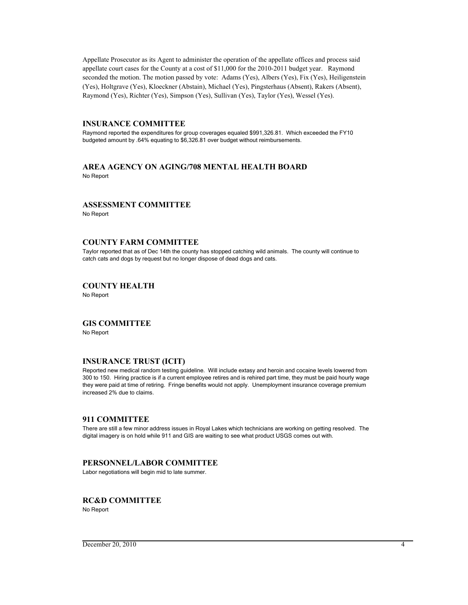Appellate Prosecutor as its Agent to administer the operation of the appellate offices and process said appellate court cases for the County at a cost of \$11,000 for the 2010-2011 budget year. Raymond seconded the motion. The motion passed by vote: Adams (Yes), Albers (Yes), Fix (Yes), Heiligenstein (Yes), Holtgrave (Yes), Kloeckner (Abstain), Michael (Yes), Pingsterhaus (Absent), Rakers (Absent), Raymond (Yes), Richter (Yes), Simpson (Yes), Sullivan (Yes), Taylor (Yes), Wessel (Yes).

## **INSURANCE COMMITTEE**

Raymond reported the expenditures for group coverages equaled \$991,326.81. Which exceeded the FY10 budgeted amount by .64% equating to \$6,326.81 over budget without reimbursements.

### **AREA AGENCY ON AGING/708 MENTAL HEALTH BOARD** No Report

### **ASSESSMENT COMMITTEE**

No Report

## **COUNTY FARM COMMITTEE**

Taylor reported that as of Dec 14th the county has stopped catching wild animals. The county will continue to catch cats and dogs by request but no longer dispose of dead dogs and cats.

## **COUNTY HEALTH**

No Report

## **GIS COMMITTEE**

No Report

### **INSURANCE TRUST (ICIT)**

Reported new medical random testing guideline. Will include extasy and heroin and cocaine levels lowered from 300 to 150. Hiring practice is if a current employee retires and is rehired part time, they must be paid hourly wage they were paid at time of retiring. Fringe benefits would not apply. Unemployment insurance coverage premium increased 2% due to claims.

### **911 COMMITTEE**

There are still a few minor address issues in Royal Lakes which technicians are working on getting resolved. The digital imagery is on hold while 911 and GIS are waiting to see what product USGS comes out with.

### **PERSONNEL/LABOR COMMITTEE**

Labor negotiations will begin mid to late summer.

### **RC&D COMMITTEE**

No Report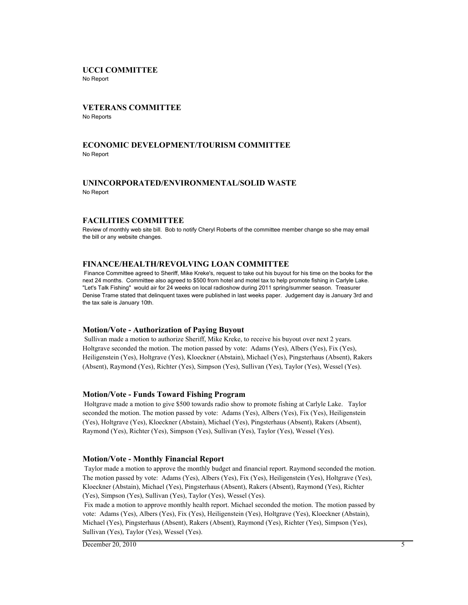## **UCCI COMMITTEE**

No Report

## **VETERANS COMMITTEE**

No Reports

## **ECONOMIC DEVELOPMENT/TOURISM COMMITTEE** No Report

## **UNINCORPORATED/ENVIRONMENTAL/SOLID WASTE** No Report

## **FACILITIES COMMITTEE**

Review of monthly web site bill. Bob to notify Cheryl Roberts of the committee member change so she may email the bill or any website changes.

## **FINANCE/HEALTH/REVOLVING LOAN COMMITTEE**

 Finance Committee agreed to Sheriff, Mike Kreke's, request to take out his buyout for his time on the books for the next 24 months. Committee also agreed to \$500 from hotel and motel tax to help promote fishing in Carlyle Lake. "Let's Talk Fishing" would air for 24 weeks on local radioshow during 2011 spring/summer season. Treasurer Denise Trame stated that delinquent taxes were published in last weeks paper. Judgement day is January 3rd and the tax sale is January 10th.

### **Motion/Vote - Authorization of Paying Buyout**

 Sullivan made a motion to authorize Sheriff, Mike Kreke, to receive his buyout over next 2 years. Holtgrave seconded the motion. The motion passed by vote: Adams (Yes), Albers (Yes), Fix (Yes), Heiligenstein (Yes), Holtgrave (Yes), Kloeckner (Abstain), Michael (Yes), Pingsterhaus (Absent), Rakers (Absent), Raymond (Yes), Richter (Yes), Simpson (Yes), Sullivan (Yes), Taylor (Yes), Wessel (Yes).

### **Motion/Vote - Funds Toward Fishing Program**

 Holtgrave made a motion to give \$500 towards radio show to promote fishing at Carlyle Lake. Taylor seconded the motion. The motion passed by vote: Adams (Yes), Albers (Yes), Fix (Yes), Heiligenstein (Yes), Holtgrave (Yes), Kloeckner (Abstain), Michael (Yes), Pingsterhaus (Absent), Rakers (Absent), Raymond (Yes), Richter (Yes), Simpson (Yes), Sullivan (Yes), Taylor (Yes), Wessel (Yes).

## **Motion/Vote - Monthly Financial Report**

 Taylor made a motion to approve the monthly budget and financial report. Raymond seconded the motion. The motion passed by vote: Adams (Yes), Albers (Yes), Fix (Yes), Heiligenstein (Yes), Holtgrave (Yes), Kloeckner (Abstain), Michael (Yes), Pingsterhaus (Absent), Rakers (Absent), Raymond (Yes), Richter (Yes), Simpson (Yes), Sullivan (Yes), Taylor (Yes), Wessel (Yes).

 Fix made a motion to approve monthly health report. Michael seconded the motion. The motion passed by vote: Adams (Yes), Albers (Yes), Fix (Yes), Heiligenstein (Yes), Holtgrave (Yes), Kloeckner (Abstain), Michael (Yes), Pingsterhaus (Absent), Rakers (Absent), Raymond (Yes), Richter (Yes), Simpson (Yes), Sullivan (Yes), Taylor (Yes), Wessel (Yes).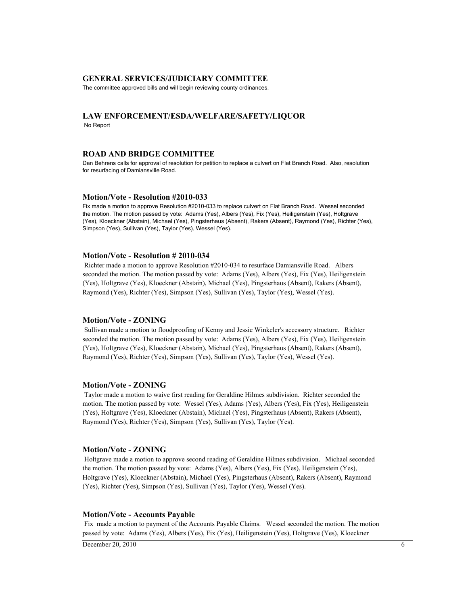### **GENERAL SERVICES/JUDICIARY COMMITTEE**

The committee approved bills and will begin reviewing county ordinances.

### **LAW ENFORCEMENT/ESDA/WELFARE/SAFETY/LIQUOR** No Report

### **ROAD AND BRIDGE COMMITTEE**

Dan Behrens calls for approval of resolution for petition to replace a culvert on Flat Branch Road. Also, resolution for resurfacing of Damiansville Road.

#### **Motion/Vote - Resolution #2010-033**

Fix made a motion to approve Resolution #2010-033 to replace culvert on Flat Branch Road. Wessel seconded the motion. The motion passed by vote: Adams (Yes), Albers (Yes), Fix (Yes), Heiligenstein (Yes), Holtgrave (Yes), Kloeckner (Abstain), Michael (Yes), Pingsterhaus (Absent), Rakers (Absent), Raymond (Yes), Richter (Yes), Simpson (Yes), Sullivan (Yes), Taylor (Yes), Wessel (Yes).

### **Motion/Vote - Resolution # 2010-034**

 Richter made a motion to approve Resolution #2010-034 to resurface Damiansville Road. Albers seconded the motion. The motion passed by vote: Adams (Yes), Albers (Yes), Fix (Yes), Heiligenstein (Yes), Holtgrave (Yes), Kloeckner (Abstain), Michael (Yes), Pingsterhaus (Absent), Rakers (Absent), Raymond (Yes), Richter (Yes), Simpson (Yes), Sullivan (Yes), Taylor (Yes), Wessel (Yes).

#### **Motion/Vote - ZONING**

 Sullivan made a motion to floodproofing of Kenny and Jessie Winkeler's accessory structure. Richter seconded the motion. The motion passed by vote: Adams (Yes), Albers (Yes), Fix (Yes), Heiligenstein (Yes), Holtgrave (Yes), Kloeckner (Abstain), Michael (Yes), Pingsterhaus (Absent), Rakers (Absent), Raymond (Yes), Richter (Yes), Simpson (Yes), Sullivan (Yes), Taylor (Yes), Wessel (Yes).

### **Motion/Vote - ZONING**

 Taylor made a motion to waive first reading for Geraldine Hilmes subdivision. Richter seconded the motion. The motion passed by vote: Wessel (Yes), Adams (Yes), Albers (Yes), Fix (Yes), Heiligenstein (Yes), Holtgrave (Yes), Kloeckner (Abstain), Michael (Yes), Pingsterhaus (Absent), Rakers (Absent), Raymond (Yes), Richter (Yes), Simpson (Yes), Sullivan (Yes), Taylor (Yes).

### **Motion/Vote - ZONING**

 Holtgrave made a motion to approve second reading of Geraldine Hilmes subdivision. Michael seconded the motion. The motion passed by vote: Adams (Yes), Albers (Yes), Fix (Yes), Heiligenstein (Yes), Holtgrave (Yes), Kloeckner (Abstain), Michael (Yes), Pingsterhaus (Absent), Rakers (Absent), Raymond (Yes), Richter (Yes), Simpson (Yes), Sullivan (Yes), Taylor (Yes), Wessel (Yes).

#### **Motion/Vote - Accounts Payable**

 Fix made a motion to payment of the Accounts Payable Claims. Wessel seconded the motion. The motion passed by vote: Adams (Yes), Albers (Yes), Fix (Yes), Heiligenstein (Yes), Holtgrave (Yes), Kloeckner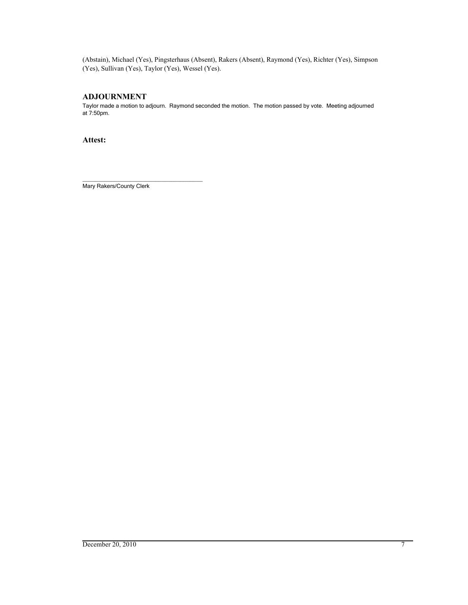(Abstain), Michael (Yes), Pingsterhaus (Absent), Rakers (Absent), Raymond (Yes), Richter (Yes), Simpson (Yes), Sullivan (Yes), Taylor (Yes), Wessel (Yes).

## **ADJOURNMENT**

Taylor made a motion to adjourn. Raymond seconded the motion. The motion passed by vote. Meeting adjourned at 7:50pm.

**Attest:**

Mary Rakers/County Clerk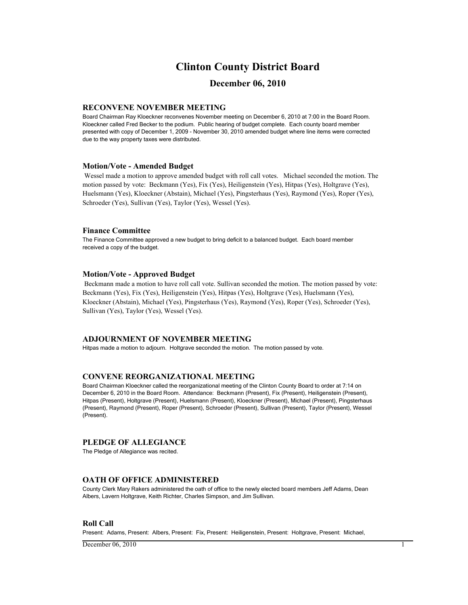## **Clinton County District Board**

## **December 06, 2010**

### **RECONVENE NOVEMBER MEETING**

Board Chairman Ray Kloeckner reconvenes November meeting on December 6, 2010 at 7:00 in the Board Room. Kloeckner called Fred Becker to the podium. Public hearing of budget complete. Each county board member presented with copy of December 1, 2009 - November 30, 2010 amended budget where line items were corrected due to the way property taxes were distributed.

### **Motion/Vote - Amended Budget**

 Wessel made a motion to approve amended budget with roll call votes. Michael seconded the motion. The motion passed by vote: Beckmann (Yes), Fix (Yes), Heiligenstein (Yes), Hitpas (Yes), Holtgrave (Yes), Huelsmann (Yes), Kloeckner (Abstain), Michael (Yes), Pingsterhaus (Yes), Raymond (Yes), Roper (Yes), Schroeder (Yes), Sullivan (Yes), Taylor (Yes), Wessel (Yes).

#### **Finance Committee**

The Finance Committee approved a new budget to bring deficit to a balanced budget. Each board member received a copy of the budget.

### **Motion/Vote - Approved Budget**

 Beckmann made a motion to have roll call vote. Sullivan seconded the motion. The motion passed by vote: Beckmann (Yes), Fix (Yes), Heiligenstein (Yes), Hitpas (Yes), Holtgrave (Yes), Huelsmann (Yes), Kloeckner (Abstain), Michael (Yes), Pingsterhaus (Yes), Raymond (Yes), Roper (Yes), Schroeder (Yes), Sullivan (Yes), Taylor (Yes), Wessel (Yes).

### **ADJOURNMENT OF NOVEMBER MEETING**

Hitpas made a motion to adjourn. Holtgrave seconded the motion. The motion passed by vote.

### **CONVENE REORGANIZATIONAL MEETING**

Board Chairman Kloeckner called the reorganizational meeting of the Clinton County Board to order at 7:14 on December 6, 2010 in the Board Room. Attendance: Beckmann (Present), Fix (Present), Heiligenstein (Present), Hitpas (Present), Holtgrave (Present), Huelsmann (Present), Kloeckner (Present), Michael (Present), Pingsterhaus (Present), Raymond (Present), Roper (Present), Schroeder (Present), Sullivan (Present), Taylor (Present), Wessel (Present).

### **PLEDGE OF ALLEGIANCE**

The Pledge of Allegiance was recited.

### **OATH OF OFFICE ADMINISTERED**

County Clerk Mary Rakers administered the oath of office to the newly elected board members Jeff Adams, Dean Albers, Lavern Holtgrave, Keith Richter, Charles Simpson, and Jim Sullivan.

### **Roll Call**

Present: Adams, Present: Albers, Present: Fix, Present: Heiligenstein, Present: Holtgrave, Present: Michael,

 $D$  December 06, 2010 1